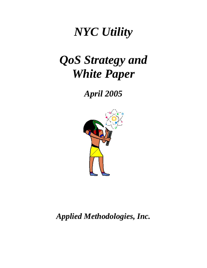# *NYC Utility*

# *QoS Strategy and White Paper*

*April 2005*



*Applied Methodologies, Inc.*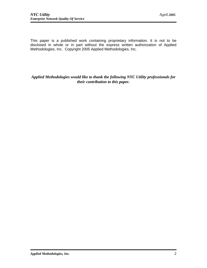This paper is a published work containing proprietary information. It is not to be disclosed in whole or in part without the express written authorization of Applied Methodologies, Inc. Copyright 2005 Applied Methodologies, Inc.

## *Applied Methodologies would like to thank the following NYC Utility professionals for their contribution to this paper.*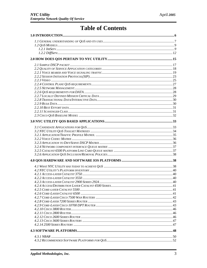# **Table of Contents**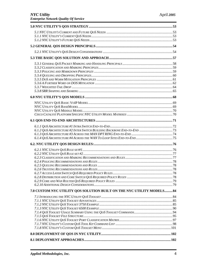| 7.0 CUSTOM NYC UTILITY QOS SOLUTION BUILT ON THE NYC UTILITY MODELS84 |  |
|-----------------------------------------------------------------------|--|
|                                                                       |  |
|                                                                       |  |
|                                                                       |  |
|                                                                       |  |
|                                                                       |  |
|                                                                       |  |
|                                                                       |  |
|                                                                       |  |
|                                                                       |  |
|                                                                       |  |
|                                                                       |  |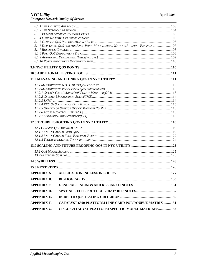|                                                                                  | 8.1.6 DEPLOYING QOS FOR THE BASIC VOICE MODEL LOCAL WITHIN A BUILDING EXAMPLE  107 |  |  |
|----------------------------------------------------------------------------------|------------------------------------------------------------------------------------|--|--|
|                                                                                  |                                                                                    |  |  |
|                                                                                  |                                                                                    |  |  |
|                                                                                  |                                                                                    |  |  |
|                                                                                  |                                                                                    |  |  |
|                                                                                  |                                                                                    |  |  |
|                                                                                  |                                                                                    |  |  |
|                                                                                  |                                                                                    |  |  |
|                                                                                  |                                                                                    |  |  |
|                                                                                  |                                                                                    |  |  |
|                                                                                  |                                                                                    |  |  |
|                                                                                  |                                                                                    |  |  |
|                                                                                  |                                                                                    |  |  |
|                                                                                  |                                                                                    |  |  |
|                                                                                  |                                                                                    |  |  |
|                                                                                  |                                                                                    |  |  |
|                                                                                  |                                                                                    |  |  |
|                                                                                  |                                                                                    |  |  |
|                                                                                  |                                                                                    |  |  |
|                                                                                  |                                                                                    |  |  |
|                                                                                  |                                                                                    |  |  |
|                                                                                  |                                                                                    |  |  |
|                                                                                  |                                                                                    |  |  |
|                                                                                  |                                                                                    |  |  |
|                                                                                  |                                                                                    |  |  |
|                                                                                  |                                                                                    |  |  |
|                                                                                  |                                                                                    |  |  |
| <b>APPENDIX A.</b>                                                               |                                                                                    |  |  |
| <b>APPENDIX B.</b>                                                               |                                                                                    |  |  |
|                                                                                  |                                                                                    |  |  |
| <b>APPENDIX C.</b>                                                               |                                                                                    |  |  |
| <b>APPENDIX D.</b>                                                               |                                                                                    |  |  |
| <b>APPENDIX E.</b>                                                               |                                                                                    |  |  |
| <b>APPENDIX F.</b>                                                               | CATALYST 6500 PLATFORM LINE CARD PORT/QUEUE MATRIX  151                            |  |  |
| <b>CISCO CATALYST PLATFORM SPECIFIC MODEL MATRIXES 152</b><br><b>APPENDIX G.</b> |                                                                                    |  |  |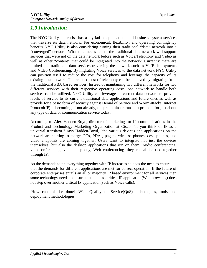## *1.0 Introduction*

The NYC Utility enterprise has a myriad of applications and business system services that traverse its data network. For economical, flexibility, and operating contingency benefits NYC Utility is also considering turning their traditional "data" network into a "converged" network. What this means is that the traditional data network will support services that were not on the data network before such as Voice/Telephony and Video as well as other "content" that could be integrated into the network. Currently there are limited non-traditional data services traversing the network such as VoIP deployments and Video Conferencing. By migrating Voice services to the data network NYC Utility can position itself to reduce the cost for telephony and leverage the capacity of its existing data network. The reduced cost of telephony can be achieved by migrating from the traditional PBX based services. Instead of maintaining two different networks for two different services with their respective operating costs, one network to handle both services can be utilized. NYC Utility can leverage its current data network to provide levels of service to its current traditional data applications and future ones as well as provide for a basic form of security against Denial of Service and Worm attacks. Internet Protocol(IP) is becoming, if not already, the predominate transport protocol for just about any type of data or communication service today.

According to Alex Hadden-Boyd, director of marketing for IP communications in the Product and Technology Marketing Organization at Cisco, "If you think of IP as a universal translator," says Hadden-Boyd, "the various devices and applications on the network are starting to merge. PCs, PDAs, pagers, wireless phones, desk phones, and video endpoints are coming together. Users want to integrate not just the devices themselves, but also the desktop applications that run on them. Audio conferencing, videoconferencing, video telephony, Web conferencing--they can all be tied together through IP."

As the demands to tie everything together with IP increases so does the need to ensure that the demands for different applications are met for correct operation. If the future of corporate enterprises entails an all or majority IP based environment for all services then some technology needs to ensure that one less critical IP application(Web browsing) does not step over another critical IP application(such as Voice calls).

How can this be done? With Quality of Service(QoS) technologies, tools and deployment methodologies.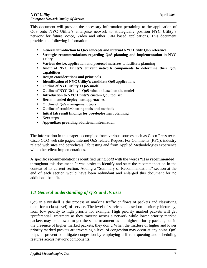This document will provide the necessary information pertaining to the application of QoS onto NYC Utility's enterprise network to strategically position NYC Utility's network for future Voice, Video and other Data based applications. This document provides the following information:

- **General introduction to QoS concepts and internal NYC Utility QoS reference**
- **Strategic recommendations regarding QoS planning and implementation in NYC Utility**
- **Various device, application and protocol matrixes to facilitate planning**
- **Audit of NYC Utility's current network components to determine their QoS capabilities**
- **Design considerations and principals**
- **Identification of NYC Utility's candidate QoS applications**
- **Outline of NYC Utility's QoS model**
- **Outline of NYC Utility's QoS solution based on the models**
- **Introduction to NYC Utility's custom QoS tool set**
- **Recommended deployment approaches**
- **Outline of QoS management tools**
- **Outline of troubleshooting tools and methods**
- **Initial lab result findings for pre-deployment planning**
- **Next steps**
- **Appendixes providing additional information.**

The information in this paper is compiled from various sources such as Cisco Press texts, Cisco CCO web site pages, Internet QoS related Request For Comments (RFC), industry related web sites and periodicals, lab testing and from Applied Methodologies experience with other client implementations.

A specific recommendation is identified using *bold* with the words **"It is recommended"** throughout this document. It was easier to identify and state the recommendation in the context of its current section. Adding a "Summary of Recommendations" section at the end of each section would have been redundant and enlarged this document for no additional benefit.

## *1.1 General understanding of QoS and its uses*

QoS in a nutshell is the process of marking traffic or flows of packets and classifying them for a class(level) of service. The level of services is based on a priority hierarchy, from low priority to high priority for example. High priority marked packets will get "preferential" treatment as they traverse across a network while lower priority marked packets may be allowed to get the same treatment as the higher priority packets, but in the presence of higher marked packets, they don't. When the mixture of higher and lower priority marked packets are traversing a level of congestion may occur at any point. QoS helps to prevent or mitigate congestion by employing different queuing and scheduling features across network components.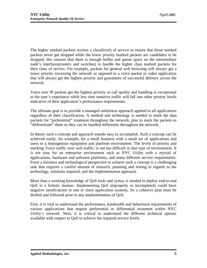The higher marked packets receive a class(level) of service to ensure that those marked packets never get dropped while the lower priority marked packets are candidates to be dropped, this ensures that there is enough buffer and queue space on the intermediate node's interfaces(routers and switches) to handle the higher class marked packets for their class of service. For example, packets for general web browsing will always get a lower priority traversing the network as opposed to a voice packet or video application that will always get the highest priority and guarantees of successful delivery across the network.

Voice over IP packets get the highest priority so call quality and handling is exceptional to the user's experience while less time sensitive traffic will fall into other priority levels indicative of their application's performance requirements.

The ultimate goal is to provide a managed unfairness approach applied to all applications regardless of their classification. A method and technology is needed to mark the data packets for "preferential" treatment throughout the network, plus to mark the packets to "differentiate" them so they can be handled differently throughout the network.

In theory such a concept and approach sounds easy to accomplish. Such a concept can be achieved easily, for example, for a small business with a small set of applications and users in a homogenous equipment and platform environment. The levels of priority and marking Voice traffic over web traffic; is not too difficult in that type of environment. It is not easy for an enterprise environment such as NYC Utility with a myriad of applications, hardware and software platforms, and many different service requirements. From a business and technological perspective to achieve such a concept is a challenging task that requires a careful amount of research, planning and testing in regards to the technology, solutions required, and the implementation approach.

More than a working knowledge of QoS tools and syntax is needed to deploy end-to-end QoS in a holistic manner. Implementing QoS improperly or incompletely could have negative ramifications to one or more application systems. So a cohesive plan must be drafted and followed prior to any implementation of QoS.

First, it is vital to understand the performance, bandwidth and behavioral requirements of various applications that require preferential or differential treatment within NYC Utility's network. Next, it is critical to understand the different technical options available with respect to QoS to achieve the required service levels.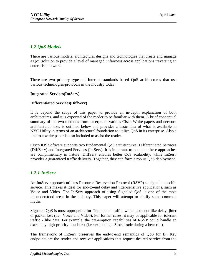## *1.2 QoS Models*

There are various models, architectural designs and technologies that create and manage a QoS solution to provide a level of managed unfairness across applications traversing an enterprise network.

There are two primary types of Internet standards based QoS architectures that use various technologies/protocols in the industry today.

## **Integrated Services(IntServ)**

### **Differentiated Services(DiffServ)**

It is beyond the scope of this paper to provide an in-depth explanation of both architectures, and it is expected of the reader to be familiar with them. A brief conceptual summary of the two methods from excerpts of various Cisco White papers and network architectural texts is outlined below and provides a basic idea of what is available to NYC Utility in terms of an architectural foundation to utilize QoS in its enterprise. Also a link to a white paper is also included to assist the reader.

Cisco IOS Software supports two fundamental QoS architectures: Differentiated Services (DiffServ) and Integrated Services (IntServ). It is important to note that these approaches are complimentary in nature. DiffServ enables better QoS scalability, while IntServ provides a guaranteed traffic delivery. Together, they can form a robust QoS deployment.

## *1.2.1 IntServ*

An IntServ approach utilizes Resource Reservation Protocol (RSVP) to signal a specific service. This makes it ideal for end-to-end delay and jitter-sensitive applications, such as Voice and Video. The IntServ approach of using Signaled QoS is one of the most misunderstood areas in the industry. This paper will attempt to clarify some common myths.

Signaled QoS is most appropriate for "intolerant" traffic, which does not like delay, jitter or packet loss (i.e.: Voice and Video). For former cases, it may be applicable for tolerant traffic - like data. For example, the pre-emption capabilities of RSVP could handle an extremely high-priority data burst (i.e.: executing a Stock trade during a bear run).

The framework of IntServ preserves the end-to-end semantics of QoS for IP. Key endpoints are the sender and receiver applications that request desired service from the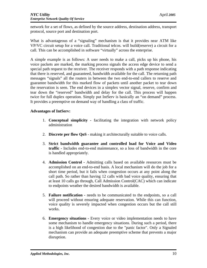network for a set of flows, as defined by the source address, destination address, transport protocol, source port and destination port.

What is advantageous of a "signaling" mechanism is that it provides near ATM like VP/VC circuit setup for a voice call. Traditional telcos. will build(reserve) a circuit for a call. This can be accomplished in software "virtually" across the enterprise.

A simple example is as follows: A user needs to make a call, picks up his phone, his voice packets are marked, the marking process signals the access edge device to send a special path request to the receiver. The receiver responds with a path response indicating that there is reserved, and guaranteed, bandwidth available for the call. The returning path messages "signals" all the routers in between the two end-to-end callers to reserve and guarantee bandwidth for this marked flow of packets until another packet to tear down the reservation is seen. The end devices in a simplex vector signal, reserve, confirm and tear down the "reserved" bandwidth and delay for the call. This process will happen twice for full duplex operation. Simply put IntServ is basically an "on demand" process. It provides a preemptive on demand way of handling a class of traffic.

### **Advantages of IntServ:**

- 1. **Conceptual simplicity -** facilitating the integration with network policy administration
- 2. **Discrete per flow QoS** making it architecturally suitable to voice calls.
- 3. **Strict bandwidth guarantee and controlled load for Voice and Video traffic -** Includes end-to-end maintenance, so a loss of bandwidth in the core is handled appropriately.
- 4. **Admission Control -** Admitting calls based on available resources must be accomplished on an end-to-end basis. A local mechanism will do the job for a short time period, but it fails when congestion occurs at any point along the call path. So rather than having 12 calls with bad voice quality, ensuring that at least 10 calls go through, Call Admission Control(CAC) which can indicate to endpoints weather the desired bandwidth is available.
- 5. **Failure notification -** needs to be communicated to the endpoints, so a call will proceed without ensuring adequate reservation. While this can function, voice quality is severely impacted when congestion occurs but the call still works.
- 6. **Emergency situations -** Every voice or video implementation needs to have some mechanism to handle emergency situations. During such a period, there is a high likelihood of congestion due to the "panic factor". Only a Signaled mechanism can provide an adequate preemptive scheme that prevents a major disruption.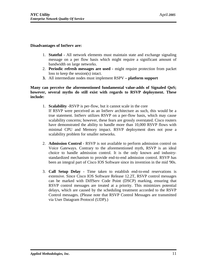#### **Disadvantages of IntServ are:**

- 1. **Stateful -** All network elements must maintain state and exchange signaling message on a per flow basis which might require a significant amount of bandwidth on large networks.
- 2. **Periodic refresh messages are used -** might require protection from packet loss to keep the session(s) intact.
- **3.** All intermediate nodes must implement RSPV  **platform support**

### **Many can perceive the aforementioned fundamental value-adds of Signaled QoS; however, several myths do still exist with regards to RSVP deployment. These include:**

- 1. **Scalability -**RSVP is per-flow, but it cannot scale in the core If RSVP were perceived as an IntServ architecture as such, this would be a true statement. IntServ utilizes RSVP on a per-flow basis, which may cause scalability concerns; however, these fears are grossly overstated. Cisco routers have demonstrated the ability to handle more than 10,000 RSVP flows with minimal CPU and Memory impact. RSVP deployment does not pose a scalability problem for smaller networks.
- 2. **Admission Control** *-* RSVP is not available to perform admission control on Voice Gateways. Contrary to the aforementioned myth, RSVP is an ideal choice to handle admission control. It is the only known and industrystandardized mechanism to provide end-to-end admission control. RSVP has been an integral part of Cisco IOS Software since its invention in the mid '90s.
- 3. **Call Setup Delay -** Time taken to establish end-to-end reservations is extensive. Since Cisco IOS Software Release 12.2T, RSVP control messages can be marked with DiffServ Code Point (DSCP) marking, ensuring that RSVP control messages are treated at a priority. This minimizes potential delays, which are caused by the scheduling treatment accorded to the RSVP Control messages. (Please note that RSVP Control Messages are transmitted via User Datagram Protocol (UDP).)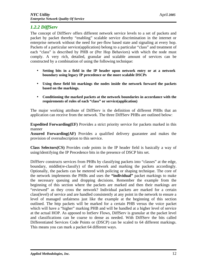## *1.2.2 DiffServ*

The concept of DiffServ offers different network service levels to a set of packets and packet by packet thereby "enabling" scalable service discrimination in the internet or enterprise network without the need for per-flow based state and signaling at every hop. Packets of a particular service(application) belong to a particular "class" and treatment of each "class" is described by PHB or (Per Hop Behaviors) with which the node must comply. A very rich, detailed, granular and scalable amount of services can be constructed by a combination of using the following technique:

- **Setting bits in a field in the IP header upon network entry or at a network boundary using legacy IP precedence or the more scalable DSCPs**
- **Using these field bit markings the nodes inside the network forward the packets based on the markings.**
- **Conditioning the marked packets at the network boundaries in accordance with the requirements of rules of each "class" or service(application)**

The major working attribute of DiffServ is the definition of different PHBs that an application can receive from the network. The three DiffServ PHBs are outlined below:

**Expedited Forwarding(EF)** Provides a strict priority service for packets marked in this manner

**Assured Forwarding(AF)** Provides a qualified delivery guarantee and makes the provision of oversubscription to this service.

**Class Selectors(CS)** Provides code points in the IP header field is basically a way of using/identifying the IP Precedence bits in the presence of DSCP bits set.

DiffServ constructs services from PHBs by classifying packets into "classes" at the edge, boundary, middle(re-classify) of the network and marking the packets accordingly. Optionally, the packets can be metered with policing or shaping technique. The core of the network implements the PHBs and uses the **"individual"** packet markings to make the necessary queuing and dropping decisions. Remember the example from the beginning of this section where the packets are marked and then their markings are "reviewed" as they cross the network? Individual packets are marked for a certain class(level) of service and are handled consistently at any point in the network to ensure a level of managed unfairness just like the example at the beginning of this section outlined. The http packets will be marked for a certain PHB versus the voice packet which will have a "higher" marking PHB and will be handled at a higher level of service at the actual HOP. As apposed to IntServ Flows, DiffServ is granular at the packet level and classifications can be coarse to dense as needed. With DiffServ the bits called Differentiated Services Code Points or (DSCP) can be scaled to 64 different markings. This means you can mark a packet 64 different ways.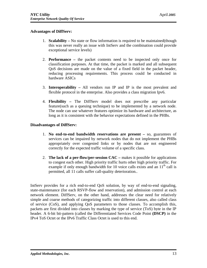#### **Advantages of DiffServ:**

- 1. **Scalability –** No state or flow information is required to be maintained(though this was never really an issue with IntServ and the combination could provide exceptional service levels)
- 2. **Performance –** the packet contents need to be inspected only once for classification purposes. At that time, the packet is marked and all subsequent QoS decisions are made on the value of a fixed field in the packet header, reducing processing requirements. This process could be conducted in hardware ASICs
- 3. **Interoperability –** All vendors run IP and IP is the most prevalent and flexible protocol in the enterprise. Also provides a class migration Ipv6.
- 4. **Flexibility –** The DiffServ model does not prescribe any particular feature(such as a queuing technique) to be implemented by a network node. The node can use whatever features optimize its hardware and architecture, as long as it is consistent with the behavior expectations defined in the PHBs.

#### **Disadvantages of DiffServ:**

- 1. **No end-to-end bandwidth reservations are present –** so, guarantees of services can be impaired by network nodes that do not implement the PHBs appropriately over congested links or by nodes that are not engineered correctly for the expected traffic volume of a specific class.
- 2. **The lack of a per-flow/per-session CAC –** makes it possible for applications to congest each other. High priority traffic hurts other high priority traffic. For example if only enough bandwidth for 10 voice calls exists and an  $11<sup>th</sup>$  call is permitted, all 11 calls suffer call-quality deterioration..

IntServ provides for a rich end-to-end QoS solution, by way of end-to-end signaling, state-maintenance (for each RSVP-flow and reservation), and admission control at each network element. DiffServ, on the other hand, addresses the clear need for relatively simple and coarse methods of categorizing traffic into different classes, also called class of service (CoS), and applying QoS parameters to those classes. To accomplish this, packets are first divided into classes by marking the type of service (ToS) byte in the IP header. A 6-bit bit-pattern (called the Differentiated Services Code Point **(DSCP)** in the IPv4 ToS Octet or the IPv6 Traffic Class Octet is used to this end.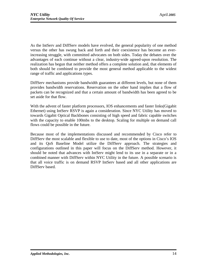As the IntServ and DiffServ models have evolved, the general popularity of one method versus the other has swung back and forth and their coexistence has become an everincreasing struggle, with committed advocates on both sides. Today the debates over the advantages of each continue without a clear, industry-wide agreed-upon resolution. The realization has begun that neither method offers a complete solution and, that elements of both should be combined to provide the most general method applicable to the widest range of traffic and applications types.

DiffServ mechanisms provide bandwidth guarantees at different levels, but none of them provides bandwidth reservations. Reservation on the other hand implies that a flow of packets can be recognized and that a certain amount of bandwidth has been agreed to be set aside for that flow.

With the advent of faster platform processors, IOS enhancements and faster links(Gigabit Ethernet) using IntServ RSVP is again a consideration. Since NYC Utility has moved to towards Gigabit Optical Backbones consisting of high speed and fabric capable switches with the capacity to enable 100mbs to the desktop. Scaling for multiple on demand call flows could be possible in the future.

Because most of the implementations discussed and recommended by Cisco refer to DiffServ the most scalable and flexible to use to date, most of the options in Cisco's IOS and its QoS Baseline Model utilize the DiffServ approach. The strategies and configurations outlined in this paper will focus on the DiffServ method. However, it should be noted that advances with IntServ might lend to its use in a separate or in a combined manner with DiffServ within NYC Utility in the future. A possible scenario is that all voice traffic is on demand RSVP IntServ based and all other applications are DiffServ based.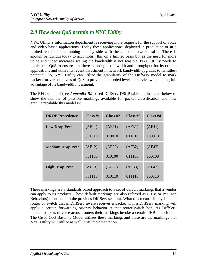## *2.0 How does QoS pertain to NYC Utility*

NYC Utility's Information department is receiving more requests for the support of voice and video based applications. Today these applications, deployed in production or in a limited test pilot are running side by side with the general network traffic. There is enough bandwidth today to accomplish this on a limited basis but as the need for more voice and video increases scaling the bandwidth is not feasible. NYC Utility needs to implement QoS to ensure that there is enough bandwidth and throughput for its critical applications and utilize its recent investment in network bandwidth upgrades to its fullest potential. So, NYC Utility can utilize the granularity of the DiffServ model to mark packets for various levels of QoS to provide the needed levels of service while taking full advantage of its bandwidth investment.

The RFC standards(see *Appendix B.)* based DiffServ DSCP table is illustrated below to show the number of possible markings available for packet classification and how granular/scalable this model is:

| <b>DROP</b> Precedence  | Class #1 | Class #2 | Class $#3$ | Class #4 |
|-------------------------|----------|----------|------------|----------|
| <b>Low Drop Prec</b>    | (AF11)   | (AF21)   | (AF31)     | (AF41)   |
|                         | 001010   | 010010   | 011010     | 100010   |
| <b>Medium Drop Prec</b> | (AF12)   | (AF22)   | (AF32)     | (AF42)   |
|                         | 001100   | 010100   | 011100     | 100100   |
| <b>High Drop Prec</b>   | (AF13)   | (AF23)   | (AF33)     | (AF43)   |
|                         | 001110   | 010110   | 011110     | 100110   |

These markings are a standards based approach to a set of default markings that a vendor can apply to its products. These default markings are also referred as PHBs or Per Hop Behaviors( mentioned in the previous DiffServ section). What this means simply is that a router or switch that is DiffServ aware receives a packet with a DiffServ marking will apply a certain forwarding priority behavior at that router/switch hop. As DiffServ marked packets traverse across routers their markings invoke a certain PHB at each hop. The Cisco QoS Baseline Model utilizes these markings and these are the markings that NYC Utility will utilize as well in its implementation.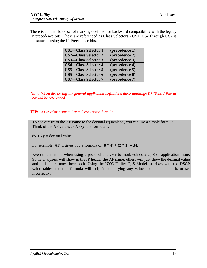There is another basic set of markings defined for backward compatibility with the legacy IP precedence bits. These are referenced as Class Selectors - **CS1, CS2 through CS7** is the same as using the IP Precedence bits.

| <b>CS1-Class Selector 1</b> | (precedence 1) |
|-----------------------------|----------------|
| <b>CS2-Class Selector 2</b> | (precedence 2) |
| <b>CS3—Class Selector 3</b> | (precedence 3) |
| <b>CS4—Class Selector 4</b> | (precedence 4) |
| <b>CS5-Class Selector 5</b> | (precedence 5) |
| <b>CS5-Class Selector 6</b> | (precedence 6) |
| <b>CS7-Class Selector 7</b> | (precedence 7) |

*Note: When discussing the general application definitions these markings DSCPxx, AFxx or CSx will be referenced.*

**TIP:** DSCP value name to decimal conversion formula

To convert from the AF name to the decimal equivalent , you can use a simple formula: Think of the AF values as AF**xy**, the formula is

 $8x + 2y =$  decimal value.

For example, AF41 gives you a formula of  $(8 * 4) + (2 * 1) = 34$ .

Keep this in mind when using a protocol analyzer to troubleshoot a QoS or application issue. Some analyzers will show in the IP header the AF name, others will just show the decimal value and still others may show both. Using the NYC Utility QoS Model matrixes with the DSCP value tables and this formula will help in identifying any values not on the matrix or set incorrectly.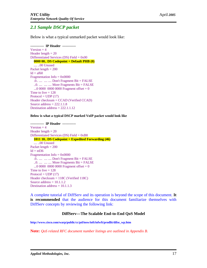## *2.1 Sample DSCP packet*

Below is what a typical unmarked packet would look like:

**------------ IP Header ------------**  $Version = 4$ Header length  $= 20$ Differentiated Services (DS) Field = 0x00 **0000 00.. DS Codepoint = Default PHB (0)** .... ..00 Unused Packet length  $= 200$  $Id = af60$ Fragmentation Info  $= 0x0000$  .0.. .... .... .... Don't Fragment Bit = FALSE  $...$   $...$   $...$   $...$   $...$  More Fragments Bit = FALSE ...0 0000 0000 00000 Fragment offset =  $0$ Time to live  $= 128$  $Protocol = UDP (17)$ Header checksum = CCAD (Verified CCAD) Source address  $= 222.1.1.8$ Destination address  $= 222.1.1.12$ 

**Below is what a typical DSCP marked VoIP packet would look like**

**------------ IP Header ------------**  $Version = 4$ Header length  $= 20$ Differentiated Services (DS) Field = 0xB8  **1011 10.. DS Codepoint = Expedited Forwarding (46)** .... ..00 Unused Packet length  $= 200$  $Id = ed36$ Fragmentation Info  $= 0x0000$  .0.. .... .... .... Don't Fragment Bit = FALSE ..0. .... .... .... More Fragments Bit = FALSE ...0 0000 0000 00000 Fragment offset =  $0$ Time to live  $= 128$  $Protocol = UDP (17)$ Header checksum = 118C (Verified 118C) Source address  $= 10.1.1.2$ Destination address  $= 10.1.1.3$ 

A complete tutorial of DiffServ and its operation is beyond the scope of this document. **It is recommended** that the audience for this document familiarize themselves with DiffServ concepts by reviewing the following link:

#### **DiffServ—The Scalable End-to-End QoS Model**

**[http://www.cisco.com/warp/public/cc/pd/iosw/ioft/iofwft/pr](http://www.cisco.com/warp/public/cc/pd/iosw/ioft/iofwft/pro)odlit/difse\_wp.htm**

**Note:** *QoS related RFC document number listings are outlined in Appendix B.*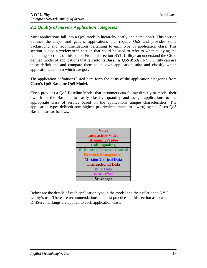## *2.2 Quality of Service Application categories*

Most applications fall into a QoS model's hierarchy neatly and some don't. This section outlines the major and generic applications that require QoS and provides some background and recommendations pertaining to each type of application class. This section is also a **"reference"** section that could be used to refer to when studying the remaining sections of this paper. From this section NYC Utility can understand the Cisco defined model of applications that fall into its *Baseline QoS Mode*l. NYC Utility can use these definitions and compare them to its own application suite and classify which applications fall into which category.

The application definitions listed here form the basis of the application categories from **Cisco's QoS Baseline QoS Model.**

Cisco provides a QoS Baseline Model that customers can follow directly or model their own from the Baseline to easily classify, quantify and assign applications to the appropriate class of service based on the applications unique characteristics. The application types defined(from highest priority/importance to lowest) by the Cisco QoS Baseline are as follows:

| <b>Voice</b>                      |
|-----------------------------------|
| <b>Interactive-Video</b>          |
| <b>Streaming-Video</b>            |
| <b>Call Signaling</b>             |
| <b>IP Routing/Network Control</b> |
| <b>Network Management</b>         |
| <b>Mission-Critical Data</b>      |
| <b>Transactional Data</b>         |
| <b>Bulk Data</b>                  |
| <b>Best Effort</b>                |
| <b>Scavenger</b>                  |

Below are the details of each application type in the model and their relation to NYC Utility's use. There are recommendations and best practices in this section as to what DiffServ markings are applied to each application class.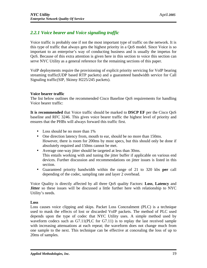## *2.2.1 Voice bearer and Voice signaling traffic*

Voice traffic is probably one if not the most important type of traffic on the network. It is this type of traffic that always gets the highest priority in a QoS model. Since Voice is so important to an enterprise's way of conducting business and is usually the impetus for QoS. Because of this extra attention is given here in this section to voice this section can serve NYC Utility as a general reference for the remaining sections of this paper.

VoIP deployments require the provisioning of explicit priority servicing for VoIP bearing streaming traffic(UDP based RTP packets) and a guaranteed bandwidth service for Call Signaling traffic(SIP, Skinny H225/245 packets).

## **Voice bearer traffic**

The list below outlines the recommended Cisco Baseline QoS requirements for handling Voice bearer traffic:

**It is recommended** that Voice traffic should be marked to **DSCP EF** per the Cisco QoS baseline and RFC 3246. This gives voice bearer traffic the highest level of priority and ensures that the PHBs will always forward this traffic first.

- Loss should be no more than 1%
- One direction latency from, mouth to ear, should be no more than 150ms. However, there is room for 200ms by most specs, but this should only be done if absolutely required and 150ms cannot be met.
- Average one-way jitter should be targeted at less than 30ms. This entails working with and tuning the jitter buffer if applicable on various end devices. Further discussion and recommendations on jitter issues is listed in this section.
- Guaranteed priority bandwidth within the range of 21 to 320 kbs **per** call depending of the codec, sampling rate and layer 2 overhead.

Voice Quality is directly affected by all three QoS quality Factors: **Loss**, **Latency** and **Jitter** so these issues will be discussed a little further here with relationship to NYC Utility's needs.

### **Loss**

Loss causes voice clipping and skips. Packet Loss Concealment (PLC) is a technique used to mask the effects of lost or discarded VoIP packets. The method of PLC used depends upon the type of codec that NYC Utility uses. A simple method used by waveform codecs such as G7.11(PLC for G7.11) is to replay the last received sample with increasing attenuations at each repeat; the waveform does not change much from one sample to the next. This technique can be effective at concealing the loss of up to 20ms of samples.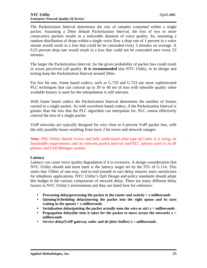The Packetization Interval determines the size of samples contained within a single packet. Assuming a 20ms default Packetization Interval, the loss of two or more consecutive packets results in a noticeable duration of voice quality. So, assuming a random distribution of drops within a single voice flow a drop rate of 1 percent in a voice stream would result in a loss that could be be concealed every 3 minutes on average. A 0.25 percent drop rate would result in a loss that could not be concealed once every 53 minutes.

The larger the Packetization Interval, for the given probability of packet loss could result in worse perceived call quality. **It is recommended** that NYC Utility, in its design and testing keep the Packetization Interval around 20ms.

For low bit rate, frame based codecs, such as G.729 and G.723 use more sophisticated PLC techniques that can conceal up to 30 to 40 ms of loss with tolerable quality when available history is used for the interpolation is still relevant.

With frame based codecs the Packetization Interval determines the number of frames carried in a single packet. As with waveform based codecs, if the Packetization Interval is greater than the loss that the PLC algorithm can interpolate for, PLC cannot effectively conceal the loss of a single packet.

VoIP networks are typically designed for very close to 0 percent VoIP packet loss, with the only possible losses resulting from layer 2 bit errors and network outages.

*Note: NYC Utility should review and fully understand what type of Codec it is using, its bandwidth requirements and its relevant packet interval and PLC options used in its IP phones and Call Manager system.* 

### **Latency**

Latency can cause voice quality degradation if it is excessive. A design consideration that NYC Utility should and must meet is the latency target set by the ITU of G.114. This states that 150ms of one-way, end-to-end (mouth to ear) delay ensures users satisfaction for telephony applications. NYC Utility's QoS Design and policy standards should adopt this budget to the various components of network delay. There are many different delay factors in NYC Utility's environment and they are listed here for reference:

- **Processing delay(processing the packet in the router and switch) = x milliseconds**
- **Queuing/Scheduling delay(moving the packet into the right queue and its turn waiting in the queue) = x milliseconds**
- Serialization delay(putting the packet actually onto the wire or air)  $x =$  milliseconds
- **Propagation delay(the time it takes for the packet to move across the network)**  $x =$ **milliseconds**
- Service delay(VoIP gateway codec and de-jitter buffer)  $x =$  milliseconds.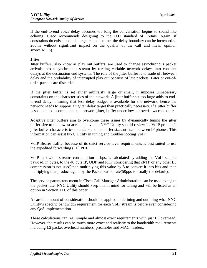If the end-to-end voice delay becomes too long the conversation begins to sound like echoing. Cisco recommends designing to the ITU standard of 150ms. Again, if constraints do exists and this target cannot be met the delay boundary can be increased to 200ms without significant impact on the quality of the call and mean opinion scores(MOS).

#### **Jitter**

Jitter buffers, also know as play out buffers, are used to change asynchronous packet arrivals into a synchronous stream by turning variable network delays into constant delays at the destination end systems. The role of the jitter buffer is to trade off between delay and the probability of interrupted play out because of late packets. Later or out-oforder packets are discarded.

If the jitter buffer is set either arbitrarily large or small, it imposes unnecessary constraints on the characteristics of the network. A jitter buffer set too large adds to endto-end delay, meaning that less delay budget is available for the network, hence the network needs to support a tighter delay target than practically necessary. If a jitter buffer is so small to accommodate the network jitter, buffer underflows or overflows can occur.

Adaptive jitter buffers aim to overcome these issues by dynamically tuning the jitter buffer size to the lowest acceptable value. NYC Utility should review its VoIP product's jitter buffer characteristics to understand the buffer sizes utilized between IP phones. This information can assist NYC Utility in tuning and troubleshooting VoIP.

VoIP Bearer traffic, because of its strict service-level requirements is best suited to use the expedited forwarding (EF) PHB.

VoIP bandwidth streams consumption in bps, is calculated by adding the VoIP sample payload, in bytes, to the 40 byte IP, UDP and RTP(considering that cRTP or any other L3 compression is not used)then multiplying this value by 8 to convert it into bits and then multiplying that product again by the Packetization rate(50pps is usually the default).

The service parameters menu in Cisco Call Manager Administration can be used to adjust the packet rate. NYC Utility should keep this in mind for tuning and will be listed as an option in Section 11.0 of this paper.

A careful amount of consideration should be applied to defining and outlining what NYC Utility's specific bandwidth requirement for each VoIP stream is before even considering any QoS implementation.

These calculations can rear simple and almost exact requirements with just L3 overhead. However, the results can be much more exact and realistic to the bandwidth requirements including L2 packet overhead numbers, preambles and MAC headers.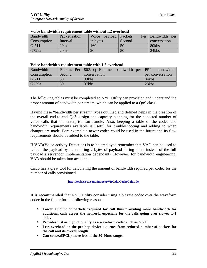| Bandwidth    | Packetization | Voice payload Packets |        | Per   Bandwidth<br>per |
|--------------|---------------|-----------------------|--------|------------------------|
| Consumption  | Interval      | in bytes              | Second | conversation           |
| $\mid$ G.711 | 20ms          | 160                   | 50     | 80kbs                  |
| G729a        | 20ms          | 20                    | 50     | 24kbs                  |

#### **Voice bandwidth requirement table without L2 overhead**

#### **Voice bandwidth requirement table with L2 overhead**

| Bandwidth          |        | Packets Per 802.1Q Ethernet bandwidth per PPP | bandwidth        |
|--------------------|--------|-----------------------------------------------|------------------|
| <b>Consumption</b> | Second | conservation                                  | per conversation |
| G.711              | 50     | 93kbs                                         | 84kbs            |
| G729a              | 50     | 37kbs                                         | 28kbs            |

The following tables must be completed so NYC Utility can provision and understand the proper amount of bandwidth per stream, which can be applied to a QoS class.

Having these "bandwidth per stream" types outlined and defined helps in the creation of the overall end-to-end QoS design and capacity planning for the expected number of voice calls that the enterprise can handle. Also, keeping a table of the codec and bandwidth requirements available is useful for troubleshooting and adding to when changes are made. Fore example a newer codec could be used in the future and its flow requirements should be added to the table.

If VAD(Voice activity Detection) is to be employed remember that VAD can be used to reduce the payload by transmitting 2 bytes of payload during silent instead of the full payload size(vendor implementation dependant). However, for bandwidth engineering, VAD should be taken into account.

Cisco has a great tool for calculating the amount of bandwidth required per codec for the number of calls provisioned.

#### **[http://tools.cisco.com/Support/VBC/do/CodecCalc1.d](http://tools.cisco.com/Support/VBC/do/CodecCalc1.do)o**

**It is recommended** that NYC Utility consider using a bit rate codec over the waveform codec in the future for the following reasons:

- **Lower amount of packets required for call thus providing more bandwidth for additional calls across the network, especially for the calls going over slower T-1 links.**
- **Provides just as high of quality as a waveform codec such as G.711**
- **Less overhead on the per hop device's queues from reduced number of packets for the call and its overall length.**
- **Can conceal(PCL) more loss in the 30-40ms ranges**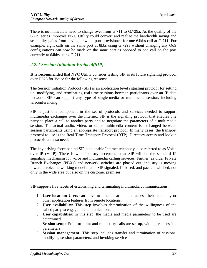There is no immediate need to change over from G.711 to G.729a. As the quality of the G729 series improves NYC Utility could convert and realize the bandwidth saving and scalability gains from having a switch port provisioned for one 64kbs call at G.711. For example, eight calls on the same port at 8kbs using G.729a without changing any QoS configurations can now be made on the same port as opposed to one call on the port currently at 64kbs using G.711.

## *2.2.2 Session Initiation Protocol(SIP)*

**It is recommended** that NYC Utility consider testing SIP as its future signaling protocol over H323 for Voice for the following reasons:

The Session Initiation Protocol (SIP) is an application level signaling protocol for setting up, modifying, and terminating real-time sessions between participants over an IP data network. SIP can support any type of single-media or multimedia session, including teleconferencing.

SIP is just one component in the set of protocols and services needed to support multimedia exchanges over the Internet. SIP is the signaling protocol that enables one party to place a call to another party and to negotiate the parameters of a multimedia session. The actual audio, video, or other multimedia content is exchanged between session participants using an appropriate transport protocol. In many cases, the transport protocol to use is the Real-Time Transport Protocol (RTP). Directory access and lookup protocols are also needed.

The key driving force behind SIP is to enable Internet telephony, also referred to as Voice over IP (VoIP). There is wide industry acceptance that SIP will be the standard IP signaling mechanism for voice and multimedia calling services. Further, as older Private Branch Exchanges (PBXs) and network switches are phased out, industry is moving toward a voice networking model that is SIP signaled, IP based, and packet switched, not only in the wide area but also on the customer premises.

SIP supports five facets of establishing and terminating multimedia communications:

- 1. **User location:** Users can move to other locations and access their telephony or other application features from remote locations.
- 2. **User availability:** This step involves determination of the willingness of the called party to engage in communications.
- 3. **User capabilities**: In this step, the media and media parameters to be used are determined.
- 4. **Session setup**: Point-to-point and multiparty calls are set up, with agreed session parameters.
- 5. **Session management:** This step includes transfer and termination of sessions, modifying session parameters, and invoking services.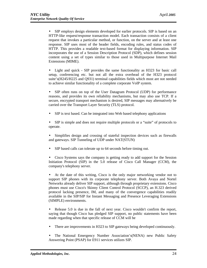• SIP employs design elements developed for earlier protocols. SIP is based on an HTTP-like request/response transaction model. Each transaction consists of a client request that invokes a particular method, or function, on the server and at least one response. SIP uses most of the header fields, encoding rules, and status codes of HTTP. This provides a readable text-based format for displaying information. SIP incorporates the use of a Session Description Protocol (SDP), which defines session content using a set of types similar to those used in Multipurpose Internet Mail Extensions (MIME).

• Light and quick - SIP provides the same functionality as H323 for basic call setup, conferencing etc. but not all the extra overhead of the H323 protocol suite's(H245/H225 and Q931) terminal capabilities fields which most are not needed to achieve similar functionality of a complete corporate VoIP system.

• SIP often runs on top of the User Datagram Protocol (UDP) for performance reasons, and provides its own reliability mechanisms, but may also use TCP. If a secure, encrypted transport mechanism is desired, SIP messages may alternatively be carried over the Transport Layer Security (TLS) protocol.

SIP is text based. Can be integrated into Web based telephony applications

• SIP is simple and does not require multiple protocols or a "suite" of protocols to operate.

- Simplifies design and crossing of stateful inspection devices such as firewalls and gateways. SIP Tunneling of UDP under NAT(STUN)
- SIP based calls can tolerate up to 64 seconds before timing out.

• Cisco Systems says the company is getting ready to add support for the Session Initiation Protocol (SIP) in the 5.0 release of Cisco Call Manager (CCM), the company's telephony server.

• At the date of this writing, Cisco is the only major networking vendor not to support SIP phones with its corporate telephony server. Both Avaya and Nortel Networks already deliver SIP support, although through proprietary extensions. Cisco phones must use Cisco's Skinny Client Control Protocol (SCCP), an H.323 derived protocol lacking presence, IM, and many of the convergence capabilities readily available in the SIP/SIP for Instant Messaging and Presence Leveraging Extensions (SIMPLE) environments.

• Release 5.0 is due in the fall of next year. Cisco wouldn't confirm the report, saying that though Cisco has pledged SIP support, no public statements have been made regarding when that specific release of CCM will be

- There are improvements in H323 to SIP gateways being developed continuously.
- The National Emergency Number Association's(NENA) new Public Safety Answering Point (PSAP) for E911 services utilizes SIP.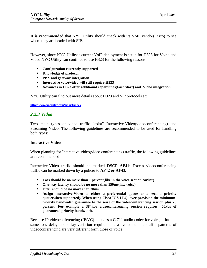**It is recommended** that NYC Utility should check with its VoIP vendor(Cisco) to see where they are headed with SIP.

However, since NYC Utility's current VoIP deployment is setup for H323 for Voice and Video NYC Utility can continue to use H323 for the following reasons

- **Configuration currently supported**
- **Knowledge of protocol**
- **PBX and gateway integration**
- **Interactive voice/video will still require H323**
- **Advances in H323 offer additional capabilities(Fast Start) and Video integration**

NYC Utility can find out more details about H323 and SIP protocols at:

**[http://www.sipcenter.com/sip.nsf/inde](http://www.sipcenter.com/sip.nsf/index)x**

## *2.2.3 Video*

Two main types of video traffic "exist" Interactive-Video(videoconferencing) and Streaming Video. The following guidelines are recommended to be used for handling both types:

#### **Interactive-Video**

When planning for Interactive-video(video conferencing) traffic, the following guidelines are recommended:

Interactive-Video traffic should be marked **DSCP AF41**: Excess videoconferencing traffic can be marked down by a policer to **AF42 or AF43.**

- **Loss should be no more than 1 percent(like in the voice section earlier)**
- **One-way latency should be no more than 150ms(like voice)**
- **Jitter should be no more than 30ms**
- **Assign interactive-Video to either a preferential queue or a second priority queue(when supported). When using Cisco IOS LLQ, over provision the minimumpriority bandwidth guarantee to the seize of the videoconferencing session plus 20 percent. For example a 384kbs videoconferencing session requires 460kbs of guaranteed priority bandwidth.**

Because IP videoconferencing (IP/VC) includes a G.711 audio codec for voice, it has the same loss delay and delay-variation requirements as voice-but the traffic patterns of videoconferencing are very different form those of voice.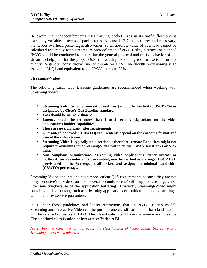Be aware that videoconferencing uses varying packet sizes in its traffic flow and is extremely variable in terms of packet rates. Because IP/VC packet sizes and rates vary, the header overhead percentages also varies, so an absolute value of overhead cannot be calculated accurately for a streams. A protocol trace of NYC Utility's typical or planned IP/VC should be conducted to determine the general protocol and traffic behavior of the stream to help plan for the proper QoS bandwidth provisioning tool to use to ensure its quality. A general conservative rule of thumb for IP/VC bandwidth provisioning is to assign an LLQ band equivalent to the IP/VC rate plus 20%.

## **Streaming-Video**

The following Cisco QoS Baseline guidelines are recommended when working with Streaming video:

- **Streaming Video (whether unicast or multicast) should be marked to DSCP CS4 as designated by Cisco's QoS Baseline standard.**
- **Loss should be no more than 5%**
- **Latency should be no more than 4 to 5 seconds (dependant on the video application's budder capabilities).**
- **There are no significant jitter requirements.**
- **Guaranteed bandwidth(CBWFQ) requirements depend on the encoding format and rate of the video stream.**
- **Streaming-Video is typically unidirectional; therefore, remote Loop sites might not require provisioning for Streaming-Video traffic on their WAN serial links or VPN links.**
- **Non compliant organizational Streaming video applications (either unicast or multicast) such as entertain video content, may be marked as scavenger DSCP CS1, provisioned in the Scavenger traffic class and assigned a minimal bandwidth (CBWFQ) percentage.**

Streaming Video applications have more lenient QoS requirements because they are not delay sensitive(the video can take several seconds to cue/buffer up)and are largely not jitter sensitive(because of the application buffering). However, Streaming-Video might contain valuable content, such as e-learning applications or multicast company meetings, which requires service guarantees.

It is under these guidelines and looser restrictions that, in NYC Utility's model, Streaming and Interactive Video can be put into one classification and that classification will be referred to just as VIDEO. This classification will have the same marking as the Cisco defined classification of **Interactive Video AF41**.

*Note: For the remainder of this paper the classification of Video entails Interactive and Streaming unless noted otherwise.*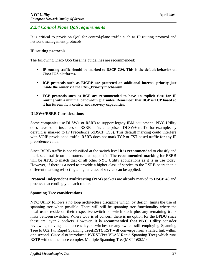## *2.2.4 Control Plane QoS requirements*

It is critical to provision QoS for control-plane traffic such as IP routing protocol and network management protocols.

### **IP routing protocols**

The following Cisco QoS baseline guidelines are recommended:

- **IP routing traffic should be marked to DSCP CS6. This is the default behavior on Cisco IOS platforms.**
- **IGP protocols such as EIGRP are protected an additional internal priority just inside the router via the PAK\_Priority mechanism.**
- **EGP protocols such as BGP are recommended to have an explicit class for IP routing with a minimal bandwidth guarantee. Remember that BGP is TCP based so it has its own flow control and recovery capabilities.**

### **DLSW+/RSRB Considerations**

Some companies use DLSW+ or RSRB to support legacy IBM equipment. NYC Utility does have some instances of RSRB in its enterprise. DLSW+ traffic for example, by default, is marked to IP Precedence 5(DSCP CS5). This default marking could interfere with VOIP provisioned traffic. RSRB does not mark TCP or FST based traffic for any IP precedence value.

Since RSRB traffic is not classified at the switch level **it is recommended** to classify and mark such traffic on the routers that support it. **The recommended marking** for RSRB will be **AF31** to match that of all other NYC Utility applications as it is in use today. However, if there is a need to provide a higher class of service to the RSRB peers than a different marking reflecting a higher class of service can be applied.

**Protocol Independent Multicasting (PIM)** packets are already marked to **DSCP 48** and processed accordingly at each router.

### **Spanning Tree considerations**

NYC Utility follows a no loop architecture discipline which, by design, limits the use of spanning tree when possible. There will still be spanning tree functionality where the local users reside on their respective switch or switch stack plus any remaining trunk links between switches. Where QoS is of concern there is no option for the BPDU since these are layer 2 packets. However, **it is recommended that NYC Utility** consider reviewing moving their access layer switches or any switch still employing Spanning Tree to 802.1w, Rapid Spanning Tree(RST). RST will converge from a failed link within one second. Cisco also introduced PVRST(Per VLAN Rapid Spanning Tree) which runs RSTP without the more complex Multiple Spanning Tree(MSTP)802.1s.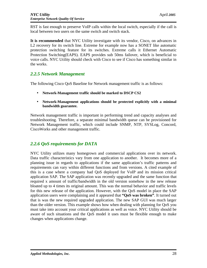RST is fast enough to preserve VoIP calls within the local switch, especially if the call is local between two users on the same switch and switch stack.

**It is recommended** that NYC Utility investigate with its vendor, Cisco, on advances in L2 recovery for its switch line. Extreme for example now has a SONET like automatic protection switching feature for its switches. Extreme calls it Ethernet Automatic Protection Switching(EAPS). EAPS provides sub 50ms failover, which is beneficial to voice calls. NYC Utility should check with Cisco to see if Cisco has something similar in the works.

## *2.2.5 Network Management*

The following Cisco QoS Baseline for Network management traffic is as follows:

- **Network-Management traffic should be marked to DSCP CS2**
- **Network-Management applications should be protected explicitly with a minimal bandwidth guarantee.**

Network management traffic is important in performing trend and capacity analyses and troubleshooting. Therefore, a separate minimal bandwidth queue can be provisioned for Network Management traffic, which could include SNMP, NTP, SYSLog, Concord, CiscoWorks and other management traffic.

## *2.2.6 QoS requirements for DATA*

NYC Utility utilizes many homegrown and commercial applications over its network. Data traffic characteristics vary from one application to another. It becomes more of a planning issue in regards to applications if the same application's traffic patterns and requirements can vary within different functions and from versions. A cited example of this is a case where a company had QoS deployed for VoIP and its mission critical application SAP. The SAP application was recently upgraded and the same function that required x amount of traffic/bandwidth in the old version somehow in the new release bloated up to 4 times its original amount. This was the normal behavior and traffic levels for this new release of the application. However, with the QoS model in place the SAP application users were complaining and it appeared that **"QoS was broken"**. It turned out that is was the new required upgraded application. The new SAP GUI was much larger than the older version. This example shows how when dealing with planning for QoS you must take into account your critical applications as well as voice. NYC Utility should be aware of such situations and the QoS model it uses must be flexible enough to make changes when applications change.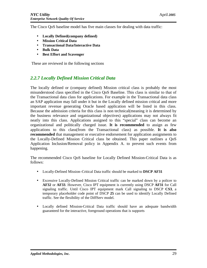The Cisco QoS baseline model has five main classes for dealing with data traffic:

- **Locally Defined(company defined)**
- **Mission Critical Data**
- **Transactional Data/Interactive Data**
- **Bulk Data**
- **Best Effort and Scavenger**

These are reviewed in the following sections

## *2.2.7 Locally Defined Mission Critical Data*

The locally defined or (company defined) Mission critical class is probably the most misunderstood class specified in the Cisco QoS Baseline. This class is similar to that of the Transactional data class for applications. For example in the Transactional data class an SAP application may fall under it but in the Locally defined mission critical and more important revenue generating Oracle based application will be listed in this class. Because the admission criteria for this class is non technical(meaning it is determined by the business relevance and organizational objectives) applications may not always fit neatly into this class. Applications assigned to this "special" class can become an organizational and politically charged issue. **It is recommended** to assign as few applications to this class(from the Transactional class) as possible. **It is also recommended** that management or executive endorsement for application assignments to the Locally-Defined Mission Critical class be obtained. This paper outlines a QoS Application Inclusion/Removal policy in Appendix A. to prevent such events from happening.

The recommended Cisco QoS baseline for Locally Defined Mission-Critical Data is as follows:

- Locally-Defined Mission–Critical Data traffic should be marked to **DSCP AF31**
- Excessive Locally-Defined Mission Critical traffic can be marked down by a policer to **AF32** or **AF33**. However, Cisco IPT equipment is currently using DSCP **AF31** for Call signaling traffic. Until Cisco IPT equipment mark Call signaling to DSCP **CS3**, a temporary placeholder code point of DSCP **25** can be used to identify Locally Defined traffic. See the flexibility of the DiffServ model.
- Locally defined Mission-Critical Data traffic should have an adequate bandwidth guaranteed for the interactive, foreground operations that is supports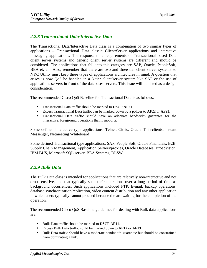## *2.2.8 Transactional Data/Interactive Data*

The Transactional Data/Interactive Data class is a combination of two similar types of applications – Transactional Data classic Client/Server applications and interactive messaging applications. The response time requirements of Transactional based Data client server systems and generic client server systems are different and should be considered. The applications that fall into this category are SAP, Oracle, PeopleSoft, BEA et. al. Also, remember that there are two and three tier client server systems so NYC Utility must keep these types of applications architectures in mind. A question that arises is how QoS be handled in a 3 tier client/server system like SAP or the use of applications servers in front of the databases servers. This issue will be listed as a design consideration.

The recommended Cisco QoS Baseline for Transactional Data is as follows:

- Transactional Data traffic should be marked to **DSCP AF21**
- Excess Transactional Data traffic can be marked down by a policer to **AF22** or **AF23.**
- Transactional Data traffic should have an adequate bandwidth guarantee for the interactive, foreground operations that it supports.

Some defined Interactive type applications: Telnet, Citrix, Oracle Thin-clients, Instant Messenger, Netmeeting Whiteboard

Some defined Transactional type applications: SAP, People Soft, Oracle Financials, B2B, Supply Chain Management, Application Servers/proxies, Oracle Databases, Broadvision, IBM BUS, Microsoft SQL server. BEA Systems, DLSW+

## *2.2.9 Bulk Data*

The Bulk Data class is intended for applications that are relatively non-interactive and not drop sensitive, and that typically span their operations over a long period of time as background occurrences. Such applications included FTP, E-mail, backup operations, database synchronization/replication, video content distribution and any other application in which users typically cannot proceed because the are waiting for the completion of the operation.

The recommended Cisco QoS Baseline guidelines for dealing with Bulk data applications are:

- Bulk Data traffic should be marked to **DSCP AF11**.
- Excess Bulk Data traffic could be marked down to **AF12** or **AF13**
- Bulk Data traffic should have a moderate bandwidth guarantee but should be constrained from dominating a link.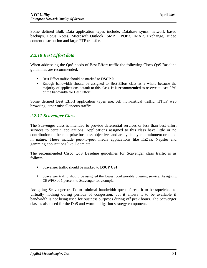Some defined Bulk Data application types include: Database syncs, network based backups, Lotus Notes, Microsoft Outlook, SMPT, POP3, IMAP, Exchange, Video content distribution and large FTP transfers

## *2.2.10 Best Effort data*

When addressing the QoS needs of Best Effort traffic the following Cisco QoS Baseline guidelines are recommended:

- Best Effort traffic should be marked to **DSCP 0**
- Enough bandwidth should be assigned to Best-Effort class as a whole because the majority of applications default to this class. **It is recommended** to reserve at least 25% of the bandwidth for Best Effort.

Some defined Best Effort application types are: All non-critical traffic, HTTP web browsing, other miscellaneous traffic.

## *2.2.11 Scavenger Class*

The Scavenger class is intended to provide deferential services or less than best effort services to certain applications. Applications assigned to this class have little or no contribution to the enterprise business objectives and are typically entertainment oriented in nature. These include peer-to-peer media applications like KaZaa, Napster and gamming applications like Doom etc.

The recommended Cisco QoS Baseline guidelines for Scavenger class traffic is as follows:

- Scavenger traffic should be marked to **DSCP CS1**
- Scavenger traffic should be assigned the lowest configurable queuing service. Assigning CBWFQ of 1 percent to Scavenger for example.

Assigning Scavenger traffic to minimal bandwidth queue forces it to be squelched to virtually nothing during periods of congestion, but it allows it to be available if bandwidth is not being used for business purposes during off peak hours. The Scavenger class is also used for the DoS and worm mitigation strategy component.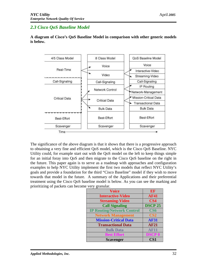## *2.3 Cisco QoS Baseline Model*

**A diagram of Cisco's QoS Baseline Model in comparison with other generic models is below.**



The significance of the above diagram is that it shows that there is a progressive approach to obtaining a very fine and efficient QoS model, which is the Cisco QoS Baseline. NYC Utility could, for example start out with the QoS model on the left to keep things simple for an initial foray into QoS and then migrate to the Cisco QoS baseline on the right in the future. This paper again is to serve as a roadmap with approaches and configuration examples to help NYC Utility implement the first two models that reflect NYC Utility's goals and provide a foundation for the third "Cisco Baseline" model if they wish to move towards that model in the future. A summary of the Applications and their preferential treatment using the Cisco QoS baseline model is below. As you can see the marking and prioritizing of packets can become very granular.

| <b>Voice</b>                      | EF              |
|-----------------------------------|-----------------|
| <b>Interactive-Video</b>          | <b>AF41</b>     |
| <b>Streaming-Video</b>            | CS <sub>4</sub> |
| <b>Call Signaling</b>             | <b>DSCP 25</b>  |
| <b>IP Routing/Network Control</b> | CS <sub>6</sub> |
| <b>Network Management</b>         | CS <sub>2</sub> |
| <b>Mission-Critical Data</b>      | <b>AF31</b>     |
| <b>Transactional Data</b>         | <b>AF21</b>     |
| <b>Bulk Data</b>                  | <b>AF11</b>     |
| <b>Best Effort</b>                | <b>DSCP0</b>    |
| <b>Scavenger</b>                  | CS <sub>1</sub> |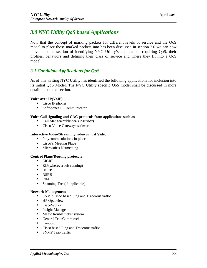## *3.0 NYC Utility QoS based Applications*

Now that the concept of marking packets for different levels of service and the QoS model to place those marked packets into has been discussed in section 2.0 we can now move into the section of identifying NYC Utility's applications requiring QoS, their profiles, behaviors and defining their class of service and where they fit into a QoS model.

## *3.1 Candidate Applications for QoS*

As of this writing NYC Utility has identified the following applications for inclusion into its initial QoS Model. The NYC Utility specific QoS model shall be discussed in more detail in the next section.

#### **Voice over IP(VoIP)**

- Cisco IP phones
- Softphones IP Communicator

#### **Voice Call signaling and CAC protocols from applications such as**

- Call Manger(publisher/subscriber)
- Cisco Voice Gateways software

#### **Interactive Video/Streaming video or just Video**

- Polycomm solutions in place
- Cisco's Meeting Place
- Microsoft's Netmeeting

#### **Control Plane/Routing protocols**

- EIGRP
- RIP(wherever left running)
- HSRP
- RSRB
- PIM
- Spanning Tree(if applicable)

#### **Network Management**

- SNMP Cisco based Ping and Tracerout traffic
- HP Openview
- CiscoWorks
- Insight Manager
- Magic trouble ticket system
- General DataComm racks
- Concord
- Cisco based Ping and Tracerout traffic
- SNMP Trap traffic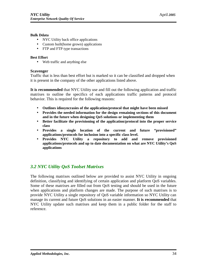#### **Bulk Ddata**

- NYC Utility back office applications
- Custom built(home grown) applications
- FTP and FTP type transactions

#### **Best Effort**

• Web traffic and anything else

## **Scavenger**

Traffic that is less than best effort but is marked so it can be classified and dropped when it is present in the company of the other applications listed above.

**It is recommended** that NYC Utility use and fill out the following application and traffic matrixes to outline the specifics of each applications traffic patterns and protocol behavior. This is required for the following reasons:

- **Outlines idiosyncrasies of the application/protocol that might have been missed**
- **Provides the needed information for the design remaining sections of this document and in the future when designing QoS solutions or implementing them**
- **Better facilitate the provisioning of the application/protocol into the proper service class**
- **Provides a single location of the current and future "provisioned" applications/protocols for inclusion into a specific class level.**
- **Provides NYC Utility a repository to add and remove provisioned applications/protocols and up to date documentation on what are NYC Utility's QoS applications**

## *3.2 NYC Utility QoS Toolset Matrixes*

The following matrixes outlined below are provided to assist NYC Utility in ongoing definition, classifying and identifying of certain application and platform QoS variables. Some of these matrixes are filled out from QoS testing and should be used in the future when applications and platform changes are made. The purpose of such matrixes is to provide NYC Utility a single repository of QoS variable information so NYC Utility can manage its current and future QoS solutions in an easier manner. **It is recommended** that NYC Utility update such matrixes and keep them in a public folder for the staff to reference.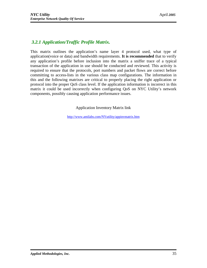## *3.2.1 Application/Traffic Profile Matrix.*

This matrix outlines the application's name layer 4 protocol used, what type of application(voice or data) and bandwidth requirements. **It is recommended** that to verify any application's profile before inclusion into the matrix a sniffer trace of a typical transaction of the application in use should be conducted and reviewed. This activity is required to ensure that the protocols, port numbers and packet flows are correct before committing to access-lists in the various class map configurations. The information in this and the following matrixes are critical to properly placing the right application or protocol into the proper QoS class level. If the application information is incorrect in this matrix it could be used incorrectly when configuring QoS on NYC Utility's network components, possibly causing application performance issues.

Application Inventory Matrix link

[http://www.amilabs.com/NYutility/appinvmatrix.ht](http://www.amilabs.com/NYutility/appinvmatrix.htm)m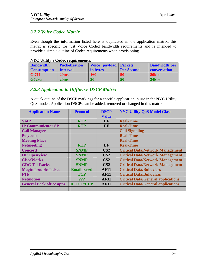## *3.2.2 Voice Codec Matrix*

Even though the information listed here is duplicated in the application matrix, this matrix is specific for just Voice Coded bandwidth requirements and is intended to provide a simple outline of Codec requirements when provisioning.

#### **NYC Utility's Codec requirements.**

| <b>Bandwidth</b>   | <b>Packetization</b> | <b>Voice payload Packets</b> |                   | <b>Bandwidth per</b> |
|--------------------|----------------------|------------------------------|-------------------|----------------------|
| <b>Consumption</b> | <b>Interval</b>      | in bytes                     | <b>Per Second</b> | conversation         |
| $\mid$ G.711       | 20ms                 | <b>160</b>                   | 50                | 80kbs                |
| <b>G729a</b>       | 20 <sub>ms</sub>     | 20                           | 50                | 24kbs                |

## *3.2.3 Application to DiffServe DSCP Matrix*

A quick outline of the DSCP markings for a specific application in use in the NYC Utility QoS model. Application DSCPs can be added, removed or changed in this matrix.

| <b>Application Name</b>          | <b>Protocol</b>    | <b>DSCP</b>     | <b>NYC Utility QoS Model Class</b>        |
|----------------------------------|--------------------|-----------------|-------------------------------------------|
|                                  |                    | <b>Value</b>    |                                           |
| <b>VoIP</b>                      | <b>RTP</b>         | EF              | <b>Real-Time</b>                          |
| <b>IP Communicator SP</b>        | <b>RTP</b>         | EF              | <b>Real-Time</b>                          |
| <b>Call Manager</b>              |                    |                 | <b>Call Signaling</b>                     |
| <b>Polycom</b>                   |                    |                 | <b>Real-Time</b>                          |
| <b>Meeting Place</b>             |                    |                 | <b>Real-Time</b>                          |
| <b>Netmeeting</b>                | <b>RTP</b>         | EF              | <b>Real-Time</b>                          |
| <b>Concord</b>                   | <b>SNMP</b>        | CS <sub>2</sub> | <b>Critical Data/Network Management</b>   |
| <b>HP OpenView</b>               | <b>SNMP</b>        | CS <sub>2</sub> | <b>Critical Data/Network Management</b>   |
| <b>CiscoWorks</b>                | <b>SNMP</b>        | CS <sub>2</sub> | <b>Critical Data/Network Management</b>   |
| <b>GDC T-1 Racks</b>             | <b>SNMP</b>        | CS <sub>2</sub> | <b>Critical Data/Network Management</b>   |
| <b>Magic Trouble Ticket</b>      | <b>Email based</b> | <b>AF11</b>     | <b>Critical Data/Bulk class</b>           |
| <b>FTP</b>                       | <b>TCP</b>         | <b>AF11</b>     | <b>Critical Data/Bulk class</b>           |
| <b>Netmotion</b>                 | ???                | <b>AF31</b>     | <b>Critical Data/General applications</b> |
| <b>General Back office apps.</b> | <b>IP/TCP/UDP</b>  | <b>AF31</b>     | <b>Critical Data/General applications</b> |
|                                  |                    |                 |                                           |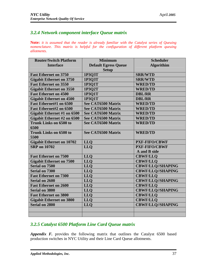## *3.2.4 Network component interface Queue matrix*

**Note:** *it is assumed that the reader is already familiar with the Catalyst series of Queuing nomenclature. This matrix is helpful for the configuration of different platform queuing allotments.* 

| <b>Router/Switch Platform</b>    | <b>Minimum</b>              | <b>Scheduler</b>         |
|----------------------------------|-----------------------------|--------------------------|
| <b>Interface</b>                 | <b>Default Egress Queue</b> | <b>Algorithim</b>        |
|                                  | <b>Setup</b>                |                          |
| <b>Fast Ethernet on 3750</b>     | 1P3Q3T                      | <b>SRR/WTD</b>           |
| <b>Gigabit Ethernet on 3750</b>  | 1P3O3T                      | <b>SRR/WTD</b>           |
| <b>Fast Ethernet on 3550</b>     | 1P3Q1T                      | <b>WRED/TD</b>           |
| <b>Gigabit Ethernet on 3550</b>  | 1P3O2T                      | <b>WRED/TD</b>           |
| <b>Fast Ethernet on 4500</b>     | 1P3Q1T                      | <b>DBL/RR</b>            |
| <b>Gigabit Ethernet on 4500</b>  | 1P3Q1T                      | <b>DBL/RR</b>            |
| <b>Fast Ethernet#1 on 6500</b>   | See CAT6500 Matrix          | <b>WRED/TD</b>           |
| Fast Ethernet#2 on 6500          | See CAT6500 Matrix          | <b>WRED/TD</b>           |
| Gigabit Ethernet #1 on 6500      | See CAT6500 Matrix          | <b>WRED/TD</b>           |
| Gigabit Ethernet #2 on 6500      | See CAT6500 Matrix          | <b>WRED/TD</b>           |
| <b>Trunk Links on 6500 to</b>    | See CAT6500 Matrix          | <b>WRED/TD</b>           |
| 6500                             |                             |                          |
| <b>Trunk Links on 6500 to</b>    | See CAT6500 Matrix          | <b>WRED/TD</b>           |
| 5500                             |                             |                          |
| <b>Gigabit Ethernet on 10702</b> | <b>LLQ</b>                  | <b>PXF-FIFO/CBWF</b>     |
| <b>SRP</b> on 10702              | <b>LLO</b>                  | <b>PXF-FIFO/CBWF</b>     |
|                                  |                             | A and B side             |
| <b>Fast Ethernet on 7500</b>     | <b>LLO</b>                  | <b>CBWF/LLO</b>          |
| <b>Gigabit Ethernet on 7500</b>  | <b>LLQ</b>                  | <b>CBWF/LLQ</b>          |
| Serial on 7500                   | <b>LLQ</b>                  | <b>CBWF/LLQ//SHAPING</b> |
| <b>Serial on 7300</b>            | <b>LLQ</b>                  | <b>CBWF/LLQ//SHAPING</b> |
| <b>Fast Ethernet on 7300</b>     | <b>LLQ</b>                  | <b>CBWF/LLO</b>          |
| <b>Serial on 2600</b>            | <b>LLQ</b>                  | <b>CBWF/LLQ//SHAPING</b> |
| <b>Fast Ethernet on 2600</b>     | <b>LLO</b>                  | <b>CBWF/LLQ</b>          |
| <b>Serial on 3800</b>            | <b>LLO</b>                  | <b>CBWF/LLQ//SHAPING</b> |
| <b>Fast Ethernet on 3800</b>     | <b>LLQ</b>                  | <b>CBWF/LLO</b>          |
| <b>Gigabit Ethernet on 3800</b>  | <b>LLQ</b>                  | <b>CBWF/LLQ</b>          |
| <b>Serial on 2800</b>            | <b>LLQ</b>                  | <b>CBWF/LLQ//SHAPING</b> |
|                                  |                             |                          |
|                                  |                             |                          |

# *3.2.5 Catalyst 6500 Platform Line Card Queue matrix*

*Appendix F.* provides the following matrix that outlines the Catalyst 6500 based production switches in NYC Utility and their Line Card Queue allotments.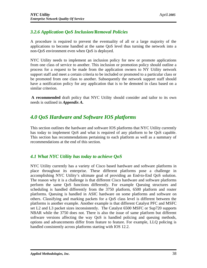# *3.2.6 Application QoS Inclusion/Removal Policies*

A procedure is required to prevent the eventuality of all or a large majority of the applications to become handled at the same QoS level thus turning the network into a non-QoS environment even when QoS is deployed.

NYC Utility needs to implement an inclusion policy for new or promote applications from one class of service to another. This inclusion or promotion policy should outline a process for a request to be made from the application owners to NY Utility network support staff and meet a certain criteria to be included or promoted to a particular class or be promoted from one class to another. Subsequently the network support staff should have a notification policy for any application that is to be demoted in class based on a similar criterion.

**A recommended** draft policy that NYC Utility should consider and tailor to its own needs is outlined in *Appendix A.*

# *4.0 QoS Hardware and Software IOS platforms*

This section outlines the hardware and software IOS platforms that NYC Utility currently has today to implement QoS and what is required of any platform to be QoS capable. This section has recommendations pertaining to each platform as well as a summary of recommendations at the end of this section.

## *4.1 What NYC Utility has today to achieve QoS*

NYC Utility currently has a variety of Cisco based hardware and software platforms in place throughout its enterprise. These different platforms pose a challenge in accomplishing NYC Utility's ultimate goal of providing an End-to-End QoS solution. The reason why it is a challenge is that different Cisco hardware and software platforms perform the same QoS functions differently. For example Queuing structures and scheduling is handled differently from the 3750 platform, 6500 platform and router platforms. Queuing is handled in ASIC hardware on some platforms and software on others. Classifying and marking packets for a QoS class level is different between the platforms is another example. Another example is that different Catalyst PFC and MSFC set L2 and L3 packet sizes inconsistently. The Catalyst 6500 MSFC or Sup720 supports NBAR while the 3750 does not. There is also the issue of same platform but different software versions affecting the way QoS is handled policing and queuing methods, options and advancements differ from feature to feature. For example, LLQ policing is handled consistently across platforms starting with IOS 12.2.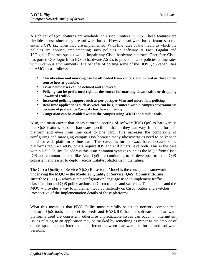A rich set of QoS features are available on Cisco Routers in IOS. These features are flexible to use since they are software based. However, software based features could entail a CPU tax when they are implemented. With line rates of the media to which the policies are applied, implementing such policies in software at Fast, Gigabit and 10Gigabit Ethernet speeds would impair any Cisco hardware platform. Therefore Cisco has ported QoS logic from IOS to hardware ASICs to provision QoS policies at line rates within campus environments. The benefits of porting some of the IOS QoS capabilities to ASICs is as follows:

- **Classification and marking can be offloaded from routers and moved as close to the source host as possible.**
- **Trust boundaries can be defined and enforced**
- **Policing can be performed right at the source for marking down traffic or dropping unwanted traffic.**
- **Increased policing support such as per port/per Vlan and micro flow policing.**
- **Real-time applications such as voice can be guaranteed within campus environments because of preferential/priority hardware queuing**
- **Congestion can be avoided within the campus using WRED or similar tools**

Also, the main caveat that arises form the porting of software(IOS) QoS to hardware is that QoS features become hardware specific – that is they can vary from platform to platform and even from line card to line card. This increases the complexity of configuring and managing campus QoS because many idiosyncrasies need to be kept in mind for each platform or line card. This caveat is further exacerbated because some platforms require CatOS, others require IOS and still others have both. This is the case within NYC Utility. To address this issue common syntaxes such as the MQC from Cisco IOS and common macros like Auto QoS are continuing to be developed to make QoS consistent and easier to deploy across Catalyst platforms in the future.

The Cisco Quality of Service (QoS) Behavioral Model is the conceptual framework underlying the **MQC -- the Modular Quality of Service (QoS) Command-Line Interface (CLI)** -- which is the configuration language used to implement traffic classification and QoS policy actions on Cisco routers and switches. The model -- and the MQC -- provides a way to implement QoS consistently on Cisco routers and switches, irrespective of the implementation details of those platforms.

What this means is that NYC Utility must carefully select its network component's platform QoS tools that meet its needs and **ENSURE** that the software and hardware platforms used are consistent, otherwise unpredictable issues can occur or intermittent issues relating to an application may be masked by something as minor as the amount of queue space on an interface is different between hardware platforms and software versions.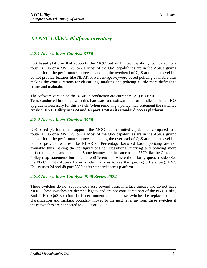# *4.2 NYC Utility's Platform inventory*

## *4.2.1 Access-layer Catalyst 3750*

IOS based platform that supports the MQC but in limited capability compared to a router's IOS or a MSFC/Sup720. Most of the QoS capabilities are in the ASICs giving the platform the performance it needs handling the overhead of QoS at the port level but do not provide features like NBAR or Percentage keyword based policing available thus making the configurations for classifying, marking and policing a little more difficult to create and maintain.

The software version on the 3750s in production are currently 12.1(19) EMI. Tests conducted in the lab with this hardware and software platform indicate that an IOS upgrade is necessary for this switch. When removing a policy map statement the switched crashed. **NYC Utility uses 24 and 48 port 3750 as its standard access platform**

### *4.2.2 Access-layer Catalyst 3550*

IOS based platform that supports the MQC but in limited capabilities compared to a router's IOS or a MSFC/Sup720. Most of the QoS capabilities are in the ASICs giving the platform the performance it needs handling the overhead of QoS at the port level but do not provide features like NBAR or Percentage keyword based policing are not available thus making the configurations for classifying, marking and policing more difficult to create and maintain. Some features are the same as the 3570 like the Class and Policy map statements but others are different like where the priority queue resides(See the NYC Utility Access Layer Model matrixes to see the queuing differences). NYC Utility uses 24 and 48 port 3550 as its standard access platform.

## *4.2.3 Access-layer Catalyst 2900 Series 2924*

These switches do not support QoS just beyond basic interface queues and do not have MQC. These switches are deemed legacy and are not considered part of the NYC Utility End-to-End QoS solution. **It is recommended** that these switches be replaced or the classification and marking boundary moved to the next level up from these switches if these switches are connected to 3550s or 3750s.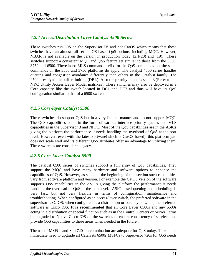## *4.2.4 Access/Distribution Layer Catalyst 4500 Series*

These switches run IOS on the Supervisor IV and not CatOS which means that these switches have an almost full set of IOS based QoS options, including MQC. However, NBAR is not available on the version in production today 12.1(20) and (19). These switches support a consistent MQC and QoS feature set similar to those from the 3550, 3750 and 6500. There is no MLS command prefix for the QoS commands but the same commands on the 3550 and 3750 platforms do apply. The catalyst 4500 series handles queuing and congestion avoidance differently than others in the Catalyst family. The 4500 uses dynamic buffer limiting (DBL). Also the priority queue is set at 3.(Refer to the NYC Utility Access Layer Model matrixes). These switches may also be deployed in a Core capacity like the switch located in DC1 and DC2 and thus will have its QoS configuration similar to that of a 6500 switch.

### *4.2.5 Core-layer Catalyst 5500*

These switches do support QoS but in a very limited manner and do not support MQC. The QoS capabilities come in the form of various interface priority queues and MLS capabilities in the Supervisor 3 and NFFC. Most of the QoS capabilities are in the ASICs giving the platform the performance it needs handling the overhead of QoS at the port level. However, even with the latest software(which is CatOS based), this platform just does not scale well and its different QoS attributes offer no advantage to utilizing them. These switches are considered legacy.

## *4.2.6 Core-Layer Catalyst 6500*

The catalyst 6500 series of switches support a full array of QoS capabilities. They support the MQC and have many hardware and software options to enhance the capabilities of QoS. However, as stated at the beginning of this section such capabilities vary from software platform and version. For example the CatOS version of the software supports QoS capabilities in the ASICs giving the platform the performance it needs handling the overhead of QoS at the port level. ASIC based queuing and scheduling is very fast, but not very flexible in terms of configuration, maintenance and troubleshooting. When configured as an access-layer switch, the preferred software in the supervisor is CatOS; when configured as a distribution or core layer switch, the preferred software is Cisco IOS. **It is recommended** that all Core Layer 6500s and any 6500s acting in a distribution or special function such as in the Control Centers or Server Farms be upgraded to Native Cisco IOS on the switches to ensure consistency of services and provide QoS capabilities to these areas when needed in the future..

The use of MSFCs and Sup 720s in combination are adequate for QoS today. There is no immediate need to upgrade all Catalysts 6500s MSFCs to Supervisor 720s for QoS needs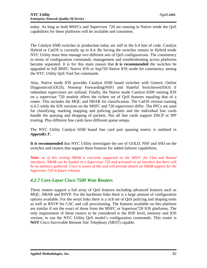today. As long as both MSFCs and Supervisor 720 are running in Native mode the QoS capabilities for these platforms will be available and consistent.

The Catalyst 6500 switches in production today are still in the 6.4 line of code. Catalyst Hybrid or CatOS is currently up to 8.4. By having the switches remain in Hybrid mode NYC Utility must then manage two different sets of QoS configurations. The consistency in terms of configuration commands, management and troubleshooting across platforms become separated. It is for this main reason that **it is recommended** the switches be upgraded to full MSFC Native IOS or Sup720 Native IOS mode for consistency among the NYC Utility QoS Tool Set commands.

Also, Native mode IOS provides Catalyst 6500 based switches with Generic Online Diagnostics(GOLD), Nonstop Forwarding(NSF) and Stateful Switchover(SSO) if redundant supervisors are utilized. Finally, the Native mode Catalyst 6500 running IOS on a supervisor 720 module offers the richest set of QoS features equaling that of a router. This includes the MQC and NBAR for classification. The CatOS version running is 6.5 while the IOS versions on the MSFC and 720 supervisors differ. The PFCs are used for classifying, marking mapping and policing packets and the individual line cards handle the queuing and dropping of packets. Not all line cards support DSCP or IPP trusting. Plus different line cards have different queue setups.

The NYC Utility Catalyst 6500 based line card port queuing matrix is outlined in *Appendix F.* 

**It is recommended** that NYC Utility investigate the use of GOLD, NSF and SSO on the switches and routers that support these features for added failover capabilities.

*Note: as of this writing NBAR is currently supported on the MSFC for Vlan and Routed interfaces. NBAR can be loaded on a Supervisor 720 and activated on an interface but there will be no statistics gathered. Cisco is aware of this and will provide details on NBAR support for the Supervisor 720 in future releases.* 

## *4.2.7 Core-Layer Cisco 7500 Wan Routers*

These routers support a full array of QoS features including advanced features such as MQC, NBAR and RSVP. For the backbone links there is a large amount of configuration options available. For the serial links there is a rich set of QoS policing and shaping tools as well as RSVP for CAC and call provisioning. The features available on this platform are similar if not the exact of those from the MSFC or Superisor720 IOS platforms. The only requirement of these routers to be considered is the RSP level, memory and IOS version, to run the NYC Utility QoS model's configuration commands. This router is **NOT** Cisco Survivable Remote Site Telephony (SRST) capable.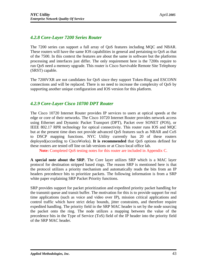## *4.2.8 Core-Layer 7200 Series Router*

The 7200 series can support a full array of QoS features including MQC and NBAR. These routers will have the same IOS capabilities in general and pertaining to QoS as that of the 7500. In this context the features are about the same in software but the platforms processing and interfaces just differ. The only requirement here is the 7200s require to run QoS need a memory upgrade. This router is Cisco Survivable Remote Site Telephony (SRST) capable.

The 7200VXR are not candidates for QoS since they support Token-Ring and ESCONN connections and will be replaced. There is no need to increase the complexity of QoS by supporting another unique configuration and IOS version for this platform.

## *4.2.9 Core-Layer Cisco 10700 DPT Router*

The Cisco 10720 Internet Router provides IP services to users at optical speeds at the edge or core of their networks. The Cisco 10720 Internet Router provides network access using Ethernet and Dynamic Packet Transport (DPT), Packet over SONET (POS), or IEEE 802.17 RPR technology for optical connectivity. This router runs IOS and MQC but at the present time does not provide advanced QoS features such as NBAR and CoS to DSCP mapping functions. NYC Utility currently has 20 of these routers deployed(according to CiscoWorks). **It is recommended** that QoS options defined for these routers are tested off line on lab versions or at Cisco local office lab.

**Note:** Completed QoS testing notes for this router are included in Appendix C.

**A special note about the SRP.** The Core layer utilizes SRP which is a MAC layer protocol for destination stripped based rings. The reason SRP is mentioned here is that the protocol utilizes a priority mechanism and automatically reads the bits from an IP headers precedence bits to prioritize packets. The following information is from a SRP white paper explaining SRP Packet Priority functions.

SRP provides support for packet prioritization and expedited priority packet handling for the transmit queue and transit buffer. The motivation for this is to provide support for real time applications (such as voice and video over IP), mission critical applications and control traffic which have strict delay bounds, jitter constraints, and therefore require expedited handling. The priority field in the SRP MAC header is set by the node sourcing the packet onto the ring. The node utilizes a mapping between the value of the precedence bits in the Type of Service (ToS) field of the IP header into the priority field of the SRP MAC header.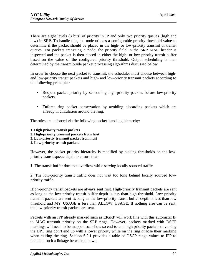There are eight levels (3 bits) of priority in IP and only two priority queues (high and low) in SRP. To handle this, the node utilizes a configurable priority threshold value to determine if the packet should be placed in the high- or low-priority transmit or transit queues. For packets transiting a node, the priority field in the SRP MAC header is inspected and the packet is then placed in either the high- or low-priority transit buffer based on the value of the configured priority threshold. Output scheduling is then determined by the transmit-side packet processing algorithms discussed below.

In order to choose the next packet to transmit, the scheduler must choose between highand low-priority transit packets and high- and low-priority transmit packets according to the following principles:

- Respect packet priority by scheduling high-priority packets before low-priority packets.
- Enforce ring packet conservation by avoiding discarding packets which are already in circulation around the ring.

The rules are enforced via the following packet-handling hierarchy:

- **1. High-priority transit packets**
- **2. High-priority transmit packets from host**
- **3. Low-priority transmit packet from host**
- **4. Low-priority transit packets**

However, the packet priority hierarchy is modified by placing thresholds on the lowpriority transit queue depth to ensure that:

1. The transit buffer does not overflow while serving locally sourced traffic.

2. The low-priority transit traffic does not wait too long behind locally sourced lowpriority traffic.

High-priority transit packets are always sent first. High-priority transmit packets are sent as long as the low-priority transit buffer depth is less than high threshold. Low-priority transmit packets are sent as long as the low-priority transit buffer depth is less than low threshold and MY\_USAGE is less than ALLOW\_USAGE. If nothing else can be sent, the low-priority transit packets are sent.

Packets with an IPP already marked such as EIGRP will work fine with this automatic IP to MAC transmit priority on the SRP rings. However, packets marked with DSCP markings will need to be mapped somehow so end-to-end high priority packets traversing the DPT ring don't end up with a lower priority while on the ring or lose their marking when exiting the ring. Section 6.2.1 provides a table of DSCP range values to IPP to maintain such a linkage between the two.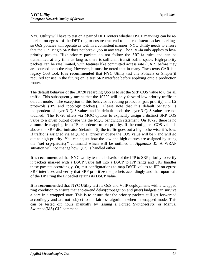NYC Utility will have to test on a pair of DPT routers whether DSCP markings can be remarked on egress of the DPT ring to ensure true end-to-end consistent packet markings so QoS policies will operate as well in a consistent manner. NYC Utility needs to ensure that the DPT ring's SRP does not break QoS in any way. The SRP-fa only applies to lowpriority packets. High-priority packets do not follow the SRP-fa rules and can be transmitted at any time as long as there is sufficient transit buffer space. High-priority packets can be rate limited, with features like committed access rate (CAR) before they are sourced onto the ring. However, it must be noted that in many Cisco texts CAR is a legacy QoS tool. **It is recommended** that NYC Utility test any Policers or Shaper(if required for use in the future) on a test SRP interface before applying onto a production router.

The default behavior of the 10720 regarding QoS is to set the SRP COS value to 0 for all traffic. This subsequently means that the 10720 will only forward low-priority traffic in default mode. The exception to this behavior is routing protocols (pak priority) and L2 protocols (IPS and topology packets). Please note that this default behavior is independent of layer 3 QoS values and in default mode the layer 3 QoS values are not touched. The 10720 offers via MQC options to explicitly assign a distinct SRP COS value to a given output queue via the MQC bandwidth statement. On 10720 there is no **automatic** mapping from IP precedence to srp-priority. If the configured COS value is above the SRP discriminator (default  $= 5$ ) the traffic goes out a high otherwise it is low. If traffic is assigned via MQC to a "priority" queue the COS value will be 7 and will go out as high priority. You can adjust how the low and high queues are assigned by using the **"set srp-priority"** command which will be outlined in *Appendix D.* A WRAP situation will not change how QOS is handled either.

**It is recommended** that NYC Utility test the behavior of the IPP to SRP priority to verify if packets marked with a DSCP value fall into a DSCP to IPP range and SRP handles these packets accordingly. Or, test configurations to map DSCP values to IPP on egress SRP interfaces and verify that SRP prioritize the packets accordingly and that upon exit of the DPT ring the IP packet retains its DSCP value.

**It is recommended** that NYC Utility test its QoS and VoIP deployments with a wrapped ring condition to ensure that end-to-end delay(propagation and jitter) budgets can survive a core in a wrapped state. This is to ensure that the priority packets still get forwarded accordingly and are not subject to the fairness algorithm when in wrapped mode. This can be tested off hours manually by issuing a Forced Switched(FS) or Manual Switched(MS) CLI command..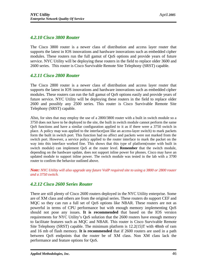### *4.2.10 Cisco 3800 Router*

The Cisco 3800 router is a newer class of distribution and access layer router that supports the latest in IOS innovations and hardware innovations such as embedded cipher modules. These routers run the full gamut of QoS options and provide years of future service. NYC Utility will be deploying these routers in the field to replace older 3600 and 2600 series. This router is Cisco Survivable Remote Site Telephony (SRST) capable.

#### *4.2.11 Cisco 2800 Router*

The Cisco 2800 router is a newer class of distribution and access layer router that supports the latest in IOS innovations and hardware innovations such as embedded cipher modules. These routers can run the full gamut of QoS options easily and provide years of future service. NYC Utility will be deploying these routers in the field to replace older 2600 and possibly any 2500 series. This router is Cisco Survivable Remote Site Telephony (SRST) capable.

Also, for sites that may employ the use of a 2800/3800 router with a built in switch module so a 3750 does not have to be deployed to the site, the built in switch module cannot perform the same QoS functions and have a similar configuration applied to it as if there were a 3750 switch in place. A policy map was applied to the interface(just like an access-layer switch) to mark packets form the built in switch port. This function had no affect and packets were not marked from the switch port. However, a service policy applied to the router interface to mark the packet on the way into this interface worked fine. This shows that this type of platform(router with built in switch module) can implement QoS at the router level. **Remember** that the switch module, depending on the hardware update, does not support inline power for phones. Cisco may have an updated module to support inline power. The switch module was tested in the lab with a 3700 router to confirm the behavior outlined above.

*Note: NYC Utility will also upgrade any future VoIP required site to using a 3800 or 2800 router and a 3750 switch.* 

## *4.2.12 Cisco 2600 Series Router*

There are still plenty of Cisco 2600 routers deployed in the NYC Utility enterprise. Some are of XM class and others are from the original series. These routers do support CEF and MQC so they can run a full set of QoS options like NBAR. These routers are not as powerful in terms of CPU performance but with enough memory implementing QoS should not pose any issues. **It is recommended** that based on the IOS version requirements for NYC Utility's QoS solution that the 2600 routers have enough memory to facilitate features such as MQC and NBAR. This router is Cisco Survivable Remote Site Telephony (SRST) capable. The minimum platform is 12.2(15)T with 48mb of ram and 16 mb of flash memory. **It is recommended** that if 2600 routers are used in a path between QoS endpoints that the router be of XM class. Non XM class lack the performance and feature options for QoS.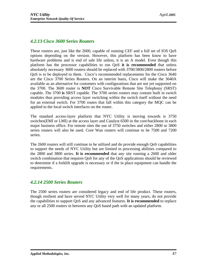### *4.2.13 Cisco 3600 Series Routers*

These routers are, just like the 2600, capable of running CEF and a full set of IOS QoS options depending on the version. However, this platform has been know to have hardware problems and is end of sale life unless, it is an A model. Even though this platform has the processor capabilities to run QoS **it is recommended** that unless absolutely necessary 3600 routers should be replaced with 3700/3800/2800 routers before QoS is to be deployed to them. Cisco's recommended replacements for the Cisco 3640 are the Cisco 3700 Series Routers. On an interim basis, Cisco will make the 3640A available as an alternative for customers with configurations that are not yet supported on the 3700. The 3600 router is **NOT** Cisco Survivable Remote Site Telephony (SRST) capable. The 3700 **is** SRST capable. The 3700 series routers may contain built in switch modules thus providing access layer switching within the switch itself without the need for an external switch. For 3700 routes that fall within this category the MQC can be applied to the local switch interfaces on the router.

The standard access-layer platform that NYC Utility is moving towards is 3750 switches(EMI or LMI) at the access layer and Catalyst 6500 in the core/backbone in each major business office. For remote sites the use of 3750 switches and either 2800 or 3800 series routers will also be used. Core Wan routers will continue to be 7500 and 7200 series.

The 2600 routers will still continue to be utilized and do provide enough QoS capabilities to support the needs of NYC Utility but are limited in processing abilities compared to the 2800 and 3800 series. **It is recommended** that any site running a 2600 and older switch combination that requires QoS for any of the QoS applications should be reviewed to determine if a forklift upgrade is necessary or if the in place equipment can handle the requirements.

#### *4.2.14 2500 Series Routers*

The 2500 series routers are considered legacy and end of life product. These routers, though resilient and have served NYC Utility very well for many years, do not provide the capabilities to support QoS and any advanced features. **It is recommended** to replace any or all 2500 routers in between any QoS based path with an updated platform.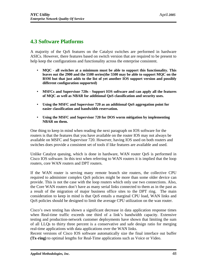# **4.3 Software Platforms**

A majority of the QoS features on the Catalyst switches are performed in hardware ASICs. However, there features based on switch version that are required to be present to help keep the configurations and functionality across the enterprise consistent.

- **MQC - all switches at a minimum must be able to support this functionality. This leaves out the 2900 and the 5500 series(the 5500 may be able to support MQC on the RSM but that just adds to the list of yet another IOS support version and possibly different configuration supported)**
- **MSFCs and Supervisor 720s Support IOS software and can apply all the features of MQC as well as NBAR for additional QoS classification and security uses.**
- **Using the MSFC and Supervisor 720 as an additional QoS aggregation point for easier classification and bandwidth reservation.**
- **Using the MSFC and Supervisor 720 for DOS worm mitigation by implementing NBAR on them.**

One thing to keep in mind when reading the next paragraph on IOS software for the routers is that the features that you have available on the router IOS may not always be available on MSFC and Supervisor 720. However, having IOS used on both routers and switches does provide a consistent set of tools if like features are available and used.

Unlike Catalyst queuing, which is done in hardware, WAN router QoS is performed in Cisco IOS software. In this text when referring to WAN routers it is implied that the loop routers, core WAN routers and DPT routers.

If the WAN router is serving many remote branch site routers, the collective CPU required to administer complex QoS policies might be more than some older device can provide. This is not the case with the loop routers which only use two connections. Also, the Core WAN routers don't have as many serial links connected to them as in the past as a result of the migration of major business office sites to the DPT ring. The main consideration to keep in mind is that QoS entails a marginal CPU load, WAN links and QoS policies should be designed to limit the average CPU utilization on the wan router.

Cisco's own testing has shown a significant decrease in data application response times when Real-time traffic exceeds one third of a link's bandwidth capacity. Extensive testing and production-network customer deployments have shown that limiting the sum of all LLQs to thirty three percent is a conservative and safe design ratio for merging real-time applications with data applications over the WAN links.

Recent versions of Cisco IOS software automatically size the final interface out buffer **(Tx-ring)** to optimal lengths for Real-Time applications such as Voice or Video.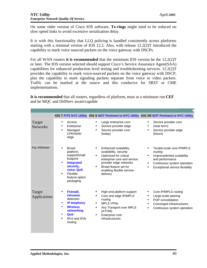On some older version of Cisco IOS software, **Tx-rings** might need to be reduced on slow speed links to avoid excessive serialization delay.

It is with this functionality that LLQ policing is handled consistently across platforms starting with a minimal version of IOS 12.2. Also, with release 12.2(2)T introduced the capability to mark voice sourced packets on the voice gateway with DSCPs.

For all WAN routers **it is recommended** that the minimum IOS version be the 12.2(2)T or later. The IOS version selected should support Cisco's Service Assurance Agent(SAA) capabilities for enhanced production level testing and troubleshooting services. 12.2(2)T provides the capability to mark voice-sourced packets on the voice gateway with DSCP, plus the capability to mark signaling packets separate from voice or video packets. Traffic can be marked at the source and this conducive for SRST or CME implementations.

**It is recommended** that all routers, regardless of platform, must at a minimum run **CEF** and be MQC and DiffServ aware/capable

|                           |                                                                                                                                                    |                                                                                                                                                                                                                                 | IOS T FITS NYC Utility IOS S NOT Pertinent to NYC Utility IOS XR NOT Pertinent to NYC Utility                                                                        |
|---------------------------|----------------------------------------------------------------------------------------------------------------------------------------------------|---------------------------------------------------------------------------------------------------------------------------------------------------------------------------------------------------------------------------------|----------------------------------------------------------------------------------------------------------------------------------------------------------------------|
| Target<br><b>Networks</b> | Access<br>Enterprise<br>Managed<br>CPF/WAN<br>edge                                                                                                 | Large enterprise core<br>$\bullet$<br>Service provider edge<br>$\bullet$<br>Service provider core<br>(today)                                                                                                                    | Service provider core<br>(near term)<br>Service provider edge<br>(future)                                                                                            |
| <b>Key Attributes</b>     | <b>Broad</b><br>platform,<br>support/small<br>footprint<br><b>Integrated</b><br>security,<br>voice, QoS<br>Flexible<br>feature-option<br>packaging | Enhanced scalability,<br>availability, security<br>Optimized for critical<br>$\bullet$<br>enterprise core and service<br>provider edge networks<br>Broad feature set for<br>$\bullet$<br>enabling flexible service-<br>delivery | Terabit-scale core IP/MPLS<br>routing<br>Unprecedented scalability<br>$\bullet$<br>and performance<br>Continuous system operation<br>Exceptional service flexibility |
| Target<br>Applications    | Firewall,<br>intrusion<br>detection<br><b>IP telephony</b><br>$\bullet$<br><b>Wireless</b><br>networking<br>QoS<br>IPv4 and IPv6<br>routing        | High-end platform support<br>Core and edge IP/MPLS<br>routing<br><b>MPLS VPNs</b><br>Any Transport over MPLS<br>$\bullet$<br>(ATOM)<br>Enterprise core<br>$\bullet$<br>infrastructures                                          | Core IP/MPLS routing<br>Large-scale peering<br>POP consolidation<br>Converged infrastructures<br>Continuous system operation<br>$\bullet$                            |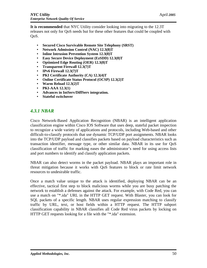**It is recommended** that NYC Utility consider looking into migrating to the 12.3T releases not only for QoS needs but for these other features that could be coupled with QoS.

- **Secured Cisco Survivable Remote Site Telephony (SRST)**
- **Network Admission Control (NAC) 12.3(8)T**
- **Inline Intrusion Prevention System 12.3(8)T**
- **Easy Secure Device Deployment (EzSDD) 12.3(8)T**
- **Optimized Edge Routing (OER) 12.3(8)T**
- **Transparent Firewall 12.3(7)T**
- **IPv6 Firewall 12.3(7)T**
- **PKI Certificate Authority (CA) 12.3(4)T**
- **Online Certificate Status Protocol (OCSP) 12.3(2)T**
- **Warm Reload 12.3(2)T**
- **PKI-AAA 12.3(1)**
- **Advances in IntServ/DiffServ integration.**
- **Stateful switchover**

## *4.3.1 NBAR*

Cisco Network-Based Application Recognition (NBAR) is an intelligent application classification engine within Cisco IOS Software that uses deep, stateful packet inspection to recognize a wide variety of applications and protocols, including Web-based and other difficult-to-classify protocols that use dynamic TCP/UDP port assignments. NBAR looks into the TCP/UDP payload and classifies packets based on payload characteristics such as transaction identifier, message type, or other similar data. NBAR in its use for QoS classification of traffic for marking eases the administrator's need for using access lists and port numbers to identify and classify application packets.

NBAR can also detect worms in the packet payload. NBAR plays an important role in threat mitigation because it works with QoS features to block or rate limit network resources to undesirable traffic.

Once a match value unique to the attack is identified, deploying NBAR can be an effective, tactical first step to block malicious worms while you are busy patching the network to establish a defenses against the attack. For example, with Code Red, you can use a match on "\*.ida" URL in the HTTP GET request. With Blaster, you can look for SQL packets of a specific length. NBAR uses regular expression matching to classify traffic by URL, text, or host fields within a HTTP request. The HTTP subport classification capability in NBAR classifies all Code Red virus packets by locking on HTTP GET requests looking for a file with the "\*.ida" extension.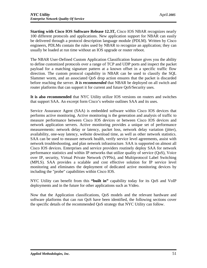**Starting with Cisco IOS Software Release 12.3T,** Cisco IOS NBAR recognizes nearly 100 different protocols and applications. New application support for NBAR can easily be delivered through a protocol description language module (PDLM). Written by Cisco engineers, PDLMs contain the rules used by NBAR to recognize an application; they can usually be loaded at run time without an IOS upgrade or router reboot.

The NBAR User-Defined Custom Application Classification feature gives you the ability to define customized protocols over a range of TCP and UDP ports and inspect the packet payload for a matching signature pattern at a known offset in a specific traffic flow direction. The custom protocol capability in NBAR can be used to classify the SQL Slammer worm, and an associated QoS drop action ensures that the packet is discarded before reaching the server. *It is recommended* that NBAR be deployed on all switch and router platforms that can support it for current and future QoS/Security uses.

**It is also recommended** that NYC Utility utilize IOS versions on routers and switches that support SAA. An excerpt form Cisco's website outlines SAA and its uses.

Service Assurance Agent (SAA) is embedded software within Cisco IOS devices that performs active monitoring. Active monitoring is the generation and analysis of traffic to measure performance between Cisco IOS devices or between Cisco IOS devices and network application servers. Active monitoring provides a unique set of performance measurements: network delay or latency, packet loss, network delay variation (jitter), availability, one-way latency, website download time, as well as other network statistics. SAA can be used to measure network health, verify service level agreements, assist with network troubleshooting, and plan network infrastructure. SAA is supported on almost all Cisco IOS devices. Enterprises and service providers routinely deploy SAA for network performance statistics and within IP networks that utilize quality of service (QoS), Voice over IP, security, Virtual Private Network (VPNs), and Multiprotocol Label Switching (MPLS). SAA provides a scalable and cost effective solution for IP service level monitoring and eliminates the deployment of dedicated active monitoring devices by including the "probe" capabilities within Cisco IOS.

NYC Utility can benefit from this **"built in"** capability today for its QoS and VoIP deployments and in the future for other applications such as Video.

Now that the Application classifications, QoS models and the relevant hardware and software platforms that can run QoS have been identified, the following sections cover the specific details of the recommended QoS strategy that NYC Utility can follow.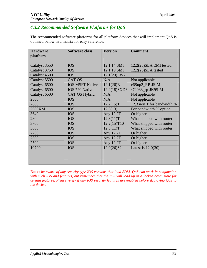# *4.3.2 Recommended Software Platforms for QoS*

The recommended software platforms for all platform devices that will implement QoS is outlined below in a matrix for easy reference.

| <b>Hardware</b> | <b>Software class</b>  | <b>Version</b> | <b>Comment</b>             |
|-----------------|------------------------|----------------|----------------------------|
| platform        |                        |                |                            |
|                 |                        |                |                            |
| Catalyst 3550   | <b>IOS</b>             | 12.1.14 SMI    | 12.2(25) SEA EMI tested    |
| Catalyst 3750   | <b>IOS</b>             | 12.1.19 SMI    | 12.2(25)SEA tested         |
| Catalyst 4500   | <b>IOS</b>             | 12.1(20)EW2    |                            |
| Catalyst 5500   | <b>CAT OS</b>          | N/A            | Not applicable             |
| Catalyst 6500   | <b>IOS MSFT Native</b> | 12.1(26)E      | c6Sup2_RP-JS-M             |
| Catalyst 6500   | IOS 720 Native         | 12.2(18)SXD3   | s72033_rp-JK9S-M           |
| Catalyst 6500   | <b>CAT OS Hybrid</b>   | N/A            | Not applicable             |
| 2500            | <b>IOS</b>             | N/A            | Not applicable             |
| 2600            | <b>IOS</b>             | 12.2(15)T      | 12.3 non T for bandwidth % |
| 2600XM          | <b>IOS</b>             | 12.3(13)       | For bandwidth % option     |
| 3640            | <b>IOS</b>             | Any 12.2T      | Or higher                  |
| 2800            | <b>IOS</b>             | 12.3(11)T      | What shipped with router   |
| 3700            | <b>IOS</b>             | 12.2(15)T10    | What shipped with router   |
| 3800            | <b>IOS</b>             | 12.3(11)T      | What shipped with router   |
| 7200            | <b>IOS</b>             | Any 12.2T      | Or higher                  |
| 7300            | <b>IOS</b>             | Any 12.2T      | Or higher                  |
| 7500            | <b>IOS</b>             | Any 12.2T      | Or higher                  |
| 10700           | <b>IOS</b>             | 12.0(26)S2     | Latest is $12.0(30)$       |
|                 |                        |                |                            |
|                 |                        |                |                            |
|                 |                        |                |                            |

**Note:** *be aware of any security type IOS versions that load SDM. QoS can work in conjunction with such IOS and features, but remember that the IOS will load up in a locked down state for certain features. Please verify if any IOS security features are enabled before deploying QoS to the device.*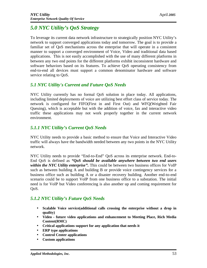# *5.0 NYC Utility's QoS Strategy*

To leverage its current data network infrastructure to strategically position NYC Utility's network to support converged applications today and tomorrow. The goal is to provide a familiar set of QoS mechanisms across the enterprise that will operate in a consistent manner to support a converged environment of Voice, Video and traditional data based applications. This is not easily accomplished with the use of many different platforms in between any two end points for the different platforms exhibit inconsistent hardware and software behaviors based on its features. To achieve QoS operating consistency from end-to-end all devices must support a common denominator hardware and software service relating to QoS.

## *5.1 NYC Utility's Current and Future QoS Needs*

NYC Utility currently has no formal QoS solution in place today. All applications, including limited deployments of voice are utilizing best effort class of service today. The network is configured for FIFO(First in and First Out) and WFQ(Weighted Fair Queuing), which is acceptable but with the addition of voice, fax and interactive video traffic these applications may not work properly together in the current network environment.

## *5.1.1 NYC Utility's Current QoS Needs*

NYC Utility needs to provide a basic method to ensure that Voice and Interactive Video traffic will always have the bandwidth needed between any two points in the NYC Utility network.

NYC Utility needs to provide "End-to-End" QoS across its enterprise network. End-to-End QoS is defined as *"QoS should be available anywhere between two end users within the NYC Utility enterprise".* This could be between two business offices for VoIP such as between building A and building B or provide voice contingency services for a business office such as building A or a disaster recovery building. Another end-to-end scenario could be to support VoIP from one business office to a substation. The initial need is for VoIP but Video conferencing is also another up and coming requirement for OoS.

## *5.1.2 NYC Utility's Future QoS Needs*

- **Scalable Voice service(additional calls crossing the enterprise without a drop in quality)**
- **Video future video applications and enhancement to Meeting Place, Rich Media Content(RMC)**
- **Critical applications support for any application that needs it**
- **ERP type applications**
- **Control Center applications**
- **Custom applications**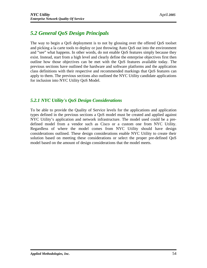# *5.2 General QoS Design Principals*

The way to begin a QoS deployment is to not by glossing over the offered QoS toolset and picking a la carte tools to deploy or just throwing Auto QoS out into the environment and "see" what happens. In other words, do not enable QoS features simply because they exist. Instead, start from a high level and clearly define the enterprise objectives first then outline how those objectives can be met with the QoS features available today. The previous sections have outlined the hardware and software platforms and the application class definitions with their respective and recommended markings that QoS features can apply to them. The previous sections also outlined the NYC Utility candidate applications for inclusion into NYC Utility QoS Model.

## *5.2.1 NYC Utility's QoS Design Considerations*

To be able to provide the Quality of Service levels for the applications and application types defined in the previous sections a QoS model must be created and applied against NYC Utility's application and network infrastructure. The model used could be a predefined model from a vendor such as Cisco or a custom one from NYC Utility. Regardless of where the model comes from NYC Utility should have design considerations outlined. These design considerations enable NYC Utility to create their solution based on meeting these considerations or select the proper pre-defined QoS model based on the amount of design considerations that the model meets.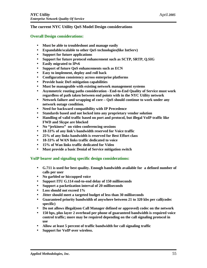#### **The current NYC Utility QoS Model Design considerations**

#### **Overall Design considerations:**

- **Must be able to troubleshoot and manage easily**
- **Expandable/scalable to other QoS technologies(like IntServ)**
- **Support for future applications**
- **Support for future protocol enhancement such as SCTP, SRTP, Q.SIG**
- **Easily migrated to IPv6**
- **Support of future QoS enhancements such as ECN**
- **Easy to implement, deploy and roll back**
- **Configuration consistency across enterprise platforms**
- **Provide basic DoS mitigation capabilities**
- **Must be manageable with existing network management systems**
- **Asymmetric routing paths consideration End-to-End Quality of Service must work regardless of path taken between end points with in the NYC Utility network**
- **Network failure and wrapping of core QoS should continue to work under any network outage condition.**
- **Need for backward compatibility with IP Precedence**
- **Standards based and not locked into any proprietary vendor solution**
- **Handling of valid traffic based on port and protocol, but illegal VoIP traffic like FWD and Skype are blocked**
- **No "jerkiness" on video conferencing sessions**
- **18-33% of any link's bandwidth reserved for Voice traffic**
- **25% of any links bandwidth is reserved for Best Effort class**
- **18-33% of WAN links traffic dedicated to voice**
- **15% of Wan links traffic dedicated for Video**
- **Must provide a basic Denial of Service mitigation switch**

#### **VoIP bearer and signaling specific design considerations:**

- **G.711 is used for best quality. Enough bandwidth available for a defined number of calls per user**
- **No garbled or hiccupped voice**
- **Support ITU G.114 end-to-end delay of 150 milliseconds**
- **Support a packetization interval of 20 milliseconds**
- **Loss should not exceed 1%**
- **Jitter should meet a targeted budget of less than 30 milliseconds**
- **Guaranteed priority bandwidth of anywhere between 21 to 320 kbs per call(codec specific)**
- **Do not allows illegal(non Call Manager defined or approved) codec on the network**
- **150 bps, plus layer 2 overhead per phone of guaranteed bandwidth is required voice control traffic; more may be required depending on the call signaling protocol in use**
- **Allow at least 5 percent of traffic bandwidth for call signaling traffic**
- **Support for VoIP over wireless.**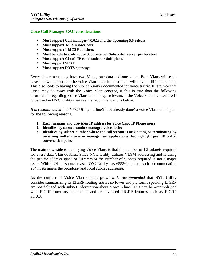#### **Cisco Call Manager CAC considerations**

- **Must support Call manager 4.0.02a and the upcoming 5.0 release**
- **Must support MCS subscribers**
- **Must support 1 MCS Publishers**
- **Must be able to scale above 300 users per Subscriber server per location**
- **Must support Cisco's IP communicator Soft-phone**
- **Must support SRST**
- **Must support POTS gateways**

Every department may have two Vlans, one data and one voice. Both Vlans will each have its own subnet and the voice Vlan in each department will have a different subnet. This also leads to having the subnet number documented for voice traffic. It is rumor that Cisco may do away with the Voice Vlan concept, if this is true than the following information regarding Voice Vlans is no longer relevant. If the Voice Vlan architecture is to be used in NYC Utility then see the recommendations below.

*It is recommended* that NYC Utility outline(if not already done) a voice Vlan subnet plan for the following reasons.

- **1. Easily manage and provision IP address for voice Cisco IP Phone users**
- **2. Identifies by subnet number managed voice device**
- **3. Identifies by subnet number where the call stream is originating or terminating by reviewing sniffer traces or management applications that highlight peer IP traffic conversation pairs.**

The main downside to deploying Voice Vlans is that the number of L3 subnets required for every data Vlan doubles. Since NYC Utility utilizes VLSM addressing and is using the private address space of 10.x.x.x/24 the number of subnets required is not a major issue. With a 24 bit subnet mask NYC Utility has 65536 subnets each accommodating 254 hosts minus the broadcast and local subnet addresses.

As the number of Voice Vlan subnets grows *it is recommended* that NYC Utility consider summarizing its EIGRP routing entries so lower end platforms speaking EIGRP are not deluged with subnet information about Voice Vlans. This can be accomplished with EIGRP summary commands and or advanced EIGRP features such as EIGRP STUB.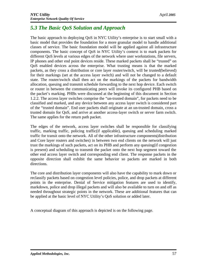# *5.3 The Basic QoS Solution and Approach*

The basic approach to deploying QoS in NYC Utility's enterprise is to start small with a basic model that provides the foundation for a more granular model to handle additional classes of service. The basic foundation model will be applied against all infrastructure components. The basic concept of QoS in NYC Utility's context is to mark packets for different QoS levels at various edges of the network where user workstations, file servers, IP phones and other end point devices reside. These marked packets shall be "trusted" on QoS enabled devices across the enterprise. What trusting means is that the marked packets, as they cross a distribution or core layer router/switch, will be trusted(believed) for their markings (set at the access layer switch) and will not be changed to a default state. The router/switch shall then act on the markings of the packets for bandwidth allocation, queuing and transmit schedule forwarding to the next hop device. Each switch or router in between the communicating peers will invoke its configured PHB based on the packet's marking. PHBs were discussed at the beginning of this document in Section 1.2.2. The access layer switches comprise the "un-trusted domain", for packets need to be classified and marked, and any device between any access layer switch is considered part of the "trusted domain". End user packets shall originate at an un-trusted domain, cross a trusted domain for QoS, and arrive at another access-layer switch or server farm switch. The same applies for the return path packet.

The edges of the network, access layer switches shall be responsible for classifying traffic, marking traffic, policing traffic(if applicable), queuing and scheduling marked traffic for transit onto the network. All of the other infrastructure components(distribution and Core layer routers and switches) in between two end clients on the network will just trust the markings of such packets, act on its PHB and perform any queuing(if congestion is present) and scheduling to transmit the packet onto the next hop segment toward the other end access layer switch and corresponding end client. The response packets in the opposite direction shall exhibit the same behavior so packets are marked in both directions.

The core and distribution layer components will also have the capability to mark down or reclassify packets based on congestion level policies, police, and drop packets at different points in the enterprise. Denial of Service mitigation features are used to identify, markdown, police and drop illegal packets and will also be available to turn on and off as needed throughout strategic points in the network. These are additional features that can be applied at the basic level of NYC Utility's QoS solution or added later.

A conceptual diagram of this approach is depicted is on the following page.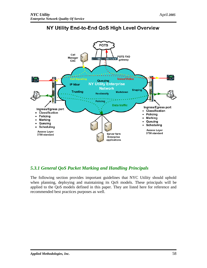

# NY Utility End-to-End QoS High Level Overview

# *5.3.1 General QoS Packet Marking and Handling Principals*

The following section provides important guidelines that NYC Utility should uphold when planning, deploying and maintaining its QoS models. These principals will be applied to the QoS models defined in this paper. They are listed here for reference and recommended best practices purposes as well.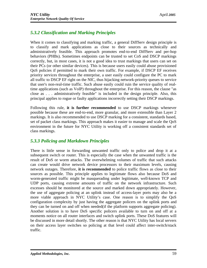# *5.3.2 Classification and Marking Principles*

When it comes to classifying and marking traffic, a general DiffServ design principle is to classify and mark applications as close to their sources as technically and administratively feasible. This approach promotes end-to-end DiffServ and per-hop behaviors (PHBs). Sometimes endpoints can be trusted to set CoS and DSCP markings correctly, but, in most cases, it is not a good idea to trust markings that users can set on their PCs (or other similar devices). This is because users easily could abuse provisioned QoS policies if permitted to mark their own traffic. For example, if DSCP EF receives priority services throughout the enterprise, a user easily could configure the PC to mark all traffic to DSCP EF right on the NIC, thus hijacking network-priority queues to service that user's non-real-time traffic. Such abuse easily could ruin the service quality of realtime applications (such as VoIP) throughout the enterprise. For this reason, the clause "as close as . . . administratively feasible" is included in the design principle. Also, this principal applies to rogue or faulty applications incorrectly setting their DSCP markings.

Following this rule, **it is further recommended** to use DSCP markings whenever possible because these are end-to-end, more granular, and more extensible than Layer 2 markings. It is also recommended to use DSCP marking for a consistent, standards based, set of packet class markings. This approach makes it easier to manage and scale the QoS environment in the future for NYC Utility is working off a consistent standards set of class markings.

## *5.3.3 Policing and Markdown Principles*

There is little sense in forwarding unwanted traffic only to police and drop it at a subsequent switch or router. This is especially the case when the unwanted traffic is the result of DoS or worm attacks. The overwhelming volumes of traffic that such attacks can create would drive network device processors to their maximum levels, causing network outages. Therefore, **it is recommended** to police traffic flows as close to their sources as possible. This principle applies to legitimate flows also because DoS and worm-generated traffic might be masquerading under legitimate, well-known TCP and UDP ports, causing extreme amounts of traffic on the network infrastructure. Such excesses should be monitored at the source and marked down appropriately. However, the use of aggregate policing at an uplink instead of access-layer ports may also be a more viable approach in NYC Utility's case. One reason is to simplify the QoS configuration complexity by just having the aggregate policers on the uplink ports and they can be turned on and off when needed(if the platform supports aggregate policing). Another solution is to have DoS specific policers available to turn on and off at a moments notice on all router interfaces and switch uplink ports. These DoS features will be discussed in more detail shortly. The other reason is that NYC Utility has local servers on their access layer switches so policing at that level could affect inter-switch/stack traffic.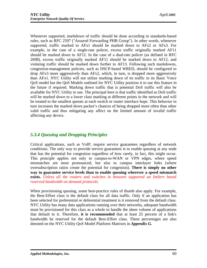Whenever supported, markdown of traffic should be done according to standards-based rules, such as RFC 2597 ("Assured Forwarding PHB Group"). In other words, whenever supported, traffic marked to AFx1 should be marked down to AFx2 or AFx3. For example, in the case of a single-rate policer, excess traffic originally marked AF11 should be marked down to AF12. In the case of a dual-rate policer (as defined in RFC 2698), excess traffic originally marked AF11 should be marked down to AF12, and violating traffic should be marked down further to AF13. Following such markdowns, congestion-management policies, such as DSCP-based WRED, should be configured to drop AFx3 more aggressively than AFx2, which, in turn, is dropped more aggressively than AFx1. NYC Utility will not utilize marking down of its traffic in its Basic Voice QoS model but the QoS Models outlined for NYC Utility position it to use this feature in the future if required. Marking down traffic that is potential DoS traffic will also be available for NYC Utility to use. The principal here is that traffic identified as DoS traffic will be marked down to a lower class marking at different points in the network and will be treated to the smallest queues at each switch or router interface hope. This behavior in turn increases the marked down packet's chances of being dropped more often than other valid traffic and thus mitigating any affect on the limited amount of invalid traffic affecting any device.

# *5.3.4 Queuing and Dropping Principles*

Critical applications, such as VoIP, require service guarantees regardless of network conditions. The only way to provide service guarantees is to enable queuing at any node that has the potential for congestion regardless of how rarely, in fact, this might occur. This principle applies not only to campus-to-WAN or VPN edges, where speed mismatches are most pronounced, but also to campus interlayer links (where oversubscription ratios create the potential for congestion). **There is simply no other way to guarantee service levels than to enable queuing wherever a speed mismatch exists.** *Unless all the routers and switches in between supported an IntServ based reserved bandwidth on demand protocols.*

When provisioning queuing, some best-practice rules of thumb also apply. For example, the Best-Effort class is the default class for all data traffic. Only if an application has been selected for preferential or deferential treatment is it removed from the default class. NYC Utility has many data applications running over their networks, adequate bandwidth must be provisioned for this class as a whole to handle the sheer volume of applications that default to it. Therefore, **it is recommended** that at least 25 percent of a link's bandwidth be reserved for the default Best-Effort class. These percentages are also denoted on the NYC Utility QoS Model Platform Matrixes in *Appendix G.*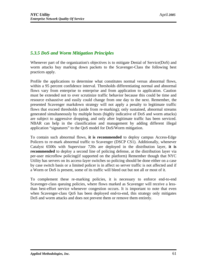## *5.3.5 DoS and Worm Mitigation Principles*

Whenever part of the organization's objectives is to mitigate Denial of Service(DoS) and worm attacks buy marking down packets to the Scavenger-Class the following best practices apply.

Profile the applications to determine what constitutes normal versus abnormal flows, within a 95 percent confidence interval. Thresholds differentiating normal and abnormal flows vary from enterprise to enterprise and from application to application. Caution must be extended not to over scrutinize traffic behavior because this could be time and resource exhaustive and easily could change from one day to the next. Remember, the presented Scavenger markdown strategy will not apply a penalty to legitimate traffic flows that exceed thresholds (aside from re-marking); only sustained, abnormal streams generated simultaneously by multiple hosts (highly indicative of DoS and worm attacks) are subject to aggressive dropping, and only after legitimate traffic has been serviced. NBAR can help in the classification and management by adding different illegal application "signatures" to the QoS model for DoS/Worm mitigation.

To contain such abnormal flows, **it is recommended** to deploy campus Access-Edge Policers to re-mark abnormal traffic to Scavenger (DSCP CS1). Additionally, whenever Catalyst 6500s with Supervisor 720s are deployed in the distribution layer, **it is recommended** to deploy a second line of policing defense, at the distribution layer via per-user microflow policing(if supported on the platform) Remember though that NYC Utility has servers on its access-layer switches so policing should be done either on a case by case switch basis or a limited policer is in affect so server traffic is not affected and if a Worm or DoS is present, some of its traffic will bleed out but not all or most of it.

To complement these re-marking policies, it is necessary to enforce end-to-end Scavenger-class queuing policies, where flows marked as Scavenger will receive a lessthan best-effort service whenever congestion occurs. It is important to note that even when Scavenger-class QoS has been deployed end-to-end, this strategy only mitigates DoS and worm attacks and does not prevent them or remove them entirely.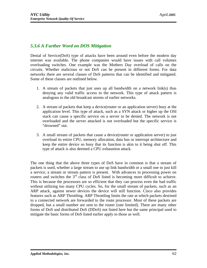## *5.3.6 A Further Word on DOS Mitigation*

Denial of Service(DoS) type of attacks have been around even before the modern day internet was available. The phone companies would have issues with call volumes overloading switches. One example was the Mothers Day overload of calls on the circuits. Whether malicious or not DoS can be present in different forms. For data networks there are several classes of DoS patterns that can be identified and mitigated. Some of these classes are outlined below.

- 1. A stream of packets that just uses up all bandwidth on a network link(s) thus denying any valid traffic access to the network. This type of attack pattern is analogous to the old broadcast storms of earlier networks.
- 2. A stream of packets that keep a device(router or an application server) busy at the application level. This type of attack, such as a SYN attack or higher up the OSI stack can cause a specific service on a server to be denied. The network is not overloaded and the server attacked is not overloaded but the specific service is "drowned" out.
- 3. A small stream of packets that cause a device(router or application server) to just overload its entire CPU, memory allocation, data bus or interrupt architecture and keep the entire device so busy that its function is akin to it being shut off. This type of attack is also deemed a CPU exhaustion attack.

The one thing that the above three types of DoS have in common is that a stream of packets is used, whether a large stream to use up link bandwidth or a small one to just kill a service, a stream or stream pattern is present. With advances in processing power on routers and switches the  $3<sup>rd</sup>$  class of DoS listed is becoming more difficult to achieve. This is because the processors are so efficient that they can process even the bad traffic without utilizing too many CPU cycles. So, for the small stream of packets, such as an ARP attack, against newer devices the device will still function. Cisco also provides features such as ARP Throttling. ARP Throttling limits the rate at which packets destined to a connected network are forwarded to the route processor. Most of these packets are dropped, but a small number are sent to the router (rate limited). There are many other forms of DoS and distributed DoS (DDoS) not listed here but the same principal used to mitigate the basic forms of DoS listed earlier apply to those as well.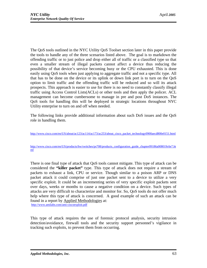The QoS tools outlined in the NYC Utility QoS Toolset section later in this paper provide the tools to handle any of the three scenarios listed above. The goal is to markdown the offending traffic or to just police and drop either all of traffic or a classified type so that even a smaller stream of illegal packets cannot affect a device thus reducing the possibility of that device's service becoming busy or the CPU exhausted. This is done easily using QoS tools when just applying to aggregate traffic and not a specific type. All that has to be done on the device or its uplink or down link port is to turn on the QoS option to limit traffic and the offending traffic will be reduced and so will its attack prospects. This approach is easier to use for there is no need to constantly classify illegal traffic using Access Control Lists(ACLs) or other tools and then apply the policer. ACL management can become cumbersome to manage in pre and post DoS instances. The QoS tools for handling this will be deployed in strategic locations throughout NYC Utility enterprise to turn on and off when needed.

The following links provide additional information about such DoS issues and the QoS role in handling them.

[http://www.cisco.com/en/US/about/ac123/ac114/ac173/ac253/about\\_cisco\\_packe](http://www.cisco.com/en/US/about/ac123/ac114/ac173/ac253/about_cisco_packet)t\_technology0900aecd800e0151.html

[http://www.cisco.com/en/US/products/hw/switches/ps708/products\\_configuration\\_guide\\_chapter0](http://www.cisco.com/en/US/products/hw/switches/ps708/products_configuration_guide_chapter09)9186a008019c6e7.ht ml

There is one final type of attack that QoS tools cannot mitigate. This type of attack can be considered the **"killer packet"** type. This type of attack does not require a stream of packets to exhaust a link, CPU or service. Though similar to a poison ARP or DNS packet attack it could comprise of just one packet sent to a device to utilize a very specific exploit. It could be an incrementing series of very specific exploit packets sent over days, weeks or months to cause a negative condition on a device. Such types of attacks are very difficult to characterize and monitor for. So, QoS tools do not offer much help where this type of attack is concerned. A good example of such an attack can be found in a report by Applied Methodologies at: <http://www.amilabs.com/ami>-ciscoexploit.pdf

This type of attack requires the use of forensic protocol analysis, security intrusion detection/avoidance, firewall tools and the security support personnel's vigilance in tracking such exploits, to prevent them from occurring.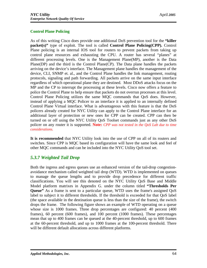#### **Control Plane Policing**

As of this writing Cisco does provide one additional DoS prevention tool for the **"killer packet(s)"** type of exploit. The tool is called **Control Plane Policing(CPP).** Control Plane policing is an internal IOS tool for routers to prevent packets from taking up control plane resources and exhausting the CPU. A router has several "planes" at different processing levels. One is the Management Plane(MP), another is the Data Plane(DP) and the third is the Control Plane(CP). The Data plane handles the packets arriving on the device's interface. The Management plane handles the management of the device, CLI, SNMP et. al., and the Control Plane handles the link management, routing protocols, signaling and path forwarding. All packets arrive on the same input interface regardless of which operational plane they are destined. Most DDoS attacks focus on the MP and the CP to interrupt the processing at these levels. Cisco now offers a feature to police the Control Plane to help ensure that packets do not overrun processes at this level. Control Plane Policing utilizes the same MQC commands that QoS does. However, instead of applying a MQC Policer to an interface it is applied to an internally defined Control Plane Virtual interface. What is advantageous with this feature is that the DoS policers already created for NYC Utility can apply to the Control Plane interface for an additional layer of protection or new ones for CPP can be created. CPP can then be turned on or off using the NYC Utility QoS Toolset commands just as any other DoS policer on any router it is supported. **Note:** *CPP was not tested in the QoS Lab due to time considerations.*

**It is recommended** that NYC Utility look into the use of CPP on all of its routers and switches. Since CPP is MQC based its configuration will have the same look and feel of other MQC commands and can be included into the NYC Utility QoS tool set.

## *5.3.7 Weighted Tail Drop*

Both the ingress and egress queues use an enhanced version of the tail-drop congestionavoidance mechanism called weighted tail drop (WTD). WTD is implemented on queues to manage the queue lengths and to provide drop precedence for different traffic classifications. You will see this denoted on the NYC Utility QoS Base and Middle Model platform matrixes in Appendix G. under the column titled **"Thresholds Per Queue"** As a frame is sent to a particular queue, WTD uses the frame's assigned QoS label to subject it to different thresholds. If the threshold is exceeded for that QoS label (the space available in the destination queue is less than the size of the frame), the switch drops the frame. The following figure shows an example of WTD operating on a queue whose size is 1000 frames. Three drop percentages are configured: 40 percent (400 frames), 60 percent (600 frames), and 100 percent (1000 frames). These percentages mean that up to 400 frames can be queued at the 40-percent threshold, up to 600 frames at the 60-percent threshold, and up to 1000 frames at the 100-percent threshold. There will be different default allocations across different platforms.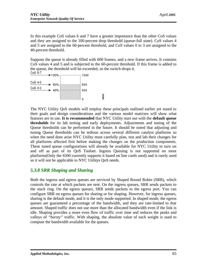In this example CoS values 6 and 7 have a greater importance than the other CoS values and they are assigned to the 100-percent drop threshold (queue-full state). CoS values 4 and 5 are assigned to the 60-percent threshold, and CoS values 0 to 3 are assigned to the 40-percent threshold.

Suppose the queue is already filled with 600 frames, and a new frame arrives. It contains CoS values 4 and 5 and is subjected to the 60-percent threshold. If this frame is added to the queue, the threshold will be exceeded, so the switch drops it.<br>CoS 6-7

90692



The NYC Utility QoS models will employ these principals outlined earlier yet tuned to their goals and design considerations and the various model matrixes will show what features are in use. **It is recommended** that NYC Utility start out with the **default queue thresholds** for its lab testing and early deployments. Adjustments and tuning of the Queue thresholds can be performed in the future. It should be noted that adjusting and tuning Queue thresholds can be tedious across several different catalyst platforms so when the need does arise NYC Utility must carefully plan, test and lab their changes for all platforms affected first before making the changes on the production components. These tuned queue configurations will already be available for NYC Utility to turn on and off as part of its QoS Toolset. Ingress Queuing is not supported on most platforms(Only the 6500 currently supports it based on line cards used) and is rarely used so it will not be applicable to NYC Utilitys QoS needs.

## *5.3.8 SRR Shaping and Sharing*

Both the ingress and egress queues are serviced by Shaped Round Robin (SRR), which controls the rate at which packets are sent. On the ingress queues, SRR sends packets to the stack ring. On the egress queues, SRR sends packets to the egress port. You can configure SRR on egress queues for sharing or for shaping. However, for ingress queues, sharing is the default mode, and it is the only mode supported. In shaped mode, the egress queues are guaranteed a percentage of the bandwidth, and they are rate-limited to that amount. Shaped traffic does not use more than the allocated bandwidth even if the link is idle. Shaping provides a more even flow of traffic over time and reduces the peaks and valleys of *"bursty"* traffic. With shaping, the absolute value of each weight is used to compute the bandwidth available for the queues.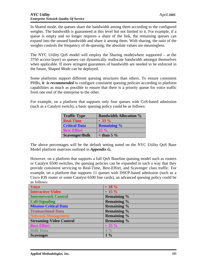In Shared mode, the queues share the bandwidth among them according to the configured weights. The bandwidth is guaranteed at this level but not limited to it. For example, if a queue is empty and no longer requires a share of the link, the remaining queues can expand into the unused bandwidth and share it among them. With sharing, the ratio of the weights controls the frequency of de-queuing; the absolute values are meaningless.

The NYC Utility QoS model will employ the Sharing mode(where supported – at the 3750 access-layer) so queues can dynamically reallocate bandwidth amongst themselves when applicable. If more stringent guarantees of bandwidth are needed to be enforced in the future, Shaped Mode can be deployed.

Some platforms support different queuing structures than others. To ensure consistent PHBs, *it is recommended* to configure consistent queuing policies according to platform capabilities as much as possible to ensure that there is a priority queue for voice traffic from one end of the enterprise to the other.

For example, on a platform that supports only four queues with CoS-based admission (such as a Catalyst switch), a basic queuing policy could be as follows:

| <b>Traffic Type</b>   | <b>Bandwidth Allocation %</b> |
|-----------------------|-------------------------------|
| <b>Real-Time</b>      | • 33 $\%$                     |
| <b>Critical Data</b>  | <b>Remaining %</b>            |
| <b>Best-Effort</b>    | $25\%$                        |
| <b>Scavenger/Bulk</b> | $\epsilon$ than 5 %           |

The above percentages will be the default setting noted on the NYC Utility QoS Base Model platform matrixes outlined in *Appendix G.*

However, on a platform that supports a full QoS Baseline queuing model such as routers or Catalyst 6500 switches, the queuing policies can be expanded in such a way that they provide consistent servicing to Real-Time, Best-Effort, and Scavenger class traffic. For example, on a platform that supports 11 queues with DSCP-based admission (such as a Cisco IOS router or some Catalyst 6500 line cards), an advanced queuing policy could be as follows:

| Voice                          | • 18 $%$           |
|--------------------------------|--------------------|
| Interactive-Video              | • 15 $%$           |
| <b>Internetwork Control</b>    | <b>Remaining %</b> |
| <b>Call-Signaling</b>          | <b>Remaining %</b> |
| <b>Mission-Critical Data</b>   | <b>Remaining %</b> |
| <b>Transactional Data</b>      | <b>Remaining %</b> |
| Network-Management             | <b>Remaining %</b> |
| <b>Streaming-Video Control</b> | <b>Remaining %</b> |
| <b>Best-Effort</b>             | • 25 $\%$          |
| <b>Bulk Data</b>               | $4\frac{0}{0}$     |
| <b>Scavenger</b>               | $1\%$              |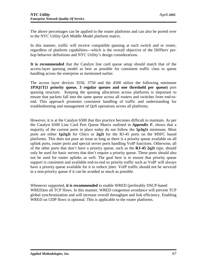The above percentages can be applied to the router platforms and can also be ported over to the NYC Utility QoS Middle Model platform matrix.

In this manner, traffic will receive compatible queuing at each switch and or router, regardless of platform capabilities—which is the overall objective of the DiffServ perhop behavior definitions and NYC Utility's design considerations.

**It is recommended** that the Catalyst line card queue setup should match that of the access-layer queuing model as best as possible for consistent traffic class to queue handling across the enterprise as mentioned earlier.

The access layer devices 3550, 3750 and the 4500 utilize the following minimum **1P3Q1T(1 priority queue, 3 regular queues and one threshold per queue)** port queuing structure. Keeping the queuing allocations across platforms is important to ensure that packets fall into the same queue across all routers and switches from end-toend. This approach promotes consistent handling of traffic and understanding for troubleshooting and management of QoS operations across all platforms.

However, it is at the Catalyst 6500 that this practice becomes difficult to maintain. As per the Catalyst 6500 Line Card Port Queue Matrix outlined in *Appendix F.* shows that a majority of the current ports in place today do not follow the **1p3q1t** minimum. Most ports are either **1p2q2t** for Gbics or **2q2t** for the RJ-45 ports on the MSFC based platforms. This does not pose an issue as long as there is a priority queue available on all uplink ports, router ports and special server ports handling VoIP functions. Otherwise, all of the other ports that don't have a priority queue, such as the **RJ-45 2q2t** type, should only be used for basic servers that don't require a priority queue. These ports should also not be used for router uplinks as well. The goal here is to ensure that priority queue support is consistent and available end-to-end so priority traffic such as VoIP will always have a priority queue available for it to reduce jitter. VoIP traffic should not be serviced in a non-priority queue if it can be avoided as much as possible.

Whenever supported, **it is recommended** to enable WRED (preferably DSCP-based WRED)on all TCP flows. In this manner, WRED congestion avoidance will prevent TCP global synchronization and will increase overall throughput and link efficiency. Enabling WRED on UDP flows is optional. This is applicable to the router platforms.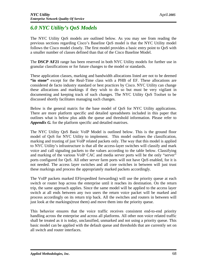# *6.0 NYC Utility's QoS Models*

The NYC Utility QoS models are outlined below. As you may see from reading the previous sections regarding Cisco's Baseline QoS model is that the NYC Utility model follows the Cisco model closely. The first model provides a basic entry point to QoS with a smaller number of classes defined than that of the Cisco Baseline Model.

The **DSCP AF21** range has been reserved in both NYC Utility models for further use in granular classifications or for future changes to the model or standards.

These application classes, marking and bandwidth allocations listed are not to be deemed **"in stone"** except for the Real-Time class with a PHB of EF. These allocations are considered de facto industry standard or best practices by Cisco. NYC Utility can change these allocations and markings if they wish to do so but must be very vigilant in documenting and keeping track of such changes. The NYC Utility QoS Toolset to be discussed shortly facilitates managing such changes.

Below is the general matrix for the base model of QoS for NYC Utility applications. There are more platform specific and detailed spreadsheets included in this paper that outlines what is below plus adds the queue and threshold information. Please refer to *Appendix G.* for the platform specific and detailed matrixes.

The NYC Utility QoS Basic VoIP Model is outlined below. This is the ground floor model of QoS for NYC Utility to implement. This model outlines the classification, marking and trusting of just VoIP related packets only. The way that this model is applied to NYC Utility's infrastructure is that all the access-layer switches will classify and mark voice and call signaling packets to the values according to the table below. Classifying and marking of the various VoIP CAC and media server ports will be the only "server" ports configured for QoS. All other server farm ports will not have QoS enabled, for it is not needed. The access layer switches and all core switches in between will just trust these markings and process the appropriately marked packets accordingly.

The VoIP packets marked EF(expedited forwarding) will use the priority queue at each switch or router hop across the enterprise until it reaches its destination. On the return trip, the same approach applies. Since the same model will be applied to the access layer switch at all ends between any two users the return voice packet will be marked and process accordingly on its return trip back. All the switches and routers in between will just look at the markings(trust them) and move them into the priority queue.

This behavior ensures that the voice traffic receives consistent end-to-end priority handling across the enterprise and across all platforms. All other non voice related traffic shall be treated as it is today, unclassified, unmarked and not using a priority queue. This basic model can be applied with the default queue and thresholds that are currently set on all switch and router interfaces.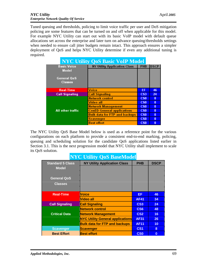Tuned queuing and thresholds, policing to limit voice traffic per user and DoS mitigation policing are some features that can be turned on and off when applicable for this model. For example NYC Utility can start out with its basic VoIP model with default queue allocations set across the enterprise and later turn on advance queuing/thresholds settings when needed to ensure call jitter budgets remain intact. This approach ensures a simpler deployment of QoS and helps NYC Utility determine if even any additional tuning is required.

| <b>NYC Utility QoS Basic VoIP Model</b> |                                      |                 |             |
|-----------------------------------------|--------------------------------------|-----------------|-------------|
| <b>Basic Voice</b>                      | NY Utility Application Class         | <b>PHB</b>      | <b>DSCP</b> |
| Model                                   |                                      |                 |             |
| <b>General QoS</b><br>Classes           |                                      |                 |             |
| <b>Real-Time</b>                        | Voice                                | EF              | 46          |
| <b>Call Signaling</b>                   | <b>Call Signaling</b>                | CS <sub>3</sub> | 24          |
|                                         | <b>Network control</b>               | CS <sub>0</sub> | O           |
|                                         | Video all                            | CS <sub>0</sub> | $\bf{0}$    |
|                                         | <b>Network Management</b>            | CS <sub>0</sub> | 0           |
| All other traffic                       | <b>ConED General applications</b>    | CS <sub>0</sub> | $\bf{0}$    |
|                                         | <b>Bulk data for FTP and backups</b> | CS <sub>0</sub> | O           |
|                                         | Scavenger                            | CS <sub>0</sub> | $\bf{0}$    |
|                                         | <b>Best effort</b>                   | CS <sub>0</sub> | O           |

The NYC Utility QoS Base Model below is used as a reference point for the various configurations on each platform to provide a consistent end-to-end marking, policing, queuing and scheduling solution for the candidate QoS applications listed earlier in Section 3.1. This is the next progression model that NYC Utility shall implement to scale its QoS solution.

# **NYC Utility QoS BaseModel**

| <b>Standard 5 Class</b> | <b>NY Utility Application Class</b>     | <b>PHB</b>      | <b>DSCP</b> |
|-------------------------|-----------------------------------------|-----------------|-------------|
| <b>Model</b>            |                                         |                 |             |
|                         |                                         |                 |             |
| <b>General QoS</b>      |                                         |                 |             |
| <b>Classes</b>          |                                         |                 |             |
|                         |                                         |                 |             |
| <b>Real-Time</b>        | Voice                                   | EF              | 46          |
|                         | Video all                               | <b>AF41</b>     | 34          |
| <b>Call Signaling</b>   | <b>Call Signaling</b>                   | CS <sub>3</sub> | 24          |
|                         | <b>Network control</b>                  | CS <sub>6</sub> | 48          |
| <b>Critical Data</b>    | <b>Network Management</b>               | CS <sub>2</sub> | 16          |
|                         | <b>NYC Utility General applications</b> | <b>AF31</b>     | 26          |
|                         | <b>Bulk data for FTP and backups</b>    | <b>AF11</b>     | 10          |
| <b>Scavenger</b>        | <b>Scavenger</b>                        | CS <sub>1</sub> | 8           |
| <b>Best Effort</b>      | <b>Best effort</b>                      | <b>CSO</b>      | $\bf{0}$    |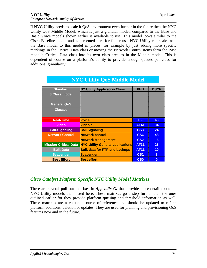If NYC Utility needs to scale it QoS environment even further in the future then the NYC Utility QoS Middle Model, which is just a granular model, compared to the Base and Basic Voice models shown earlier is available to use. This model looks similar to the Cisco Baseline model and is presented here for future use. NYC Utility can scale from the Base model to this model in pieces, for example by just adding more specific markings in the Critical Data class or moving the Network Control items form the Base model's Critical Data class into its own class area as in the Middle model. This is dependent of course on a platform's ability to provide enough queues per class for additional granularity.

| <b>Standard</b>              | <b>NY Utility Application Class</b>     | <b>PHB</b>      | <b>DSCP</b> |
|------------------------------|-----------------------------------------|-----------------|-------------|
| 8 Class model                |                                         |                 |             |
| <b>General QoS</b>           |                                         |                 |             |
| <b>Classes</b>               |                                         |                 |             |
| <b>Real-Time</b>             | Voice                                   | EF.             | 46          |
| <b>Video</b>                 | <b>Video all</b>                        | <b>AF41</b>     | 34          |
| <b>Call-Signaling</b>        | <b>Call Signaling</b>                   | CS <sub>3</sub> | 24          |
| <b>Network Control</b>       | <b>Network control</b>                  | CS <sub>6</sub> | 48          |
|                              | <b>Network Management</b>               | CS <sub>2</sub> | 16          |
| <b>Mission-Critical Data</b> | <b>NYC Utility General applications</b> | <b>AF31</b>     | 26          |
| <b>Bulk Data</b>             | <b>Bulk data for FTP and backups</b>    | <b>AF11</b>     | 10          |
| <b>Scavenger</b>             | <b>Scavenger</b>                        | CS <sub>1</sub> | 8           |
| <b>Best Effort</b>           | <b>Best effort</b>                      | C <sub>S0</sub> | $\bf{0}$    |

# **NYC Utility QoS Middle Model**

# *Cisco Catalyst Platform Specific NYC Utility Model Matrixes*

There are several pull out matrixes in *Appendix G.* that provide more detail about the NYC Utility models than listed here. These matrixes go a step further than the ones outlined earlier for they provide platform queuing and threshold information as well. These matrixes are a valuable source of reference and should be updated to reflect platform additions, deletion or updates. They are used for planning and provisioning QoS features now and in the future.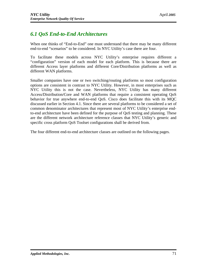# *6.1 QoS End-to-End Architectures*

When one thinks of "End-to-End" one must understand that there may be many different end-to-end "scenarios" to be considered. In NYC Utility's case there are four.

To facilitate these models across NYC Utility's enterprise requires different a "configuration" version of each model for each platform. This is because there are different Access layer platforms and different Core/Distribution platforms as well as different WAN platforms.

Smaller companies have one or two switching/routing platforms so most configuration options are consistent in contrast to NYC Utility. However, in most enterprises such as NYC Utility this is not the case. Nevertheless, NYC Utility has many different Access/Distribution/Core and WAN platforms that require a consistent operating QoS behavior for true anywhere end-to-end QoS. Cisco does facilitate this with its MQC discussed earlier in Section 4.1. Since there are several platforms to be considered a set of common denominator architectures that represent most of NYC Utility's enterprise endto-end architecture have been defined for the purpose of QoS testing and planning. These are the different network architecture reference classes that NYC Utility's generic and specific cross platform QoS Toolset configurations shall be derived from.

The four different end-to-end architecture classes are outlined on the following pages.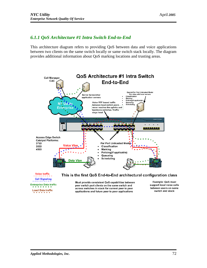## *6.1.1 QoS Architecture #1 Intra Switch End-to-End*

This architecture diagram refers to providing QoS between data and voice applications between two clients on the same switch locally or same switch stack locally. The diagram provides additional information about QoS marking locations and trusting areas.



Voice traffic Call Signaling

Enterprise Data traffic **Loacl Data traffic** 

#### This is the first QoS End-to-End architectural configuration class

Must provide consistent QoS capabilities between peer switch port clients on the same switch and across switches in stack for current peer to peer applications and future peer to peer applications

Example: QoS must support local voice calls between users on same switch and stack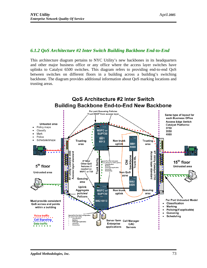### *6.1.2 QoS Architecture #2 Inter Switch Building Backbone End-to-End*

This architecture diagram pertains to NYC Utility's new backbones in its headquarters and other major business office or any office where the access layer switches have uplinks to Catalyst 6500 switches. This diagram refers to providing end-to-end QoS between switches on different floors in a building across a building's switching backbone. The diagram provides additional information about QoS marking locations and trusting areas.

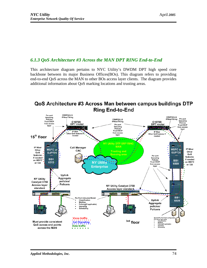# *6.1.3 QoS Architecture #3 Across the MAN DPT RING End-to-End*

This architecture diagram pertains to NYC Utility's DWDM DPT high speed core backbone between its major Business Offices(BOs). This diagram refers to providing end-to-end QoS across the MAN to other BOs access layer clients. The diagram provides additional information about QoS marking locations and trusting areas.



# QoS Architecture #3 Across Man between campus buildings DTP **Ring End-to-End**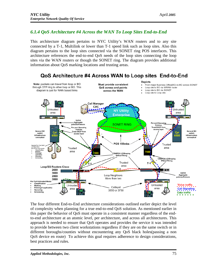# *6.1.4 QoS Architecture #4 Across the WAN To Loop Sites End-to-End*

This architecture diagram pertains to NYC Utility's WAN routers and to any site connected by a T-1, Multilink or lower than T-1 speed link such as loop sites. Also this diagram pertains to the loop sites connected via the SONET ring POS interfaces. This architecture references the end-to-end QoS needs of the loop sites connecting the loop sites via the WAN routers or though the SONET ring. The diagram provides additional information about QoS marking locations and trusting areas.



The four different End-to-End architecture considerations outlined earlier depict the level of complexity when planning for a true end-to-end QoS solution. As mentioned earlier in this paper the behavior of QoS must operate in a consistent manner regardless of the endto-end architecture at an atomic level, per architecture, and across all architectures. This approach is needed to ensure that QoS operates and provides the service it was intended to provide between two client workstations regardless if they are on the same switch or in different boroughs/counties without encountering any QoS black holes(passing a non QoS device en route) To achieve this goal requires adherence to design considerations, best practices and rules.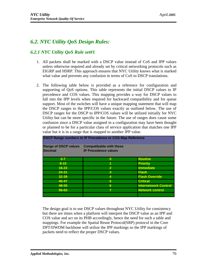# *6.2. NYC Utility QoS Design Rules:*

## *6.2.1 NYC Utility QoS Rule set#1*

- 1. All packets shall be marked with a DSCP value instead of CoS and IPP values unless otherwise required and already set by critical networking protocols such as EIGRP and HSRP. This approach ensures that NYC Utility knows what is marked what value and prevents any confusion in terms of CoS to DSCP translations.
- 2. The following table below is provided as a reference for configuration and supporting of QoS options. This table represents the initial DSCP values to IP precedence and COS values. This mapping provides a way for DSCP values to fall into the IPP levels when required for backward compatibility and for queue support. Most of the switches will have a unique mapping statement that will map the DSCP ranges to the IPP/COS values exactly as outlined below. The use of DSCP ranges for the DSCP to IPP/COS values will be utilized initially for NYC Utility but can be more specific in the future. The use of ranges does cause some confusion since a DSCP value assigned in a configuration may have been thought or planned to be for a particular class of service application that matches one IPP value but it is in a range that is mapped to another IPP value.

| <b>DSCP Range numbers to IP Precedence or COS Map Reference</b> |                                |                             |  |  |  |
|-----------------------------------------------------------------|--------------------------------|-----------------------------|--|--|--|
| <b>Range of DSCP values</b>                                     | <b>Compatibable with these</b> |                             |  |  |  |
| <b>Decimal</b>                                                  | <b>IP Precedence values</b>    |                             |  |  |  |
| $0 - 7$                                                         | $\bf{0}$                       | <b>Routine</b>              |  |  |  |
| $8 - 15$                                                        |                                | <b>Priority</b>             |  |  |  |
| $16 - 23$                                                       | $\overline{2}$                 | <b>Immediate</b>            |  |  |  |
| $24 - 31$                                                       | 3                              | <b>Flash</b>                |  |  |  |
| $32 - 39$                                                       | 4                              | <b>Flash Override</b>       |  |  |  |
| $40 - 47$                                                       | 5                              | <b>Critical</b>             |  |  |  |
| 48-55                                                           | 6                              | <b>Internetwork Control</b> |  |  |  |
| 56-63                                                           |                                | <b>Network control</b>      |  |  |  |
|                                                                 |                                |                             |  |  |  |

The design goal is to use DSCP values throughout NYC Utility for consistency but there are times when a platform will interpret the DSCP value as an IPP and COS value and act on its PHB accordingly, hence the need for such a table and mappings. For example the Spatial Reuse Protocol(SRP) protocol in the Core DPT/DWDM backbone will utilize the IPP markings so the IPP markings of packets need to reflect the proper DSCP values.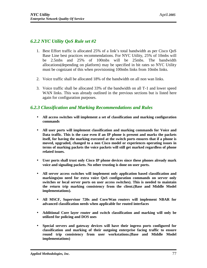# *6.2.2 NYC Utility QoS Rule set #2*

- 1. Best Effort traffic is allocated 25% of a link's total bandwidth as per Cisco QoS Base Line best practices recommendations. For NYC Utility, 25% of 10mbs will be 2.5mbs and 25% of 100mbs will be 25mbs. The bandwidth allocations(depending on platform) may be specified in bit rates so NYC Utility must be cognizant of this when provisioning 100mbs links from 10mbs links.
- 2. Voice traffic shall be allocated 18% of the bandwidth on all non wan links.
- 3. Voice traffic shall be allocated 33% of the bandwidth on all T-1 and lower speed WAN links. This was already outlined in the previous sections but is listed here again for configuration purposes.

## *6.2.3 Classification and Marking Recommendations and Rules*

- **All access switches will implement a set of classification and marking configuration commands**
- **All user ports will implement classification and marking commands for Voice and Data traffic. This is the case even if an IP phone is present and marks the packets itself, for having the marking executed at the switch ports ensures that if a phone is moved, upgraded, changed to a non Cisco model or experiences operating issues in terms of marking packets the voice packets will still get marked regardless of phone related issues.**
- **User ports shall trust only Cisco IP phone devices since these phones already mark voice and signaling packets. No other trusting is done on user ports.**
- **All server access switches will implement only application based classification and markings(no need for extra voice QoS configuration commands on server only switches or local server ports on user access switches). This is needed to maintain the return trip marking consistency from the client.(Base and Middle Model implementations).**
- **All MSCF, Supervisor 720s and Core/Wan routers will implement NBAR for advanced classification needs when applicable for routed interfaces**
- **Additional Core layer router and switch classification and marking will only be utilized for policing and DOS uses**
- **Special servers and gateway devices will have their ingress ports configured for classification and marking of their outgoing enterprise facing traffic to ensure round trip consistency from user workstations.(Base and Middle Model implementations)**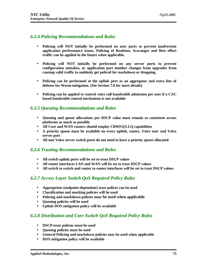## *6.2.4 Policing Recommendations and Rules*

- **Policing will NOT initially be performed on user ports to prevent inadvertent application performance issues. Policing of Realtime, Scavanger and Best effort traffic can be applied in the future when applicable.**
- **Policing will NOT initially be performed on any server ports to prevent configuration mistakes, or application port number changes from upgrades from causing valid traffic to suddenly get policed for markdown or dropping.**
- **Policing can be performed at the uplink port as an aggregator and extra line of defense for Worm mitigation. (See Section 7.0 for more details)**
- **Policing can be applied to control voice call bandwidth admission per user if a CAC based bandwidth control mechanism is not available**

#### *6.2.5 Queuing Recommendations and Rules*

- **Queuing and queue allocations per DSCP value must remain as consistent across platforms as much as possible**
- **All Core and WAN routers should employ CBWFQ/LLQ capabilities**
- **A priority queue must be available on every uplink, router, Voice user and Voice server port**
- **All non Voice server switch ports do not need to have a priority queue allocated**

#### *6.2.6 Trusting Recommendations and Rules*

- **All switch uplink ports will be set to trust DSCP values**
- **All router interfaces LAN and WAN will be set to trust DSCP values**
- **All switch to switch and router to router interfaces will be set to trust DSCP values**

### *6.2.7 Access Layer Switch QoS Required Policy Rules*

- **Appropriate (endpoint-dependant) trust polices can be used**
- **Classification and marking policies will be used**
- **Policing and markdown policies may be used when applicable**
- **Queuing policies will be used**
- **Uplink DOS mitigation policy will be available**

### *6.2.8 Distribution and Core Switch QoS Required Policy Rules*

- **DSCP-trust policies must be used**
- **Queuing policies must be used**
- **General Policing and markdown policies may be used when applicable**
- **DOS mitigation policy will be available**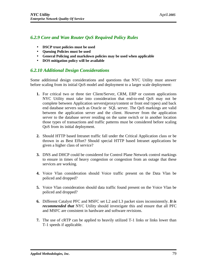## *6.2.9 Core and Wan Router QoS Required Policy Rules*

- **DSCP trust policies must be used**
- **Queuing Policies must be used**
- **General Policing and markdown policies may be used when applicable**
- **DOS mitigation policy will be available**

### *6.2.10 Additional Design Considerations*

Some additional design considerations and questions that NYC Utility must answer before scaling from its initial QoS model and deployment to a larger scale deployment:

- **1.** For critical two or three tier Client/Server, CRM, ERP or custom applications NYC Utility must take into consideration that end-to-end QoS may not be complete between Application servers(proxy/content or front end types) and back end database servers such as Oracle or SQL server. The QoS markings are valid between the application server and the client. However from the application server to the database server residing on the same switch or in another location those types of transactions and traffic patterns must be considered before scaling QoS from its initial deployment.
- **2.** Should HTTP based Intranet traffic fall under the Critical Application class or be thrown in as Best Effort? Should special HTTP based Intranet applications be given a higher class of service?
- **3.** DNS and DHCP could be considered for Control Plane Network control markings to ensure in times of heavy congestion or congestion from an outage that these services are working.
- **4.** Voice Vlan consideration should Voice traffic present on the Data Vlan be policed and dropped?
- **5.** Voice Vlan consideration should data traffic found present on the Voice Vlan be policed and dropped?
- **6.** Different Catalyst PFC and MSFC set L2 and L3 packet sizes inconsistently. *It is recommended that* NYC Utility should investigate this and ensure that all PFC and MSFC are consistent in hardware and software revisions.
- **7.** The use of cRTP can be applied to heavily utilized T-1 links or links lower than T-1 speeds if applicable.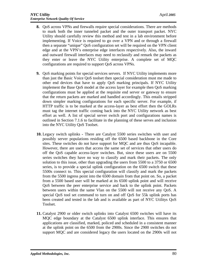- **8.** QoS across VPNs and firewalls require special considerations. There are methods to mark both the inner tunneled packet and the outer transport packet. NYC Utility should carefully review this method and test in a lab environment before implementing. If Voice is required to go over a VPN and or through a firewall then a separate "unique" QoS configuration set will be required on the VPN client edge and at the VPN's enterprise edge interfaces respectively. Also, the inward and outward firewall interfaces may need to reclassify and remark the packets as they enter or leave the NYC Utility enterprise. A complete set of MQC configurations are required to support QoS across VPNs.
- **9.** QoS marking points for special services servers. If NYC Utility implements more than just the Basic Voice QoS toolset then special consideration must me made to other end devices that have to apply QoS marking principals. If NYC Utility implement the Base QoS model at the access layer for example then QoS marking configurations must be applied at the requisite end server or gateway to ensure that the return packets are marked and handled accordingly. This entails stripped down simpler marking configurations for each specific server. For example, if HTTP traffic is to be marked at the access-layer as best effort then the GOLRs must tag the internet traffic coming back into the NYC Utility network as best effort as well. A list of special server switch port and configurations names is outlined in Section 7.1.6 to facilitate in the planning of these serves and inclusion into the NYC Utility QoS Toolset.
- **10.** Legacy switch uplinks **-** There are Catalyst 5500 series switches with user and possibly server populations residing off the 6500 based backbone in the Core sites. These switches do not have support for MQC and are thus QoS incapable. However, there are users that access the same set of services that other users do off the QoS capable access-layer switches. But, since these users are on 5500 series switches they have no way to classify and mark their packets. The only solution to this issue, other than upgrading the users from 5500 to a 3750 or 6500 series, is to provide a special uplink configuration on the 6500 switch that these 5500s connect to. This special configuration will classify and mark the packets from the 5500 ingress point into the 6500 domain from that point on. So, a packet from a 5500 based user will be marked at its 6500 uplink point and will receive QoS between the peer enterprise service and back to the uplink point. Packets between users within the same Vlan on the 5500 will not receive any QoS. A special QoS tool set command to turn on and off QoS for 55k uplink ports has been created and tested in the lab and is available as part of NYC Utilitys QoS Toolset.
- **11.** Catalyst 2900 or older switch uplinks into Catalyst 6500 switches will have its MQC edge boundary at the Catalyst 6500 uplink interface. This ensures that applications are classified, marked, policed and scheduled in a consistent manner at the uplink point on the 6500 from the 2900s. Since the 2900 switches do not support MQC and are considered legacy the users located on the 2900s will not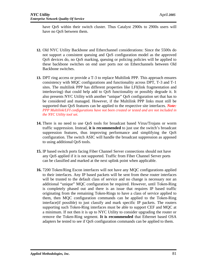have QoS within their switch cluster. Thus Catalyst 2900s to 2900s users will have no QoS between them.

- **12.** Old NYC Utility Backbone and Etherchannel considerations: Since the 5500s do not support a consistent queuing and QoS configuration model as the approved QoS devices do, no QoS marking, queuing or policing policies will be applied to these backbone switches on end user ports nor on Etherchannels between Old Backbone switches.
- **13.** DPT ring access or provide a T-3 to replace Multilink PPP. This approach ensures consistency with MQC configurations and functionality across DPT, T-3 and T-1 sites. The multilink PPP has different properties like LFI(link fragmentation and interleaving) that could help add to QoS functionality or possibly degrade it. It also presents NYC Utility with another "unique" QoS configuration set that has to be considered and managed. However, if the Multilink PPP links must still be supported than QoS features can be applied to the respective site interfaces. *Note: PPP Multilink/LFI configurations have not been created or tested and are not included in the NYC Utility tool set.*
- **14.** There is no need to use QoS tools for broadcast based Virus/Trojans or worm traffic suppression. Instead, **it is recommended** to just use the switch's broadcast suppression features, thus improving performance and simplifying the QoS configuration. The switch ASIC will handle the broadcast suppression as apposed to using additional QoS tools.
- **15.** IP based switch ports facing Fiber Channel Server connections should not have any QoS applied if it is not supported. Traffic from Fiber Channel Server ports can be classified and marked at the next uplink point when applicable.
- **16.** 7200 Token/Ring Escon interfaces will not have any MQC configurations applied to their interfaces. Any IP based packets will be sent from these router interfaces will be trusted to the default class of service and no change is necessary nor an additional "unique" MQC configuration be required. However, until Token-Ring is completely phased out and there is an issue that requires IP based traffic originating from the remaining Token-Rings to have a class of service applied to them, then MQC configuration commands can be applied to the Token-Ring interface(if possible) to just classify and mark specific IP packets. The routers supporting such Token-Ring interfaces must be able to support CEF and MQC at a minimum. If not then it is up to NYC Utility to consider upgrading the router or remove the Token-Ring segment. **It is recommended** that Ethernet based OSA adapters be tested to see if QoS configuration commands can be applied to them.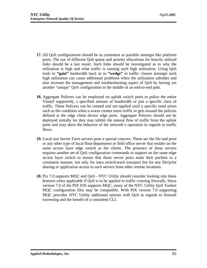- **17.** All QoS configurations should be as consistent as possible amongst like platform ports. The use of different QoS queue and priority allocations for heavily utilized links should be a last resort. Such links should be investigated as to why the utilization is high and what traffic is causing such high utilization. Using QoS tools to **"gain"** bandwidth back or to **"wedge"** in traffic classes amongst such high utilization can cause additional problems when the utilization subsides and also increase the management and troubleshooting aspect of QoS by having yet another "unique" QoS configuration in the middle of an end-to-end path.
- **18.** Aggregate Policers can be employed on uplink switch ports to police the entire Vlan(if supported), a specified amount of bandwidth or just a specific class of traffic. These Policers can be created and not applied until a specific need arises such as the condition when a worm creates more traffic or gets around the policies defined at the edge client device edge ports. Aggregate Policers should not be deployed initially for they may inhibit the natural flow of traffic from the uplink ports and may skew the behavior of the network's operation in regards to traffic flows.
- **19.** Local non Server Farm servers pose a special concern. These are the file and print or any other type of local floor/department or field office server that resides on the same access layer edge switch as the clients. The presence of these servers requires another set of QoS configuration commands to support on the same edge access layer switch to ensure that those server ports mark their packets in a consistent manner, not only for intra switch/stack transport but for any file/print sharing or application access to such servers from other remote locations.
- **20.** Pix 7.0 supports MQC and QoS NYC Utility should consider looking into these features when applicable if QoS is to be applied to traffic crossing firewalls. Since version 7.0 of the PIX IOS supports MQC, many of the NYC Utility QoS Toolset MQC configuration files may be compatible. With PIX version 7.0 supporting MQC provides NYC Utility additional options with QoS in regards to firewall traversing and the benefit of a consistent CLI.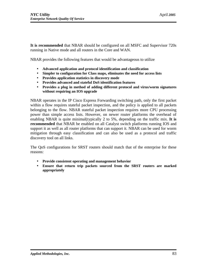**It is recommended** that NBAR should be configured on all MSFC and Supervisor 720s running in Native mode and all routers in the Core and WAN.

NBAR provides the following features that would be advantageous to utilize

- **Advanced application and protocol identification and classification**
- **Simpler to configuration for Class maps, eliminates the need for access lists**
- **Provides application statistics in discovery mode**
- **Provides advanced and stateful DoS identification features**
- **Provides a plug in method of adding different protocol and virus/worm signatures without requiring an IOS upgrade**

NBAR operates in the IP Cisco Express Forwarding switching path, only the first packet within a flow requires stateful packet inspection, and the policy is applied to all packets belonging to the flow. NBAR stateful packet inspection requires more CPU processing power than simple access lists. However, on newer router platforms the overhead of enabling NBAR is quite minimal(typically 2 to 5%, depending on the traffic mix. **It is recommended** that NBAR be enabled on all Catalyst switch platforms running IOS and support it as well as all router platforms that can support it. NBAR can be used for worm mitigation through easy classification and can also be used as a protocol and traffic discovery tool on all links.

The QoS configurations for SRST routers should match that of the enterprise for these reasons:

- **Provide consistent operating and management behavior**
- **Ensure that return trip packets sourced from the SRST routers are marked appropriately**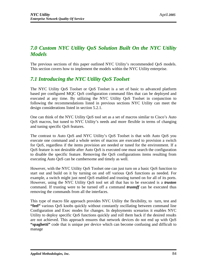# *7.0 Custom NYC Utility QoS Solution Built On the NYC Utility Models*

The previous sections of this paper outlined NYC Utility's recommended QoS models. This section covers how to implement the models within the NYC Utility enterprise.

# *7.1 Introducing the NYC Utility QoS Toolset*

The NYC Utility QoS Toolset or QoS Toolset is a set of basic to advanced platform based pre configured MQC QoS configuration command files that can be deployed and executed at any time. By utilizing the NYC Utility QoS Toolset in conjunction to following the recommendations listed in previous sections NYC Utility can meet the design considerations listed in section 5.2.1.

One can think of the NYC Utility QoS tool set as a set of macros similar to Cisco's Auto QoS macros, but tuned to NYC Utility's needs and more flexible in terms of changing and tuning specific QoS features.

The contrast to Auto QoS and NYC Utility's QoS Toolset is that with Auto QoS you execute one command and a whole series of macros are executed to provision a switch for QoS, regardless if the items provision are needed or tuned for the environment. If a QoS feature is not desirable after Auto QoS is executed one must search the configuration to disable the specific feature. Removing the QoS configurations items resulting from executing Auto QoS can be cumbersome and timely as well.

However, with the NYC Utility QoS Toolset one can just turn on a basic QoS function to start out and build on it by turning on and off various QoS functions as needed. For example, a switch might just need QoS enabled and trusting turned on for all of its ports. However, using the NYC Utility QoS tool set all that has to be executed is a *truston* command. If trusting were to be turned off a command *trustoff* can be executed thus removing the commands from all the interfaces.

This type of macro file approach provides NYC Utility the flexibility, to turn, test and **"feel"** various QoS knobs quickly without constantly oscillating between command line Configuration and Exec modes for changes. In deployments scenarios it enables NYC Utility to deploy specific QoS functions quickly and roll them back if the desired results are not achieved. This approach ensures that network devices do not end up with QoS **"spaghetti"** code that is unique per device which can become confusing and difficult to manage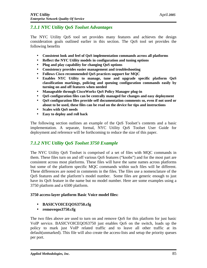## *7.1.1 NYC Utility QoS Toolset Advantages*

The NYC Utility QoS tool set provides many features and achieves the design consideration goals outlined earlier in this section. The QoS tool set provides the following benefits

- **Consistent look and feel of QoS implementation commands across all platforms**
- **Reflect the NYC Utility models in configuration and tuning options**
- **Plug and play capability for changing QoS options**
- **Consistency provides easier management and troubleshooting**
- **Follows Cisco recommended QoS practices support for MQC**
- **Enables NYC Utility to manage, tune and upgrade specific platform QoS classification markings, policing and queuing configuration commands easily by turning on and off features when needed**
- **Manageable through CiscoWorks QoS Policy Manager plug-in**
- **QoS configuration files can be centrally managed for changes and easy deployment**
- **QoS configuration files provide self documentation comments so, even if not used or about to be used, these files can be read on the device for tips and instructions**
- **Scales with QoS needs**
- **Easy to deploy and roll back**

The following section outlines an example of the QoS Toolset's contents and a basic implementation. A separate, formal, NYC Utility QoS Toolset User Guide for deployment and reference will be forthcoming to reduce the size of this paper.

### *7.1.2 NYC Utility QoS Toolset 3750 Example*

The NYC Utility QoS Toolset is comprised of a set of files with MQC commands in them. These files turn on and off various QoS features ("knobs") and for the most part are consistent across most platforms. These files will have the same names across platforms but some of the platform specific MQC commands within such files will be different. These differences are noted in comments in the files. The files use a nomenclature of the QoS features and the platform's model number. Some files are generic enough to just have its QoS feature in the name but no model number. Here are some examples using a 3750 platform and a 6500 platform.

#### **3750 access-layer platform Basic Voice model files:**

- **BASICVOICEQOS3750.cfg**
- **removeqos3750.cfg**

The two files above are used to turn on and remove QoS for this platform for just basic VoIP service. BASICVOICEQOS3750 just enables QoS on the switch, loads up the policy to mark just VoIP related traffic and to leave all other traffic at its default(unmarked). This file will also create the access-lists and setup the priority queues per port.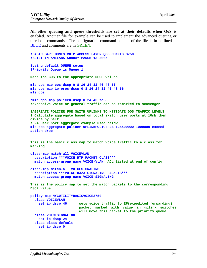**All other queuing and queue thresholds are set at their defaults when QoS is enabled.** Another file for example can be used to implement the advanced queuing or threshold commands. The configuration command content of the file is in outlined in BLUE and comments are in GREEN.

```
!BASIC BARE BONES VOIP ACCESS LAYER QOS CONFIG 3750
!BUILT IN AMILABS SUNDAY MARCH 13 2005
!Using default QUEUE setup
!Priority Queue is Queue 1
Maps the COS to the appropriate DSCP values
mls qos map cos-dscp 0 8 16 24 32 46 48 56
mls qos map ip-prec-dscp 0 8 16 24 32 46 48 56
mls qos
!mls qos map policed-dscp 0 24 46 to 8
!excessive voice or general traffic can be remarked to scavenger
!AGGREATE POLICER FOR SWITH UPLINKS TO MITIGATE DOS TRAFFIC LEVELS
! Calculate aggregate based on total switch user ports at 10mb then 
divide by half
! 24 user port aggregate example used below
mls qos aggregate-policer UPLINKPOLICER24 125400000 1000000 exceed-
action drop
This is the basic class map to match Voice traffic to a class for 
marking
class-map match-all VOICEVLAN
   description ***VOICE RTP PACKET CLASS***
   match access-group name VOICE-VLAN ACL listed at end of config
class-map match-all VOICESIGNALING
   description ***VOICE H323 SIGNALING PACKETS***
   match access-group name VOICE-SIGNALING
This is the policy map to set the match packets to the corresponding 
DSCP value
policy-map NYCUTILITYBASICVOICE3750
   class VOICEVLAN
     set ip dscp 46 sets voice traffic to EF(expedited forwarding)
                        packet marked with value in uplink switches 
                        will move this packet to the priority queue
   class VOICESIGNALING
     set ip dscp 24
   class class-default
     set ip dscp 0
```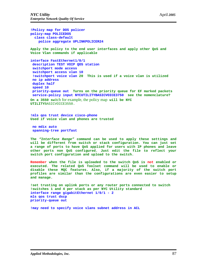**!Policy map for DOS policer policy-map POLICEDOS class class-default police aggregate UPLINKPOLICER24 Apply the policy to the end user interfaces and apply other QoS and Voice Vlan commands if applicable interface FastEthernet1/0/1 description TEST VOIP QOS station switchport mode access switchport access vlan 10 !switchport voice vlan 20 This is used if a voice vlan is utilized no ip address duplex half speed 10 priority-queue out Turns on the priority queue for EF marked packets service-policy input NYCUTILITYBASICVOICE3750 see the nomenclature? On a 3550 sw**itch for example, the policy map **will be NYC UTILITY**BASICVOICE3550. **!mls qos trust device cisco-phone Used if voice vlan and phones are trusted**

 **no mdix auto spanning-tree portfast** 

**The** *"Interface Range"* **command can be used to apply these settings and will be different from switch or stack configuration. You can just set a range of ports to have QoS applied for users with IP phones and leave other ports non QoS configured. Just edit the file to reflect your switch port configuration and upload to the switch.** 

**Remember when the file is uploaded to the switch QoS is not enabled or executed. The related QoS Toolset command will be used to enable or disable these MQC features. Also, if a majority of the switch port profiles are similar than the configurations are even easier to setup and manage.**

**!set trusting on uplink ports or any router ports connected to switch !switches 1 and 4 per stack as per NYC Utility standard interface range gigabitEthernet 1/0/1 - 2 mls qos trust dscp priority-queue out**

**!may need to specify voice vlans subnet address in ACL**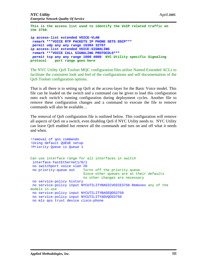**This is the access list used to identify the VoIP related traffic on the 3750.** 

**ip access-list extended VOICE-VLAN remark \*\*\*VOICE RTP PACKETS IP PHONE SETS DSCP\*\*\* permit udp any any range 16384 32767 ip access-list extended VOICE-SIGNALING remark \*\*\*VOICE CALL SIGNALING PROTOCOLS\*\*\* permit tcp any any range 1000 4000 NYC Utility specific Signaling protocol port range goes here**

The NYC Utility QoS Toolset MQC configuration files utilize Named Extended ACLs to facilitate the consistent look and feel of the configurations and self documentation of the QoS Toolset configuration options.

That is all there is to setting up QoS at the access-layer for the Basic Voice model. This file can be loaded on the switch and a command can be given to load this configuration onto each switch's running configuration during deployment cycles. Another file to remove these configuration changes and a command to execute the file to remove commands will also be available…

The removal of QoS configuration file is outlined below. This configuration will remove all aspects of QoS on a switch, even disabling QoS if NYC Utility needs to. NYC Utility can leave QoS enabled but remove all the commands and turn on and off what it needs and when.

```
!removal of qos commands
!Using default QUEUE setup
!Priority Queue is Queue 1
Can use interface range for all interfaces in switch
  interface FastEthernet1/0/1
 no switchport voice vlan 20
 no priority-queue out Turns off the priority queue
                           Since other queues are at their defaults 
                           no other changes are necessary
 no service-policy history
 no service-policy input NYCUTILITYBASICVOICE3750 Removes any of the
models in use
 no service-policy input NYCUTILITYBASEQOS3750 
 no service-policy input NYCUTILITYADVQOS3750
 no mls qos trust device cisco-phone
```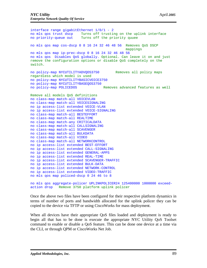```
interface range gigabitEthernet 1/0/1 - 2
no mls qos trust dscp Turns off trusting on the uplink interface
no priority-queue out Turns off the priority quuee
no mls qos map cos-dscp 0 8 16 24 32 46 48 56 Removes QoS DSCP
                                               mappings
no mls qos map ip-prec-dscp 0 8 16 24 32 46 48 56
no mls qos Disables QoS globally. Optional. Can leave it on and just 
remove the configuration options or disable QoS completely on the 
switch.
no policy-map NYCUTILITYADVQOS3750 Removes all policy maps 
regardless which model is used
no policy-map NYCUTILITYBASICVOICE3750
no policy-map NYCUTILITYBASEQOS3750
no policy-map POLICEDOS Removes advanced features as well
Remove all models QoS definitions
no class-map match-all VOICEVLAN
no class-map match-all VOICESIGNALING
no ip access-list extended VOICE-VLAN
no ip access-list extended VOICE-SIGNALING
no class-map match-all BESTEFFORT
no class-map match-all REALTIME
no class-map match-any CRITICALDATA
no class-map match-all CALLSIGNALING
no class-map match-all SCAVENGER
no class-map match-all BULKDATA
no class-map match-all VIDEO
no class-map match-all NETWORKCONTROL
no ip access-list extended BEST-EFFORT
no ip access-list extended CALL-SIGNALING
no ip access-list extended GENERAL-APPS
no ip access-list extended REAL-TIME
no ip access-list extended SCAVENGER-TRAFFIC
no ip access-list extended BULK-DATA
no ip access-list extended NETWORK-CONTROL
no ip access-list extended VIDEO-TRAFFIC
no mls qos map policed-dscp 0 24 46 to 8
no mls qos aggregate-policer UPLINKPOLICER24 125400000 1000000 exceed-
action drop Remove 3750 platform uplink policer
```
Once the above two files have been configured for their respective platform dynamics in terms of number of ports and bandwidth allocated for the uplink policer they can be copied to the device via TFTP or using CiscoWorks for mass deployment.

When all devices have their appropriate QoS files loaded and deployment is ready to begin all that has to be done is execute the appropriate NYC Utility QoS Toolset command to enable or disable a QoS feature. This can be done one device at a time via the CLI, or through QPM or CiscoWorks Net Job.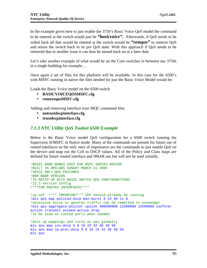In the example given here to just enable the 3750's Basic Voice QoS model the command to be entered at the switch would just be *"basicvoice".* Afterwards, if QoS needs to be rolled back all that would be entered at the switch would be *"remqos"* to remove QoS and return the switch back to its pre QoS state. With this approach if QoS needs to be removed due to another issue it can than be turned back on at a later date.

Let's take another example of what would be on the Core switches in between our 3750s in a single building for example…

Once again a set of files for this platform will be available. In this case for the 6500's with MSFC running in native the files needed for just the Basic Voice Model would be:

Loads the Basic Voice model on the 6500 switch

- **BASICVOICEQOSMSFC.cfg**
- **removeqosMSFC.cfg**

Adding and removing interface trust MQC command files

- **notrustdscpinterface.cfg**
- **trustdscpinterface.cfg**

#### *7.1.3 NYC Utility QoS Toolset 6500 Example*

Below is the Basic Voice model QoS configuration for a 6500 switch running the Supervisor II/MSFC in Native mode. Many of the commands are present for future use of routed interfaces so the only ones of importance are the commands to just enable QoS on the device and map out the CoS to DSCP values. All of the Policy and Class maps are defined for future routed interface and NBAR use but will not be used initially.

```
!BASIC BARE BONES VOIP FOR MSFC SERIES ROUTER
!BUILT IN AMILABS SUNDAY MARCH 31 2005
!VOICE ONLY QOS FEATURES
!NON NBAR VERSION
!TO MATCH UP WITH BASIC SWITCH QOS CONFIGURATIONS
!12.3 version config
!***FOR ROUTED INTERFACES****
!ip cef !*** IMPORTANT*** CEF should already be running
!mls qos map policed-dscp max-burst 0 24 46 to 8
!excessive voice or general traffic can be remarked to scavenger
!mls qos aggregate-policer uplink 400000000 12500000 12500000 conform-
action transmit exceed-action drop 
!to be used on routed ports when needed
!Sets up mappings and turns on qos globally
mls qos map cos-dscp 0 8 16 24 32 46 48 56
mls qos map ip-prec-dscp 0 8 16 24 32 46 48 56
mls qos
```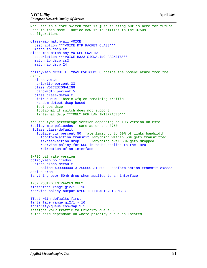```
Not used in a core switch that is just trusting but is here for future 
uses in this model. Notice how it is similar to the 3750s 
configuration.
class-map match-all VOICE
   description ***VOICE RTP PACKET CLASS***
   match ip dscp ef
class-map match-any VOICESIGNALING
   description ***VOICE H323 SIGNALING PACKETS***
   match ip dscp cs3
   match ip dscp 24
policy-map NYCUTILITYBASICVOICEMSFC notice the nomenclature from the 
3750.
   class VOICE
    priority percent 33
   class VOICESIGNALING
   bandwidth percent 5
   class class-default
   fair-queue !basic wfq on remaining traffic
   random-detect dscp-based
    !set cos dscp 
    !optional if switch does not support 
    !internal dscp ***ONLY FOR LAN INTERFACES***
!router type percentage version depending on IOS version on msfc
!policy-map policedos same as on the 3750
  !class class-default
    !police cir percent 50 !rate limit up to 50% of links bandwidth
      !conform-action transmit !anything within 50% gets transmitted
     !exceed-action drop | lanything over 50% gets dropped
      !service policy for DOS is to be applied to the INPUT
      !direction of an interface
!MFSC bit rate version 
policy-map policedos
   class class-default
      police 400000000 31250000 31250000 conform-action transmit exceed-
action drop 
!anything over 50mb drop when applied to an interface.
!FOR ROUTED INTRFACES ONLY
!interface range gi2/1 - 16
!service-policy output NYCUTILITYBASICVOICEMSFC
!Test with defaults first
!interface range gi2/1 - 16
!priority-queue cos-map 1 5
!assigns VoIP traffic to Priority queue 3
!Line card dependant on where priority queue is located
```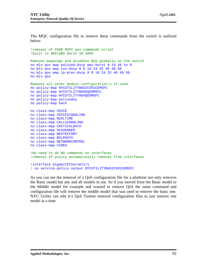The MQC configuration file to remove these commands from the switch is outlined below:

```
!removal of 6500 MSFC qos commands script
!built in AMILABS march 20 2005
Removes mappings and disables QoS globally on the switch
no mls qos map policed-dscp max-burst 0 24 46 to 8
no mls qos map cos-dscp 0 8 16 24 32 46 48 56
no mls qos map ip-prec-dscp 0 8 16 24 32 46 48 56
no mls qos
Removes all other models configuration's if used.
no policy-map NYCUTILITYBASICVOICEMSFC
no policy-map NYCUTILITYBASEQOSMSFC
no policy-map NYCUTILITYADVQOSMSFC
no policy-map policedos
no policy-map hack
no class-map VOICE
no class-map VOICESIGNALING
no class-map REALTIME
no class-map CALLSIGNALING
no class-map CRITICALDATA
no class-map SCAVENGER
no class-map BESTEFFORT
no class-map BULKDATA 
no class-map NETWORKCONTROL 
no class-map VIDEO 
!No need to do NO commands on interfaces 
!removal of policy automatically removes from interfaces
!interface GigabitEthernet1/1
! no service-policy output NYCUTILITYBASICVOICEMSFC
```
As you can see the removal of a QoS configuration file for a platform not only removes the Basic model but any and all models in use. So if you moved from the Basic model to the Middle model for example and wanted to remove QoS the same command and configuration file will remove the middle model that was used to remove the basic one. NYC Utility can edit it's QoS Toolset removal configuration files to just remove one model at a time.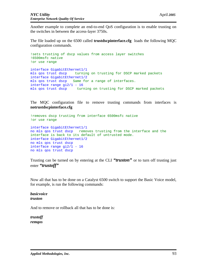Another example to complete an end-to-end QoS configuration is to enable trusting on the switches in between the access-layer 3750s.

The file loaded up on the 6500 called **trustdscpinterface.cfg** loads the following MQC configuration commands.

```
!sets trusting of dscp values from access layer switches
!6500msfc native
!or use range
interface GigabitEthernet1/1
mls qos trust dscp turning on trusting for DSCP marked packets
interface GigabitEthernet1/2
mls qos trust dscp Same for a range of interfaces.
interface range gi2/1 - 16
mls qos trust dscp turning on trusting for DSCP marked packets
```
The MQC configuration file to remove trusting commands from interfaces is **notrustdscpinterface.cfg**

```
!removes dscp trusting from interface 6500msfc native
!or use range
interface GigabitEthernet1/1
no mls qos trust dscp removes trusting from the interface and the 
interface is back to its default of untrusted mode.
interface GigabitEthernet1/2
no mls qos trust dscp
interface range gi2/1 - 16
no mls qos trust dscp
```
Trusting can be turned on by entering at the CLI *"truston"* or to turn off trusting just enter *"trustoff"* 

Now all that has to be done on a Catalyst 6500 switch to support the Basic Voice model, for example, is run the following commands:

*basicvoice truston*

And to remove or rollback all that has to be done is:

*trustoff remqos*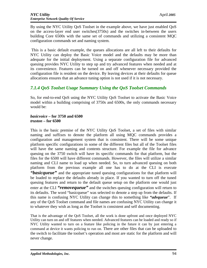By using the NYC Utility QoS Toolset in the example above, we have just enabled QoS on the access-layer end user switches(3750s) and the switches in-between the users building Core 6500s with the same set of commands and utilizing a consistent MQC configuration commands set and naming system.

This is a basic default example, the queues allocations are all left to their defaults for NYC Utility can deploy the Basic Voice model and the defaults may be more than adequate for the initial deployment. Using a separate configuration file for advanced queuing provides NYC Utility to step up and try advanced features when needed and at its convenience. Features can be turned on and off whenever necessary provided the configuration file is resident on the device. By leaving devices at their defaults for queue allocations ensures that an advance tuning option is not used if it is not necessary.

# *7.1.4 QoS Toolset Usage Summary Using the QoS Toolset Commands*

So, for end-to-end QoS using the NYC Utility QoS Toolset to activate the Basic Voice model within a building comprising of 3750s and 6500s, the only commands necessary would be:

#### *basicvoice* **– for 3750 and 6500** *truston* **– for 6500**

This is the basic premise of the NYC Utility QoS Toolset, a set of files with similar naming and suffixes to denote the platform all using MQC commands provides a configuration and management system that is consistent. There will be some unique platform specific configurations in some of the different files but all of the Toolset files will have the same naming and contents structure. For example the file for advance queuing on the 3750 switch will have its specific commands for that platform, but the files for the 6500 will have different commands. However, the files will utilize a similar naming and CLI name to load up when needed. So, to turn advanced queuing on both platform from the previous example all one has to do at the CLI is execute "*basicqueue*" and the appropriate tuned queuing configurations for that platform will be loaded to replace the defaults already in place. If you wanted to turn off the tuned queuing features and return to the default queue setup on the platform one would just enter at the CLI *"removequeue"* and the switches queuing configuration will return to its defaults. The word "basicqueue" was selected to denote a step up from the defaults. If this name is confusing NYC Utility can change this to something like *"advqueue*". If any of the QoS Toolset command and file names are confusing NYC Utility can change it to whatever they wish as long as the Toolset is consistent and self documenting.

That is the advantage of the QoS Toolset, all the work is done upfront and once deployed NYC Utility can turn on and off features when needed. Advanced features can be loaded and ready so if NYC Utility wanted to turn on a feature like policing in the future it can by just entering a command at device it wants policing to run on. There are other files that can be uploaded to the switch to facilitate the toolset's operation and most are static for the platform and will never change.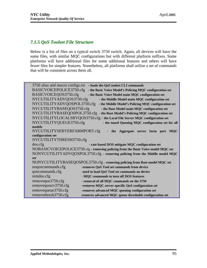# *7.1.5 QoS Toolset File Structure*

Below is a list of files on a typical switch 3750 switch. Again, all devices will have the same files, with similar MQC configurations but with different platform suffixes. Some platforms will have additional files for some additional features and others will have fewer files for simpler features. Nonetheless, all platforms shall utilize a set of commands that will be consistent across them all.

| 3750 alias and macro configs.txt<br>- loads the QoS toolset CLI commands             |                                                                             |  |  |  |  |
|--------------------------------------------------------------------------------------|-----------------------------------------------------------------------------|--|--|--|--|
| BASICVOICEPOLICE3750.cfg<br>- the Basic Voice Model's Policing MQC configuration set |                                                                             |  |  |  |  |
| BASICVOICEQOS3750.cfg<br>- the Basic Voice Model main MQC configuration set          |                                                                             |  |  |  |  |
| NYCUTILITYADVQOS3750.cfg<br>- the Middle Model main MQC configuration set            |                                                                             |  |  |  |  |
| NYCUTILITYADVQOSPOL3750.cfg<br>- the Middle Model's Policing MQC configuration set   |                                                                             |  |  |  |  |
| NYCUTILITYBASEQOS3750.cfg<br>- the Base Model main MQC configuration set             |                                                                             |  |  |  |  |
| NYCUTILITYBASEQOSPOL3750.cfg - the Base Model's Policing MQC configuration set       |                                                                             |  |  |  |  |
|                                                                                      | NYCUTILITYLOCALSRVQOS3750.cfg - the Local File Server MQC configuration set |  |  |  |  |
| NYCUTILITYQUEUE3750.cfg<br>- the tuned Queuing MQC configuration set for all         |                                                                             |  |  |  |  |
| models                                                                               |                                                                             |  |  |  |  |
| NYCUTILITYSERVERFARMPORT.cfg                                                         | the Aggregate server farm port<br><b>MQC</b>                                |  |  |  |  |
| configuration set                                                                    |                                                                             |  |  |  |  |
| NYCUTILITYTHRESH3750.cfg                                                             |                                                                             |  |  |  |  |
| dos. cfg                                                                             | - rate based DOS mitigate MQC configuration set                             |  |  |  |  |
| NOBASICVOICEPOLICE3750.cfg - removing policing from the Basic Voice model MQC set    |                                                                             |  |  |  |  |
| NONYCUTILITYADVQOSPOL3750.cfg - removing policing from the Middle model MQC          |                                                                             |  |  |  |  |
| set                                                                                  |                                                                             |  |  |  |  |
| NONYCUTILITYBASEQOSPOL3750.cfg - removing policing from Base model MQC set           |                                                                             |  |  |  |  |
| noqoscommands.cfg                                                                    | -removes QoS Tool set commands from device                                  |  |  |  |  |
| qoscommands.cfg                                                                      | -used to load QoS Tool set commands on device                               |  |  |  |  |
| remdos.cfg                                                                           | - MQC commands to turn off DOS features                                     |  |  |  |  |
| removeqos3750.cfg                                                                    | - removal of all MQC commands on the 3750                                   |  |  |  |  |
| removeqossrv3750.cfg                                                                 | -removes MQC server specific QoS configuration set                          |  |  |  |  |
| removequeue3750.cfg                                                                  | -removes advanced MQC queuing configuration set                             |  |  |  |  |
| removethresh3750.cfg                                                                 | -removes advanced MQC queue thresholds configuration set                    |  |  |  |  |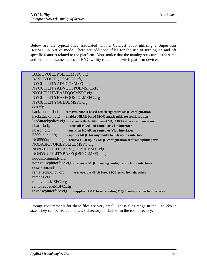Below are the typical files associated with a Catalyst 6500 utilizing a Supervisor II/MSFC in Native mode. There are additional files for the use of turning on and off specific features related to the platform. Also, notice that the naming structure is the same and will be the same across all NYC Utility router and switch platform devices.

BASICVOICEPOLICEMSFC.cfg BASICVOICEQOSMSFC.cfg NYCUTILITYADVQOSMSFC.cfg NYCUTILITYADVQOSPOLMSFC.cfg NYCUTILITYBASEQOSMSFC.cfg NYCUTILITYBASEQOSPOLMSFC.cfg NYCUTILITYQUEUEMSFC.cfg dos.cfg hackattackoff.cfg **- removes NBAR based attack signature MQC configuration** hackattackon.cfg **- enables NBAR based MQC attack mitigate configuration** loadattackpolicy.cfg -**pre loads the NBAR based MQC DOS attack configuration**  nbaroff.cfg **- turns off NBAR on routed or Vlan interfaces** nbaron.cfg **- turns on NBAR on routed or Vlan interfaces** 5500uplink.cfg **- applies MQC for any model to 55k uplink interface** NO5500uplink.cfg **- removes 55k uplink MQC configuration set from uplink ports** NOBASICVOICEPOLICEMSFC.cfg NONYCUTILITYADVQOSPOLMSFC.cfg NONYCUTILITYBASEQOSPOLMSFC.cfg noqoscommands.cfg notrustdscpinterface.cfg **- removes MQC trusting configuration from interfaces** qoscommands.cfg remattackpolicy.cfg -**removes the NBAR based MQC policy from the switch** remdos.cfg removeqosMSFC.cfg removequeueMSFC.cfg trustdscpinterface.cfg **- applies DSCP based trusting MQC configuration to interfaces**

Storage requirements for these files are very small. These files range in the 1 to 2kb in size. They can be stored in a QOS directory in flash or in the root directory.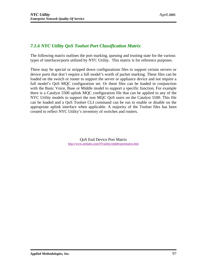# *7.1.6 NYC Utility QoS Toolset Port Classification Matrix*

The following matrix outlines the port marking, queuing and trusting state for the various types of interfaces/ports utilized by NYC Utility. This matrix is for reference purposes.

There may be special or stripped down configurations files to support certain servers or device ports that don't require a full model's worth of packet marking. These files can be loaded on the switch or router to support the server or appliance device and not require a full model's QoS MQC configuration set. Or these files can be loaded in conjunction with the Basic Voice, Base or Middle model to support a specific function. For example there is a Catalyst 5500 uplink MQC configuration file that can be applied to any of the NYC Utility models to support the non MQC QoS users on the Catalyst 5500. This file can be loaded and a QoS Toolset CLI command can be run to enable or disable on the appropriate uplink interface when applicable. A majority of the Toolset files has been created to reflect NYC Utility's inventory of switches and routers.

> QoS End Device Port Matrix [http://www.amilabs.com/NYutility/enddevportmatrix.ht](http://www.amilabs.com/NYutility/enddevportmatrix.htm)m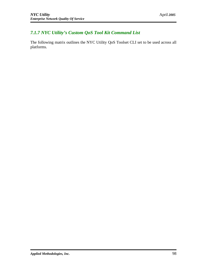# *7.1.7 NYC Utility's Custom QoS Tool Kit Command List*

The following matrix outlines the NYC Utility QoS Toolset CLI set to be used across all platforms.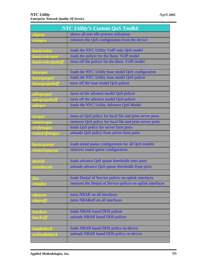| <b>NYC Utility's Custom QoS Toolkit</b> |                                                            |  |  |
|-----------------------------------------|------------------------------------------------------------|--|--|
| shproc                                  | shows all non idle process utilization                     |  |  |
| remqos                                  | removes the QoS configuration from the device              |  |  |
|                                         |                                                            |  |  |
| <i>basicvoice</i>                       | loads the NYC Utility VoIP only QoS model                  |  |  |
| basicvoicepol                           | loads the policer for the Basic VoIP model                 |  |  |
| basicvoicepoloff                        | turns off the policer for the Basic VoIP model             |  |  |
|                                         |                                                            |  |  |
| baseqos                                 | loads the NYC Utility base model QoS configuration         |  |  |
| baseqospol                              | loads the NYC Utility base model QoS policer               |  |  |
| baseqospoloff                           | turns off the base model QoS policer                       |  |  |
|                                         |                                                            |  |  |
| advqospol                               | turns on the advance model QoS policer                     |  |  |
| advqospoloff                            | turns off the advance model QoS policer                    |  |  |
| advqos                                  | loads the NYC Utility Advance QoS Model                    |  |  |
|                                         |                                                            |  |  |
| <b>TVqos</b>                            | turns on QoS policy for local file and print server ports  |  |  |
| remsrvqos                               | removes QoS policy for local file and print server ports   |  |  |
| srvfrmqos                               | loads QoS policy for server farm ports                     |  |  |
| remsrvfrmqos                            | unloads QoS policy from server farm ports                  |  |  |
|                                         |                                                            |  |  |
| basicqueue                              | loads tuned queue configuration for all QoS models         |  |  |
| removequeue                             | removes tuned queue configuration                          |  |  |
|                                         |                                                            |  |  |
| <u>thresh</u>                           | loads advance QoS queue thresholds onto ports              |  |  |
| remthresh                               | unloads advance QoS queue thresholds from ports            |  |  |
|                                         |                                                            |  |  |
| dos                                     | loads Denial of Service policer on uplink interfaces       |  |  |
| remdos                                  | removes the Denial of Service policer on uplink interfaces |  |  |
|                                         |                                                            |  |  |
| nbaron                                  | turns NBAR on all interfaces                               |  |  |
| nbaroff                                 | turns NBARoff on all interfaces                            |  |  |
|                                         |                                                            |  |  |
| hackon                                  | loads NBAR based DOS policer                               |  |  |
| hackoff                                 | unloads NBAR based DOS policer                             |  |  |
|                                         |                                                            |  |  |
| loadattack                              | loads NBAR based DOS policy on device                      |  |  |
| unloadattack                            | unloads NBAR based DOS policy on device                    |  |  |
|                                         |                                                            |  |  |
|                                         |                                                            |  |  |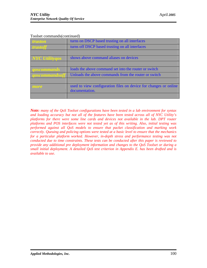| <i>truston</i>        | turns on DSCP based trusting on all interfaces                   |
|-----------------------|------------------------------------------------------------------|
| <i>trustoff</i>       | turns off DSCP based trusting on all interfaces                  |
|                       |                                                                  |
| <b>NYC</b> Utilityqos | shows above command aliases on devices                           |
|                       |                                                                  |
| goscommands           | loads the above command set into the router or switch            |
| <i>qoscommandsoff</i> | Unloads the above commands from the router or switch             |
|                       |                                                                  |
| more                  | used to view configuration files on device for changes or online |
|                       | documentation.                                                   |
|                       |                                                                  |

Toolset commands(continued)

*Note: many of the QoS Toolset configurations have been tested in a lab environment for syntax and loading accuracy but not all of the features have been tested across all of NYC Utility's platforms for there were some line cards and devices not available in the lab. DPT router platforms and POS interfaces were not tested yet as of this writing. Also, initial testing was performed against all QoS models to ensure that packet classification and marking work correctly. Queuing and policing options were tested at a basic level to ensure that the mechanics for a particular platform worked. However, in-depth stress and performance testing was not conducted due to time constraints. These tests can be conducted after this paper is reviewed to provide any additional pre deployment information and changes to the QoS Toolset or during a small initial deployment. A detailed QoS test criterion in Appendix E. has been drafted and is available to use.*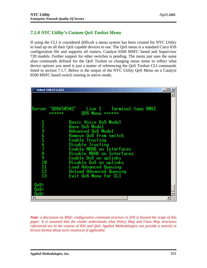# *7.1.8 NYC Utility's Custom QoS Toolset Menu*

If using the CLI is considered difficult a menu system has been created for NYC Utility to load up on all their QoS capable devices to use. The QoS menu is a standard Cisco IOS configuration file and supports all routers, Catalyst 6500 MSFC based and Supervisor 720 models. Further support for other switches is pending. The menu just uses the same alias commands defined for the QoS Toolset so changing menu items to reflect what device options you need is just a matter of referencing the QoS Toolset CLI commands listed in section 7.1.7. Below is the output of the NYC Utility QoS Menu on a Catalyst 6500 MSFC based switch running in native mode.

| <b>EXT elnet 158.57.5.253</b> |                                                  | -10 |
|-------------------------------|--------------------------------------------------|-----|
|                               |                                                  |     |
|                               |                                                  |     |
|                               | Server "00S6505#2"                               |     |
|                               | 00S Menu ******                                  |     |
|                               |                                                  |     |
|                               | <b>Basic Voice QoS Model</b><br>Base QoS Model   |     |
| 2345678910                    | Advanced QoS Model                               |     |
|                               | Remove QoS from switch                           |     |
|                               | Enable Trusting                                  |     |
|                               | Disable Trusting<br>Enable NBAR on Interfaces    |     |
|                               | Disable NBAR on Interfaces                       |     |
|                               | Enable DoS on uplinks                            |     |
|                               | Disable DoS on uplinks                           |     |
| 11<br>12                      | Load Advanced Queuing<br>Unload Advanced Queuing |     |
| 13                            | Exit QoS Menu for CLI                            |     |
|                               |                                                  |     |
| 0 <sub>0</sub>                |                                                  |     |
| 0oS><br>0 <sub>0</sub>        |                                                  |     |
|                               |                                                  |     |

*Note: a discussion on MQC configuration command structure in IOS is beyond the scope of this paper. It is assumed that the reader understands what Policy Map and Class Map structures referenced are in the context of IOS and QoS. Applied Methodologies can provide a tutorial in lecture format about such constructs if applicable.*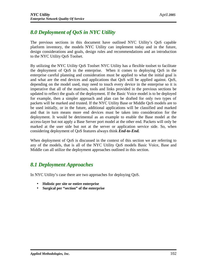# *8.0 Deployment of QoS in NYC Utility*

The previous sections in this document have outlined NYC Utility's QoS capable platform inventory, the models NYC Utility can implement today and in the future, design considerations and goals, design rules and recommendations and an introduction to the NYC Utility QoS Toolset.

By utilizing the NYC Utility QoS Toolset NYC Utility has a flexible toolset to facilitate the deployment of QoS in the enterprise. When it comes to deploying QoS in the enterprise careful planning and consideration must be applied to what the initial goal is and what are the end devices and applications that QoS will be applied against. QoS, depending on the model used, may need to touch every device in the enterprise so it is imperative that all of the matrixes, tools and links provided in the previous sections be updated to reflect the goals of the deployment. If the Basic Voice model is to be deployed for example, then a simpler approach and plan can be drafted for only two types of packets will be marked and trusted. If the NYC Utility Base or Middle QoS models are to be used initially, or in the future, additional applications will be classified and marked and that in turn means more end devices must be taken into consideration for the deployment. It would be detrimental as an example to enable the Base model at the access-layer but not apply a Base Server port model at the other end. Packets will only be marked at the user side but not at the server or application service side. So, when considering deployment of QoS features always think *End-to-End.*

When deployment of OoS is discussed in the context of this section we are referring to any of the models, that is all of the NYC Utility QoS models Basic Voice, Base and Middle can all utilize the deployment approaches outlined in this section.

# *8.1 Deployment Approaches*

In NYC Utility's case there are two approaches for deploying QoS.

- **Holistic per site or entire enterprise**
- **Surgical per "section" of the enterprise**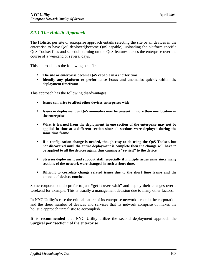# *8.1.1 The Holistic Approach*

The Holistic per site or enterprise approach entails selecting the site or all devices in the enterprise to have QoS deployed(become QoS capable), uploading the platform specific QoS Toolset files and schedule turning on the QoS features across the enterprise over the course of a weekend or several days.

This approach has the following benefits:

- **The site or enterprise become QoS capable in a shorter time**
- **Identify any platform or performance issues and anomalies quickly within the deployment timeframe**

This approach has the following disadvantages:

- **Issues can arise to affect other devices enterprises wide**
- **Issues in deployment or QoS anomalies may be present in more than one location in the enterprise**
- **What is learned from the deployment in one section of the enterprise may not be applied in time at a different section since all sections were deployed during the same time frame.**
- **If a configuration change is needed, though easy to do using the QoS Toolset, but not discovered until the entire deployment is complete then the change will have to be applied to all the devices again, thus causing a "re-visit" to the device.**
- **Stresses deployment and support staff, especially if multiple issues arise since many sections of the network were changed in such a short time.**
- **Difficult to correlate change related issues due to the short time frame and the amount of devices touched.**

Some corporations do prefer to just **"get it over with"** and deploy their changes over a weekend for example. This is usually a management decision due to many other factors.

In NYC Utility's case the critical nature of its enterprise network's role in the corporation and the sheer number of devices and services that its network comprise of makes the holistic approach unrealistic to accomplish.

**It is recommended** that NYC Utility utilize the second deployment approach the **Surgical per "section" of the enterprise**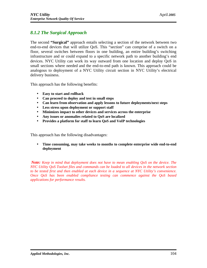# *8.1.2 The Surgical Approach*

The second **"Surgical"** approach entails selecting a section of the network between two end-to-end devices that will utilize QoS. This "section" can comprise of a switch on a floor, several switches between floors in one building, an entire building's switching infrastructure and or could expand to a specific network path to another building's end devices. NYC Utility can work its way outward from one location and deploy QoS in small sections where needed and the end-to-end path is known. This approach could be analogous to deployment of a NYC Utility circuit section in NYC Utility's electrical delivery business.

This approach has the following benefits:

- **Easy to start and rollback**
- **Can proceed to deploy and test in small steps**
- **Can learn from observation and apply lessons to future deployments/next steps**
- **Less stress upon deployment or support staff**
- **Minimizes impact to other devices and services across the enterprise**
- **Any issues or anomalies related to QoS are localized**
- **Provides a platform for staff to learn QoS and VoIP technologies**

This approach has the following disadvantages:

• **Time consuming, may take weeks to months to complete enterprise wide end-to-end deployment**

*Note: Keep in mind that deployment does not have to mean enabling QoS on the device. The NYC Utility QoS Toolset files and commands can be loaded to all devices in the network section to be tested first and then enabled at each device in a sequence at NYC Utility's convenience. Once QoS has been enabled compliance testing can commence against the QoS based applications for performance results.*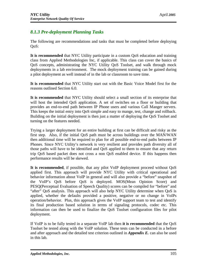# *8.1.3 Pre-deployment Planning Tasks*

The following are recommendations and tasks that must be completed before deploying QoS:

**It is recommended** that NYC Utility participate in a custom QoS education and training class from Applied Methodologies Inc, if applicable. This class can cover the basics of QoS concepts, administrating the NYC Utility QoS Toolset, and walk through mock deployments in a lab environment. The mock deployment training can be gained during a pilot deployment as well instead of in the lab or classroom to save time.

**It is recommended** that NYC Utility start out with the Basic Voice Model first for the reasons outlined Section 6.0.

**It is recommended** that NYC Utility should select a small section of its enterprise that will host the intended QoS application. A set of switches on a floor or building that provides an end-to-end path between IP Phone users and various Call Manger servers. This keeps the initial entry into QoS simple and easy to mange, test, change and rollback. Building on the initial deployment is then just a matter of deploying the QoS Toolset and turning on the features needed.

Trying a larger deployment for an entire building at first can be difficult and risky as the first step. Also, if the initial QoS path must be across buildings over the MAN/WAN then additional time will be required to plan for all possible end-to-end paths between IP Phones. Since NYC Utility's network is very resilient and provides path diversity all of those paths will have to be identified and QoS applied to them to ensure that any return trip QoS based packet does not cross a non QoS enabled device. If this happens then performance results will be skewed.

**It is recommended**, if possible, that any pilot VoIP deployment proceed without QoS applied first. This approach will provide NYC Utility with critical operational and behavior information about VoIP in general and will also provide a "before" snapshot of the VoIP's QoS before QoS is deployed. MOS(Mean Opinion Score) and PESQ(Perceptual Evaluation of Speech Quality) scores can be compiled for "before" and "after" QoS analysis. This approach will also help NYC Utility determine when QoS is applied, whether the defaults provided a positive, negative or no change in VoIPs operation/behavior. Plus, this approach gives the VoIP support team to test and identify its final production based solution in terms of signaling protocols, codec etc. This information can then be used to finalize the QoS Toolset configuration files for pilot deployment.

If VoIP is to be fully tested in a separate VoIP lab then **it is recommended** that the QoS Toolset be tested along with the VoIP solution. These tests can be conducted in a before and after approach and the detailed test criterion outlined in *Appendix E.* can also be used in this lab.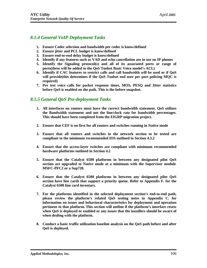## *8.1.4 General VoIP Deployment Tasks*

- **1. Ensure Codec selection and bandwidth per codec is know/defined**
- **2. Ensure jitter and PCL budget is know/defined**
- **3. Ensure end-to-end delay budget is know/defined**
- **4. Identify if any features such as VAD and echo cancellation are in use on IP phones**
- **5. Identify the Signaling protocol(s) and all of its associated ports or range of ports(these will be added to the QoS Toolset Basic Voice model's ACL)**
- **6. Identify if CAC features to restrict calls and call bandwidth will be used or if QoS will provide(this determines if the QoS Toolset end user per port policing MQC is required)**
- **7. Pre test voice calls for packet response times, MOS, PESQ and Jitter statistics before QoS is enabled on the path. This is the before snapshot.**

# *8.1.5 General QoS Pre-deployment Tasks*

- **1. All interfaces on routers must have the correct bandwidth statement. QoS utilizes the Bandwidth statement and not the line/clock rate for bandwidth percentages. This should have been completed from the EIGRP migration project.**
- **2. Ensure that CEF is on first for all routers and switches running in Native mode**
- **3. Ensure that all routers and switches in the network section to be tested are compliant to the minimum recommended IOS outlined in Section 4.3.2**
- **4. Ensure that the access-layer switches are compliant with minimum recommended hardware platforms outlined in Section 4.2**
- **5. Ensure that the Catalyst 6500 platforms in between any designated pilot QoS section are upgraded to Native mode at a minimum with the Supervisor module MSFC-PFC2 or a Sup720.**
- **6. Ensure that the Catalyst 6500 platforms in between any designated pilot QoS section have line cards that support a priority queue. Refer to Appendix F. for the Catalyst 6500 line card inventory.**
- **7. For the platforms identified in the selected deployment section's end-to-end path, please review the platform's related QoS testing notes in Appendix C. for information on issues and behavioral characteristics for deployment and operation pertinent to that platform. This section will outline if the platform's interface resets when QoS is deployed or enabled or any issues that the installers should be aware of when dealing with the platform.**
- **8. Conduct a basic traffic utilization baseline analysis on the QoS path before and after QoS is deployed.**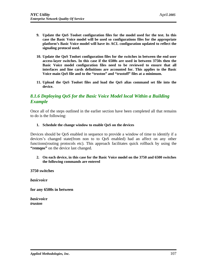- **9. Update the QoS Toolset configuration files for the model used for the test. In this case the Basic Voice model will be used so configurations files for the appropriate platform's Basic Voice model will have its ACL configuration updated to reflect the signaling protocol used.**
- **10. Update the QoS Toolset configuration files for the switches in between the end user access-layer switches. In this case if the 6500s are used in between 3750s then the Basic Voice model configuration files need to be reviewed to ensure that all interfaces and line cards definitions are accounted for. This applies to the Basic Voice main QoS file and to the "truston" and "trustoff" files at a minimum.**
- **11. Upload the QoS Toolset files and load the QoS alias command set file into the device.**

# *8.1.6 Deploying QoS for the Basic Voice Model local Within a Building Example*

Once all of the steps outlined in the earlier section have been completed all that remains to do is the following:

#### **1. Schedule the change window to enable QoS on the devices**

Devices should be QoS enabled in sequence to provide a window of time to identify if a devices's changed state(from non to to QoS enabled) had an affect on any other functions(routing protocols etc). This approach facilitates quick rollback by using the "**remqos**" on the device last changed.

#### **2. On each device, in this case for the Basic Voice model on the 3750 and 6500 switches the following commands are entered**

**3750 switches**

*basicvoice*

**for any 6500s in between**

*basicvoice truston*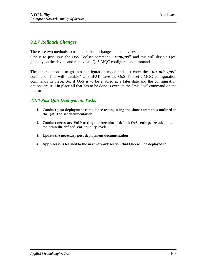#### *8.1.7 Rollback Changes*

There are two methods to rolling back the changes to the devices.

One is to just issue the QoS Toolset command *"remqos"* and this will disable QoS globally on the device and remove all QoS MQC configuration commands.

The other option is to go into configuration mode and just enter the *"no mls qos"* command. This will "disable" QoS **BUT** leave the QoS Toolset's MQC configuration commands in place. So, if QoS is to be enabled at a later date and the configuration options are still in place all that has to be done is execute the "mls qos" command on the platform.

### *8.1.8 Post QoS Deployment Tasks*

- **1. Conduct post deployment compliance testing using the show commands outlined in the QoS Toolset documentation.**
- **2. Conduct necessary VoIP testing to determine if default QoS settings are adequate to maintain the defined VoIP quality levels.**
- **3. Update the necessary post deployment documentation**
- **4. Apply lessons learned to the next network section that QoS will be deployed to.**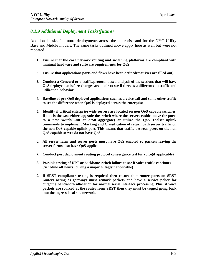# *8.1.9 Additional Deployment Tasks(future)*

Additional tasks for future deployments across the enterprise and for the NYC Utility Base and Middle models. The same tasks outlined above apply here as well but were not repeated.

- **1. Ensure that the core network routing and switching platforms are compliant with minimal hardware and software requirements for QoS**
- **2. Ensure that applications ports and flows have been defined(matrixes are filled out)**
- **3. Conduct a Concord or a traffic/protocol based analysis of the sections that will have QoS deployed to before changes are made to see if there is a difference in traffic and utilization behavior.**
- **4. Baseline of pre QoS deployed applications such as a voice call and some other traffic to see the difference when QoS is deployed across the enterprise**
- **5. Identify if critical enterprise wide servers are located on non QoS capable switches. If this is the case either upgrade the switch where the servers reside, move the ports to a new switch(6500 or 3750 aggregate) or utilize the QoS Toolset uplink commands to implement Marking and Classification of return path server traffic on the non QoS capable uplink port. This means that traffic between peers on the non QoS capable server do not have QoS.**
- **6. All server farm and server ports must have QoS enabled so packets leaving the server farms also have QoS applied**
- **7. Conduct post deployment routing protocol convergence test for voice(if applicable)**
- **8. Possible testing of DPT or backbone switch failure to see if voice traffic continues (Schedule off hours) during a major outage(if applicable)**
- **9. If SRST compliance testing is required then ensure that router ports on SRST routers acting as gateways must remark packets and have a service policy for outgoing bandwidth allocation for normal serial interface processing. Plus, if voice packets are sourced at the router from SRST then they must be tagged going back into the ingress local site network.**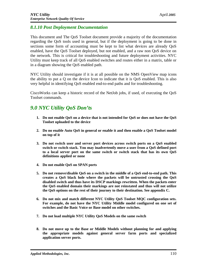## *8.1.10 Post Deployment Documentation*

This document and The QoS Toolset document provide a majority of the documentation regarding the QoS tools used in general, but if the deployment is going to be done in sections some form of accounting must be kept to list what devices are already QoS enabled, have the QoS Toolset deployed, but not enabled, and a raw non QoS device on the network. This is critical for troubleshooting and future deployment activities. NYC Utility must keep track of all QoS enabled switches and routes either in a matrix, table or in a diagram showing the QoS enabled path.

NYC Utility should investigate if it is at all possible on the NMS OpenView map icons the ability to put a Q on the device Icon to indicate that it is QoS enabled. This is also very helpful in identifying QoS enabled end-to-end paths and for troubleshooting.

CiscoWorks can keep a historic record of the NetJob jobs, if used, of executing the QoS Toolset commands.

# *9.0 NYC Utility QoS Don'ts*

- **1. Do not enable QoS on a device that is not intended for QoS or does not have the QoS Toolset uploaded to the device**
- **2. Do no enable Auto QoS in general or enable it and then enable a QoS Toolset model on top of it**
- **3. Do not switch user and server port devices across switch ports on a QoS enabled switch or switch stack. You may inadvertently move a user from a QoS defined port to a local server port on the same switch or switch stack that has its own QoS definitions applied or none**
- **4. Do not enable QoS on SPAN ports**
- **5. Do not remove/disable QoS on a switch in the middle of a QoS end-to-end path. This creates a QoS black hole where the packets will be untrusted crossing the QoS disabled switch and thus have its DSCP markings rewritten. When the packets enter the QoS enabled domain their markings are not reinstated and thus will not utilize the QoS options on the rest of their journey to their destination. See appendix C.**
- **6. Do not mix and match different NYC Utility QoS Toolset MQC configuration sets. For example, do not have the NYC Utility Middle model configured on one set of switches and the Basic Voice or Base model on other switches.**
- **7. Do not load multiple NYC Utility QoS Models on the same switch**
- **8. Do not move up to the Base or Middle Models without planning for and applying the appropriate models against general server farm ports and specialized application server ports.**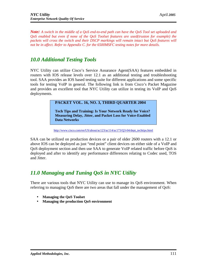*Note: A switch in the middle of a QoS end-to-end path can have the QoS Tool set uploaded and QoS enabled but even if none of the QoS Toolset features are used(truston for example) the packets will cross the switch and their DSCP markings will remain intact but QoS features will not be in affect. Refer to Appendix C. for the 6500MSFC testing notes for more details.*

# *10.0 Additional Testing Tools*

NYC Utility can utilize Cisco's Service Assurance Agent(SAA) features embedded in routers with IOS release levels over 12.1 as an additional testing and troubleshooting tool. SAA provides an IOS based testing suite for different applications and some specific tools for testing VoIP in general. The following link is from Cisco's Packet Magazine and provides an excellent tool that NYC Utility can utilize in testing its VoIP and QoS deployments.

## **PACKET VOL. 16, NO. 3, THIRD QUARTER 2004**

**Tech Tips and Training: Is Your Network Ready for Voice? Measuring Delay, Jitter, and Packet Loss for Voice-Enabled Data Networks**

#### [http://www.cisco.com/en/US/about/ac123/ac114/ac173/Q](http://www.cisco.com/en/US/about/ac123/ac114/ac173/Q3)3-04/dept\_techtips.html

SAA can be utilized on production devices or a pair of older 2600 routers with a 12.1 or above IOS can be deployed as just "end point" client devices on either side of a VoIP and QoS deployment section and then use SAA to generate VoIP related traffic before QoS is deployed and after to identify any performance differences relating to Codec used, TOS and Jitter.

# *11.0 Managing and Tuning QoS in NYC Utility*

There are various tools that NYC Utility can use to manage its QoS environment. When referring to managing QoS there are two areas that fall under the management of QoS:

- **Managing the QoS Toolset**
- **Managing the production QoS environment**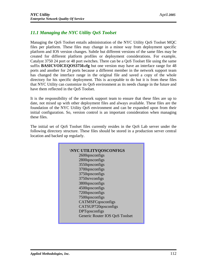# *11.1 Managing the NYC Utility QoS Toolset*

Managing the QoS Toolset entails administration of the NYC Utility QoS Toolset MQC files per platform. These files may change in a minor way from deployment specific platform and IOS version changes. Subtle but different versions of the same files may be created for different platform profiles or deployment considerations. For example, Catalyst 3750 24 port or 48 port switches. There can be a QoS Toolset file using the same suffix **BASICVOICEQOS3750.cfg** but one version may have an interface range for 48 ports and another for 24 ports because a different member in the network support team has changed the interface range in the original file and saved a copy of the whole directory for his specific deployment. This is acceptable to do but it is from these files that NYC Utility can customize its QoS environment as its needs change in the future and have them reflected in the QoS Toolset.

It is the responsibility of the network support team to ensure that these files are up to date, not mixed up with other deployment files and always available. These files are the foundation of the NYC Utility QoS environment and can be expanded upon from their initial configuration. So, version control is an important consideration when managing these files.

The initial set of QoS Toolset files currently resides in the QoS Lab server under the following directory structure. These files should be stored in a production server central location and backed up regularly.

| <b>NYC UTILITYQOSCONFIGS</b>   |
|--------------------------------|
| 2600gosconfigs                 |
| 2800qosconfigs                 |
| 3550qosconfigs                 |
| 3700qosconfigs                 |
| 3750qosconfigs                 |
| 3750srvconfigs                 |
| 3800qosconfigs                 |
| 4500qosconfigs                 |
| 7200qosconfigs                 |
|                                |
| 7500qosconfigs                 |
| CATMSFCqosconfigs              |
| CATSUP720qosconfigs            |
| <b>DPT</b> qosconfigs          |
| Generic Router IOS QoS Toolset |
|                                |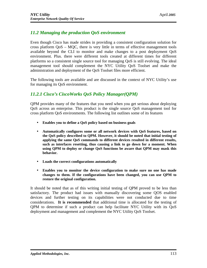## *11.2 Managing the production QoS environment*

Even though Cisco has made strides in providing a consistent configuration solution for cross platform QoS – MQC, there is very little in terms of effective management tools available beyond the CLI to monitor and make changes to a post deployment QoS environment. Plus. there were different tools created at different times for different platforms so a consistent single source tool for managing QoS is still evolving. The ideal management tool should complement the NYC Utility QoS Toolset and make the administration and deployment of the QoS Toolset files more efficient.

The following tools are available and are discussed in the context of NYC Utility's use for managing its QoS environment.

## *11.2.1 Cisco's CiscoWorks QoS Policy Manager(QPM)*

QPM provides many of the features that you need when you get serious about deploying QoS across an enterprise. This product is the single source QoS management tool for cross platform QoS environments. The following list outlines some of its features

- **Enables you to define a QoS policy based on business goals**
- **Automatically configures some or all network devices with QoS features, based on the QoS policy described to QPM. However, it should be noted that initial testing of applying the same QoS commands to different devices resulted in different results, such as interfaces resetting, thus causing a link to go down for a moment. When using QPM to deploy or change QoS functions be aware that QPM may mask this behavior.**
- **Loads the correct configurations automatically**
- **Enables you to monitor the device configuration to make sure no one has made changes to them. If the configurations have been changed, you can use QPM to restore the original configuration.**

It should be noted that as of this writing initial testing of QPM proved to be less than satisfactory. The product had issues with manually discovering some QOS enabled devices and further testing on its capabilities were not conducted due to time considerations. **It is recommended** that additional time is allocated for the testing of QPM to determine if such a product can help facilitate NYC Utility with its QoS deployment and management and complement the NYC Utility QoS Toolset.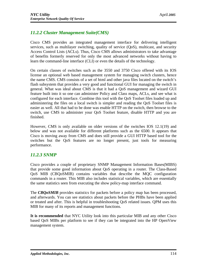# *11.2.2 Cluster Management Suite(CMS)*

Cisco CMS provides an integrated management interface for delivering intelligent services, such as multilayer switching, quality of service (QoS), multicast, and security Access Control Lists (ACLs). Thus, Cisco CMS allows administrators to take advantage of benefits formerly reserved for only the most advanced networks without having to learn the command-line interface (CLI) or even the details of the technology.

On certain classes of switches such as the 3550 and 3750 Cisco offered with its IOS license an optional web based management system for managing switch clusters, hence the name CMS. CMS consists of a set of html and other java files located on the switch's flash subsystem that provides a very good and functional GUI for managing the switch in general. What was ideal about CMS is that it had a QoS management and wizard GUI feature built into it so one can administer Policy and Class maps, ACLs, and see what is configured for each interface. Combine this tool with the QoS Toolset files loaded up and administering the files on a local switch is simpler and reading the QoS Toolset files is easier as well. All that had to be done was enable HTTP on the switch, then browse to the switch, use CMS to administer your QoS Toolset feature, disable HTTP and you are finished.

However, CMS is only available on older versions of the switches IOS 12.1(19) and below and was not available for different platforms such as the 6500. It appears that Cisco is moving away from CMS and does still provide a GUI HTTP based tool for the switches but the QoS features are no longer present, just tools for measuring performance.

## *11.2.3 SNMP*

Cisco provides a couple of proprietary SNMP Management Information Bases(MIBS) that provide some good information about QoS operating in a router. The Class-Based QoS MIB (CBQoSMIB) contains variables that describe the MQC configuration commands in a router. This MIB also includes statistical variables, which are essentially the same statistics seen from executing the show policy-map interface command.

The *CBO<sub>O</sub>SMIB* provides statistics for packets before a policy map has been processed, and afterwards. You can see statistics about packets before the PHBs have been applied or treated and after. This is helpful in troubleshooting QoS related issues. QPM uses this MIB for many of its reports and management functions.

**It is recommended** that NYC Utility look into this particular MIB and any other Cisco based QoS MIBs per platform to see if they can be integrated into the HP OpenView management system.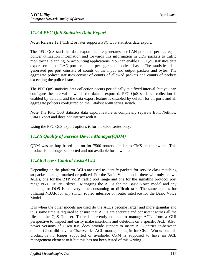# *11.2.4 PFC QoS Statistics Data Export*

**Note:** Release 12.1(11b)E or later supports PFC QoS statistics data export.

The PFC QoS statistics data export feature generates per-LAN-port and per-aggregate policer utilization information and forwards this information in UDP packets to traffic monitoring, planning, or accounting applications. You can enable PFC QoS statistics data export on a per-LAN-port or on a per-aggregate policer basis. The statistics data generated per port consists of counts of the input and output packets and bytes. The aggregate policer statistics consist of counts of allowed packets and counts of packets exceeding the policed rate.

The PFC QoS statistics data collection occurs periodically at a fixed interval, but you can configure the interval at which the data is exported. PFC QoS statistics collection is enabled by default, and the data export feature is disabled by default for all ports and all aggregate policers configured on the Catalyst 6500 series switch.

**Note** The PFC QoS statistics data export feature is completely separate from NetFlow Data Export and does not interact with it.

Using the PFC QoS export options is for the 6500 series only.

## *11.2.5 Quality of Service Device Manager(QDM)*

QDM was an http based add-on for 7500 routers similar to CMS on the switch. This product is no longer supported and not available for download.

## *11.2.6 Access Control Lists(ACL)*

Depending on the platform ACLs are used to identify packets for service class matching so packets can get marked or policed. For the Basic Voice model there will only be two ACLs, one for the RTP VoIP traffic port range and one for the signaling protocol port range NYC Utility utilizes. Managing the ACLs for the Basic Voice model and any policing for DOS is not very time consuming or difficult task. The same applies for utilizing NBAR for any switch routed interface or router interface for the Basic Voice Model.

It is when the other models are used do the ACLs become larger and more granular and thus some time is required to ensure that ACLs are accurate and consistent across all the files in the QoS Toolset. There is currently no tool to manage ACLs from a GUI perspective to inspect and easily make insertions and deletions on a specific ACL. Also, newer versions of Cisco IOS does provide support to insert ACL entries in-between others. Cisco did have a CiscoWorks ACL manager plug-in for Cisco Works but this product is no longer supported or available. QPM is supposed to have an ACL management element to it but this has not been tested of this writing.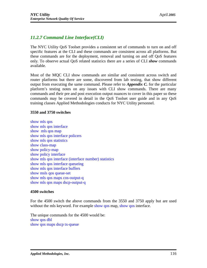# *11.2.7 Command Line Interface(CLI)*

The NYC Utility QoS Toolset provides a consistent set of commands to turn on and off specific features at the CLI and these commands are consistent across all platforms. But these commands are for the deployment, removal and turning on and off QoS features only. To observe actual QoS related statistics there are a series of CLI *show* commands available.

Most of the MQC CLI show commands are similar and consistent across switch and router platforms but there are some, discovered from lab testing, that show different output from executing the same command. Please refer to *Appendix C.* for the particular platform's testing notes on any issues with CLI show commands. There are many commands and their pre and post execution output nuances to cover in this paper so these commands may be covered in detail in the QoS Toolset user guide and in any QoS training classes Applied Methodologies conducts for NYC Utility personnel.

### **3550 and 3750 switches**

show mls qos show mls qos interface show mls qos map show mls qos interface policers show mls qos statistics show class-map show policy-map show policy interface show mls qos interface (interface number) statistics show mls qos interface queueing show mls qos interface buffers show msls qos queue-set show mls qos maps cos-output-q show mls qos maps dscp-output-q

#### **4500 switches**

For the 4500 switch the above commands from the 3550 and 3750 apply but are used without the mls keyword. For example show gos map, show gos interface.

The unique commands for the 4500 would be: show qos dbl show qos maps dscp tx-queue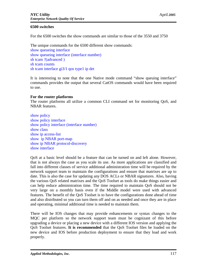### **6500 switches**

For the 6500 switches the show commands are similar to those of the 3550 and 3750

The unique commands for the 6500 different show commands: show queueing interface show queueing interface (interface number) sh tcam ?(advanced ) sh tcam counts sh tcam interface gi3/1 qos type1 ip det

It is interesting to note that the one Native mode command "show queuing interface" commands provides the output that several CatOS commands would have been required to use.

### **For the router platforms**

The router platforms all utilize a common CLI command set for monitoring QoS, and NBAR features.

show policy show policy interface show policy interface (interface number) show class show ip access-list show ip NBAR port-map show ip NBAR protocol-discovery show interface

QoS at a basic level should be a feature that can be turned on and left alone. However, that is not always the case as you scale its use. As more applications are classified and fall into different classes of service additional administration time will be required by the network support team to maintain the configurations and ensure that matrixes are up to date. This is also the case for updating any DOS ACLs or NBAR signatures. Also, having the various QoS related matrixes and the QoS Toolset as tools do make things easier and can help reduce administration time. The time required to maintain QoS should not be very large on a monthly basis even if the Middle model were used with advanced features. The benefit of the QoS Toolset is to have the configurations done ahead of time and also distributed so you can turn them off and on as needed and once they are in place and operating, minimal additional time is needed to maintain them.

There will be IOS changes that may provide enhancements or syntax changes to the MQC per platform so the network support team must be cognizant of this before upgrading a device or placing a new device with a different IOS version and applying the QoS Toolset features. **It is recommended** that the QoS Toolset files be loaded on the new device and IOS before production deployment to ensure that they load and work properly.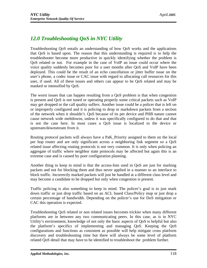# *12.0 Troubleshooting QoS in NYC Utility*

Troubleshooting QoS entails an understanding of how QoS works and the applications that QoS is based upon. The reason that this understanding is required is to help the troubleshooter become more productive in quickly identifying whether the problem is QoS related or not. For example in the case of VoIP an issue could occur where the voice quality suddenly becomes poor for a user months after QoS and VoIP have been deployed. This could be the result of an echo cancellation or jitter buffer issue on the user's phone, a codec issue or CAC issue with regard to allocating call resources for this user, if used. All of these issues and others can appear to be QoS related and may be masked or intensified by QoS.

The worst issues that can happen resulting from a QoS problem is that when congestion is present and QoS is not tuned or operating properly some critical packets such as VoIP may get dropped or the call quality suffers. Another issue could be a policer that is left on or improperly configured and it is policing to drop or markdown packets from a section of the network when it shouldn't. QoS because of its per device and PHB nature cannot cause network wide meltdowns, unless it was specifically configured to do that and that is not the case here. In most cases a QoS issue is localized to the device or upstream/downstream from it.

Routing protocol packets will always have a PaK\_Priority assigned to them on the local per hop router and are only significant across a neighboring link segment so a QoS related issue affecting routing protocols is not very common. It is only when policing an aggregate of traffic where neighbor state protocols may be affected but again this is an extreme case and is caused by poor configuration planning.

Another thing to keep in mind is that the access-lists used in QoS are just for marking packets and not for blocking them and thus never applied in a manner to an interface to block traffic. Incorrectly marked packets will just be handled at a different class level and may become a candidate to be dropped but only when congestion is present.

Traffic policing is also something to keep in mind. The policer's goal is to just mark down traffic or just drop traffic based on an ACL based Class/Policy map or just drop a certain percentage of bandwidth. Depending on the policer's use for DoS mitigation or CAC this operation is expected.

Troubleshooting QoS related or non related issues becomes trickier when many different platforms are in between any two communicating peers. In this case, as is in NYC Utility's environment, knowledge of not only the basic aspects of QoS is helpful but also the platform's specifics of implementing and managing QoS. Keeping the QoS configurations and functions as consistent as possible will help mitigate cross platform discovery and troubleshooting time but there will always be some level of platform related QoS detail that may have to be identified to troubleshoot the problem further.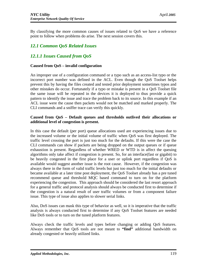By classifying the more common causes of issues related to QoS we have a reference point to follow when problems do arise. The next session covers this.

# *12.1 Common QoS Related Issues*

# *12.1.1 Issues Caused from QoS*

## **Caused from QoS – invalid configuration**

An improper use of a configuration command or a typo such as an access-list typo or the incorrect port number was defined in the ACL. Even though the QoS Toolset helps prevent this by having the files created and tested prior deployment sometimes typos and other mistakes do occur. Fortunately if a typo or mistake is present in a QoS Toolset file the same issue will be repeated in the devices it is deployed to thus provide a quick pattern to identify the issue and trace the problem back to its source. In this example if an ACL issue were the cause then packets would not be matched and marked properly. The CLI commands and a sniffer trace can verify this quickly.

### **Caused from QoS – Default queues and thresholds outlived their allocations or additional level of congestion is present.**

In this case the default (per port) queue allocations used are experiencing issues due to the increased volume or the initial volume of traffic when QoS was first deployed. The traffic level crossing the port is just too much for the defaults. If this were the case the CLI commands can show if packets are being dropped on the output queues or if queue exhaustion is present. Regardless of whether WRED or WTD is in affect the queuing algorithms only take affect if congestion is present. So, for an interface(fast or gigabit) to be heavily congested in the first place for a user or uplink port regardless if QoS is available would suggest another issue is the root cause. However, if the congestion was always there in the form of valid traffic levels but just too much for the initial defaults or became available at a later time post deployment, the QoS Toolset already has a pre tuned recommend queue and threshold MQC based command to turn on for the platform experiencing the congestion. This approach should be considered the last resort approach for a general traffic and protocol analysis should always be conducted first to determine if the congestion is a natural result of user traffic volumes or from a component failure issue. This type of issue also applies to slower serial links.

Also, DoS issues can mask this type of behavior as well, so it is imperative that the traffic analysis is always conducted first to determine if any QoS Toolset features are needed like DoS tools or to turn on the tuned platform features.

Always check the traffic levels and types before changing or adding QoS features. Always remember that QoS tools are not meant to **"find"** additional bandwidth on already congested or heavily utilized links.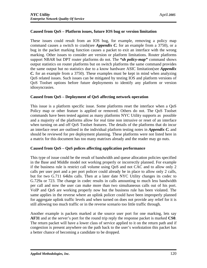## **Caused from QoS – Platform issues, future IOS bug or version limitation**

These issues could result from an IOS bug, for example, removing a policy map command causes a switch to crash(see *Appendix C.* for an example from a 3750), or a bug in the packet marking function causes a packet to exit an interface with the wrong marking. Other issues to consider are version or platform limitations. Router platforms support NBAR but DPT router platforms do not. The *"sh policy-map"* command shows output statistics on router platforms but on switch platforms the same command provides the same output but no statistics due to a know hardware ASIC limitation(see *Appendix C.* for an example from a 3750). These examples must be kept in mind when analyzing QoS related issues. Such issues can be mitigated by testing IOS and platform versions of QoS Toolset options before future deployments to identify any platform or version idiosyncrasies.

## **Caused from QoS – Deployment of QoS affecting network operation**

This issue is a platform specific issue. Some platforms reset the interface when a QoS Policy map or other feature is applied or removed. Others do not. The QoS Toolset commands have been tested against as many platforms NYC Utility supports as possible and a majority of the platforms allow for real time non intrusive or reset of an interface when turning on and off QoS Toolset features. The details of the platforms that do incur an interface reset are outlined in the individual platform testing notes in *Appendix C.* and should be reviewed for pre deployment planning. These platforms were not listed here in a matrix for this document has too many matrixes already and the reader may go nuts.

## **Caused from QoS – QoS polices affecting application performance**

This type of issue could be the result of bandwidth and queue allocation policies specified in the Base and Middle model not working properly or incorrectly planned. For example if the business rule is restrict call volume using QoS and not CAC and to allow only 2 calls per user port and a per port policer could already be in place to allow only 2 calls, but for two G.711 64kbs calls. Then at a later date NYC Utility changes its codec to G.729a or 723. The change in codec results in calls amounting to much less bandwidth per call and now the user can make more than two simultaneous calls out of his port. VoIP and QoS are working properly now but the business rule has been violated. The same applies in the reverse where an uplink policer could have been improperly planned for aggregate uplink traffic levels and when turned on does not provide any relief for it is still allowing too much traffic or in the reverse scenario too little traffic through.

Another example is packets marked at the source user port for one marking, lets say **AF31** and at the server's port for the round trip reply the response packet is marked **CS0**. The return packet will have a lower class of service applied to it on the return path and if congestion is present anywhere on the path back to the user's workstation this packet has a better chance of becoming a candidate to be dropped.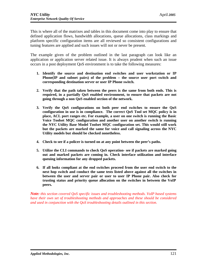This is where all of the matrixes and tables in this document come into play to ensure that defined application flows, bandwidth allocations, queue allocations, class markings and platform specific configuration items are all reviewed so consistent configurations and tuning features are applied and such issues will not or never be present.

The example given of the problem outlined in the last paragraph can look like an application or application server related issue. It is always prudent when such an issue occurs in a post deployment QoS environment is to take the following measures:

- **1. Identify the source and destination end switches and user workstation or IP Phone(IP and subnet pairs) of the problem – the source user port switch and corresponding destination server or user IP Phone switch.**
- **2. Verify that the path taken between the peers is the same from both ends. This is required, in a partially QoS enabled environment, to ensure that packets are not going through a non QoS enabled section of the network.**
- **3. Verify the QoS configurations on both peer end switches to ensure the QoS configuration in use is in compliance. The correct QoS Tool set MQC policy is in place, ACL port ranges etc. For example, a user on one switch is running the Basic Voice Toolset MQC configuration and another user on another switch is running the NYC Utility Base Model Toolset MQC configuration set. This would still work but the packets are marked the same for voice and call signaling across the NYC Utility models but should be checked nonetheless.**
- **4. Check to see if a policer is turned on at any point between the peer's paths.**
- **5. Utilize the CLI commands to check QoS operation- see if packets are marked going out and marked packets are coming in. Check interface utilization and interface queuing information for any dropped packets.**
- **6. If all looks compliant at the end switches proceed from the user end switch to the next hop switch and conduct the same tests listed above against all the switches in between the user and server pair or user to user IP Phone pair. Also check for trusting status and priority queue allocation on the switches in between the VoIP peers.**

*Note: this section covered QoS specific issues and troubleshooting methods. VoIP based systems have their own set of troubleshooting methods and approaches and these should be considered and used in conjunction with the QoS troubleshooting details outlined in this section.*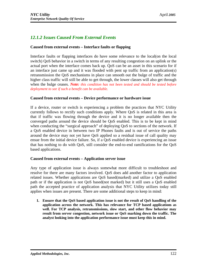## *12.1.2 Issues Caused From External Events*

### **Caused from external events – Interface faults or flapping**

Interface faults or flapping interfaces do have some relevance to the local(on the local switch) QoS behavior in a switch in terms of any resulting congestion on an uplink or the actual port when the interface comes back up. QoS can be an asset in this scenario for if an interface just came up and it was flooded with pent up traffic from an application(s) retransmission the QoS mechanisms in place can smooth out the bulge of traffic and the higher class traffic will still be able to get through, the lower classes will also get through when the bulge ceases. *Note: this condition has not been tested and should be tested before deployment to see if such a benefit can be available.*

#### **Caused from external events – Device performance or hardware issue**

If a device, router or switch is experiencing a problem the practices that NYC Utility currently follows to rectify such conditions apply. Where QoS is related in this area is that if traffic was flowing through the device and it is no longer available then the converged paths around the device should be QoS enabled. This is to be kept in mind when conducting the "surgical approach" of deploying QoS to sections of the network. If a QoS enabled device in between two IP Phones faults and is out of service the paths around the device may not yet have QoS applied so a residual issue of call quality may ensue from the initial device failure. So, if a QoS enabled device is experiencing an issue that has nothing to do with QoS, still consider the end-to-end ramifications for the QoS based applications.

#### **Caused from external events – Application server issue**

Any type of application issue is always somewhat more difficult to troubleshoot and resolve for there are many factors involved. QoS does add another factor to application related issues. Whether applications are QoS based(marked) and utilize a QoS enabled path or if the application is not QoS based(not marked) but it still uses a QoS enabled path the accepted practice of application analysis that NYC Utility utilizes today still applies when issues are present. There are some additional steps to keep in mind:

**1. Ensure that the QoS based application issue is not the result of QoS handling of the application across the network. This has relevance for TCP based applications as well. For TCP analysis, retransmissions, slow start, and other flow behavior may result from server congestion, network issue or QoS marking down the traffic. The analyst looking into the application performance issue must keep this in mind.**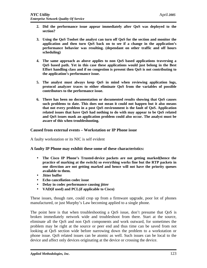- **2. Did the performance issue appear immediately after QoS was deployed to the section?**
- **3. Using the QoS Toolset the analyst can turn off QoS for the section and monitor the application and then turn QoS back on to see if a change in the application's performance behavior was resulting. (dependant on other traffic and off hours scheduling)**
- **4. The same approach as above applies to non QoS based applications traversing a QoS based path. Yet in this case these applications would just belong in the Best Effort handling class and if no congestion is present then QoS is not contributing to the application's performance issue.**
- **5. The analyst must always keep QoS in mind when reviewing application logs, protocol analyzer traces to either eliminate QoS from the variables of possible contributors to the performance issue.**
- **6. There has been no documentation or documented results showing that QoS causes such problems to date. This does not mean it could not happen but it also means that not every problem in a post QoS environment is the fault of QoS. Application related issues that have QoS had nothing to do with may appear to be QoS related and QoS issues mask an application problem could also occur. The analyst must be aware of this when troubleshooting.**

#### **Caused from external events – Workstation or IP Phone issue**

A faulty workstation or its NIC is self evident

#### **A faulty IP Phone may exhibit these some of these characteristics:**

- **The Cisco IP Phone's Trusted-device packets are not getting marked(hence the practice of marking at the switch) so everything works fine but the RTP packets in one direction are not getting marked and hence will not have the priority queues available to them.**
- **Jitter buffer**
- **Echo cancellation codec issue**
- **Delay in codec performance causing jitter**
- **VAD(if used) and PCL(if applicable to Cisco)**

These issues, though rare, could crop up from a firmware upgrade, poor lot of phones manufactured, or just Murphy's Law becoming applied to a single phone.

The point here is that when troubleshooting a QoS issue, don't presume that QoS is broken immediately network wide and troubleshoot from there. Start at the source, eliminate all the QoS and non QoS components and work outward, for sometimes the problem may be right at the source or peer end and thus time can be saved from not looking at QoS section wide before narrowing down the problem to a workstation or phone issue. QoS related issues can be atomic as well. Such issues can be local to the device and affect only devices originating at the device or crossing the device.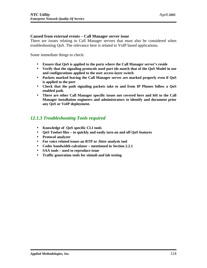### **Caused from external events – Call Manager server issue**

There are issues relating to Call Manager servers that must also be considered when troubleshooting QoS. The relevance here is related to VoIP based applications.

Some immediate things to check:

- **Ensure that QoS is applied to the ports where the Call Manager server's reside**
- **Verify that the signaling protocols used port ids match that of the QoS Model in use and configurations applied to the user access-layer switch**
- **Packets marked leaving the Call Manager server are marked properly even if QoS is applied to the port**
- **Check that the path signaling packets take to and from IP Phones follow a QoS enabled path.**
- **There are other Call Manager specific issues not covered here and left to the Call Manager installation engineers and administrators to identify and document prior any QoS or VoIP deployment.**

## *12.1.3 Troubleshooting Tools required*

- **Knowledge of QoS specific CLI tools**
- **QoS Toolset files to quickly and easily turn on and off QoS features**
- **Protocol analyzer**
- **For voice related issues an RTP or Jitter analysis tool**
- **Codec bandwidth calculator mentioned in Section 2.2.1**
- **SAA tools used to reproduce issue**
- **Traffic generation tools for stimuli and lab testing**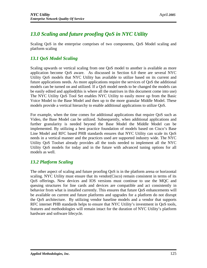# *13.0 Scaling and future proofing QoS in NYC Utility*

Scaling QoS in the enterprise comprises of two components, QoS Model scaling and platform scaling

# *13.1 QoS Model Scaling*

Scaling upwards or vertical scaling from one QoS model to another is available as more application become QoS aware. As discussed in Section 6.0 there are several NYC Utility QoS models that NYC Utility has available to utilize based on its current and future applications needs. As more applications require the services of QoS the additional models can be turned on and utilized. If a QoS model needs to be changed the models can be easily edited and applied(this is where all the matrixes in this document come into use) The NYC Utility QoS Tool Set enables NYC Utility to easily move up from the Basic Voice Model to the Base Model and then up to the more granular Middle Model. These models provide a vertical hierarchy to enable additional applications to utilize QoS.

For example, when the time comes for additional applications that require QoS such as Video, the Base Model can be utilized. Subsequently, when additional applications and further granularity is needed beyond the Base Model the Middle Model can be implemented. By utilizing a best practice foundation of models based on Cisco's Base Line Model and RFC based PHB standards ensures that NYC Utility can scale its QoS needs in a vertical manner and the practices used are supported industry wide. The NYC Utility QoS Toolset already provides all the tools needed to implement all the NYC Utility QoS models for today and in the future with advanced tuning options for all models as well.

## *13.2 Platform Scaling*

The other aspect of scaling and future proofing QoS is in the platform arena or horizontal scaling. NYC Utility must ensure that its vendor(Cisco) remain consistent in terms of its QoS offerings. New devices and IOS versions must continue to use the MQC and queuing structures for line cards and devices are compatible and act consistently in behavior from what is installed currently. This ensures that future QoS enhancements will be available on current and future platforms and upgrades for a platform do not disrupt the QoS architecture. By utilizing vendor baseline models and a vendor that supports RFC internet PHB standards helps to ensure that NYC Utility's investment in QoS tools, features and methodologies will remain intact for the duration of NYC Utility's platform hardware and software lifecycle.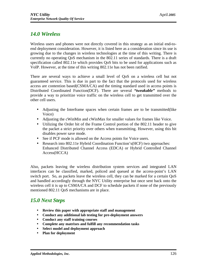# *14.0 Wireless*

Wireless users and phones were not directly covered in this strategy as an initial end-toend deployment consideration. However, it is listed here as a consideration since its use is growing due to the changes in wireless technologies at the time of this writing. There is currently no operating QoS mechanism in the 802.11 series of standards. There is a draft specification called 802.11e which provides QoS bits to be used for applications such as VoIP. However, at the time of this writing 802.11e has not been ratified.

There are several ways to achieve a small level of QoS on a wireless cell but not guaranteed service. This is due in part to the fact that the protocols used for wireless access are contention based(CSMA/CA) and the timing standard used in access points is Distributed Coordinated Function(DCF). There are several *"tweakable"* methods to provide a way to prioritize voice traffic on the wireless cell to get transmitted over the other cell users.

- Adjusting the Interframe spaces when certain frames are to be transmitted(like Voice)
- Adjusting the cWinMin and cWinMax for smaller values for frames like Voice.
- Utilizing the Order bit of the Frame Control portion of the 802.11 header to give the packet a strict priority over others when transmitting. However, using this bit disables power save mode.
- See if PCF mode is allowed on the Access points for Voice users.
- Research into 802.11e Hybrid Coordination Function's (HCF) two approaches: Enhanced Distributed Channel Access (EDCA) or Hybrid Controlled Channel Access(HCCA)

Also, packets leaving the wireless distribution system services and integrated LAN interfaces can be classified, marked, policed and queued at the access-point's LAN switch port. So, as packets leave the wireless cell, they can be marked for a certain QoS and handled accordingly through the NYC Utility enterprise but once sent back onto the wireless cell it is up to CSMA/CA and DCF to schedule packets if none of the previously mentioned 802.11 QoS mechanisms are in place.

# *15.0 Next Steps*

- **Review this paper with appropriate staff and management**
- **Conduct any additional lab testing for pre-deployment answers**
- **Conduct any staff training courses**
- **Complete any matrixes and fulfill any recommendation tasks**
- **Select model and deployment approach**
- **Plan for deployment**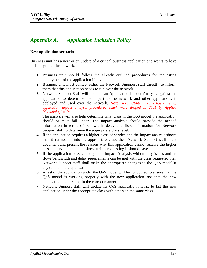# *Appendix A. Application Inclusion Policy*

### **New application scenario**

Business unit has a new or an update of a critical business application and wants to have it deployed on the network.

- **1.** Business unit should follow the already outlined procedures for requesting deployment of the application if any.
- **2.** Business unit must contact either the Network Suppport staff directly to inform them that this application needs to run over the network.
- **3.** Network Support Staff will conduct an Application Impact Analysis against the application to determine the impact to the network and other applications if deployed and used over the network. **Note:** *NYC Utility already has a set of application impact analysis procedures which were drafted in 2001 by Applied Methodologies. Inc.*

The analysis will also help determine what class in the QoS model the application should or must fall under. The impact analysis should provide the needed information in terms of bandwidth, delay and flow information for Network Support staff to determine the appropriate class level.

- **4.** If the application requires a higher class of service and the impact analysis shows that it cannot fit into its appropriate class then Network Support staff must document and present the reasons why this application cannot receive the higher class of service that the business unit is requesting it should have.
- **5.** If the application passes thought the Impact Analysis without any issues and its flows/bandwidth and delay requirements can be met with the class requested then Network Support staff shall make the appropriate changes to the QoS model(if any) and add the application.
- **6.** A test of the application under the QoS model will be conducted to ensure that the QoS model is working properly with the new application and that the new application is operating in the correct manner.
- **7.** Network Support staff will update its QoS application matrix to list the new application under the appropriate class with others in the same class.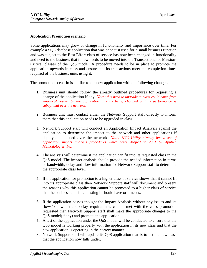## **Application Promotion scenario**

Some applications may grow or change in functionality and importance over time. For example a SQL database application that was once just used for a small business function and was subject to the Best Effort class of service has now been changed in functionality and need to the business that it now needs to be moved into the Transactional or Mission-Critical classes of the QoS model. A procedure needs to be in place to promote the application upwards in class and ensure that its transactions meet the completion times required of the business units using it.

The promotion scenario is similar to the new application with the following changes.

- **1.** Business unit should follow the already outlined procedures for requesting a change of the application if any. *Note: this need to upgrade in class could come from empirical results by the application already being changed and its performance is suboptimal over the network.*
- **2.** Business unit must contact either the Network Support staff directly to inform them that this application needs to be upgraded in class.
- **3.** Network Support staff will conduct an Application Impact Analysis against the application to determine the impact to the network and other applications if deployed and used over the network. *Note: NYC Utility already has a set of application impact analysis procedures which were drafted in 2001 by Applied Methodologies. Inc.*
- **4.** The analysis will determine if the application can fit into its requested class in the QoS model. The impact analysis should provide the needed information in terms of bandwidth, delay and flow information for Network Support staff to determine the appropriate class level.
- **5.** If the application for promotion to a higher class of service shows that it cannot fit into its appropriate class then Network Support staff will document and present the reasons why this application cannot be promoted to a higher class of service that the business unit is requesting it should have or it needs.
- **6.** If the application passes thought the Impact Analysis without any issues and its flows/bandwidth and delay requirements can be met with the class promotion requested then Network Support staff shall make the appropriate changes to the QoS model(if any) and promote the application.
- **7.** A test of the application under the QoS model will be conducted to ensure that the QoS model is working properly with the application in its new class and that the new application is operating in the correct manner.
- **8.** Network Support staff will update its QoS application matrix to list the new class that the application now falls under.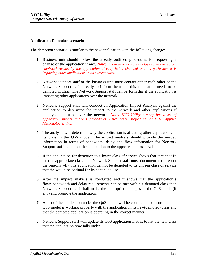#### **Application Demotion scenario**

The demotion scenario is similar to the new application with the following changes.

- **1.** Business unit should follow the already outlined procedures for requesting a change of the application if any. *Note: this need to demote in class could come from empirical results by the application already being changed and its performance is impacting other applications in its current class.*
- **2.** Network Support staff or the business unit must contact either each other or the Network Support staff directly to inform them that this application needs to be demoted in class. The Network Support staff can perform this if the application is impacting other applications over the network.
- **3.** Network Support staff will conduct an Application Impact Analysis against the application to determine the impact to the network and other applications if deployed and used over the network. *Note: NYC Utility already has a set of application impact analysis procedures which were drafted in 2001 by Applied Methodologies. Inc.*
- **4.** The analysis will determine why the application is affecting other applications in its class in the QoS model. The impact analysis should provide the needed information in terms of bandwidth, delay and flow information for Network Support staff to demote the application to the appropriate class level.
- **5.** If the application for demotion to a lower class of service shows that it cannot fit into its appropriate class then Network Support staff must document and present the reasons why this application cannot be demoted to its chosen class of service that the would be optimal for its continued use.
- **6.** After the impact analysis is conducted and it shows that the application's flows/bandwidth and delay requirements can be met within a demoted class then Network Support staff shall make the appropriate changes to the QoS model(if any) and promote the application.
- **7.** A test of the application under the QoS model will be conducted to ensure that the QoS model is working properly with the application in its new(demoted) class and that the demoted application is operating in the correct manner.
- **8.** Network Support staff will update its QoS application matrix to list the new class that the application now falls under.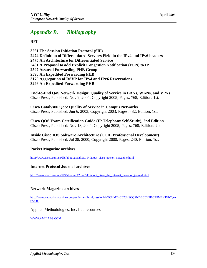# *Appendix B. Bibliography*

**RFC**

**3261 The Session Initiation Protocol (SIP) 2474 Definition of Differentiated Services Field in the IPv4 and IPv6 headers 2475 An Architecture for Differentiated Service 2481 A Proposal to add Explicit Congestion Notification (ECN) to IP 2597 Assured Forwarding PHB Group 2598 An Expedited Forwarding PHB 3175 Aggregation of RSVP for IPv4 and IPv6 Reservations 3246 An Expedited Forwarding PHB**

**End-to-End QoS Network Design: Quality of Service in LANs, WANs, and VPNs** Cisco Press, Published: Nov 9, 2004; Copyright 2005; Pages: 768; Edition: 1st.

**Cisco Catalyst® QoS: Quality of Service in Campus Networks** Cisco Press, Published: Jun 6, 2003; Copyright 2003; Pages: 432; Edition: 1st.

**Cisco QOS Exam Certification Guide (IP Telephony Self-Study), 2nd Edition** Cisco Press, Published: Nov 18, 2004; Copyright 2005; Pages: 768; Edition: 2nd

**Inside Cisco IOS Software Architecture (CCIE Professional Development)** Cisco Press, Published: Jul 28, 2000; Copyright 2000; Pages: 240; Edition: 1st.

## **Packet Magazine archives**

[http://www.cisco.com/en/US/about/ac123/ac114/about\\_cisco\\_packet\\_magazine.html](http://www.cisco.com/en/US/about/ac123/ac114/about_cisco_packet_magazine.html)

## **Internet Protocol Journal archives**

[http://www.cisco.com/en/US/about/ac123/ac147/about\\_cisco\\_the\\_internet\\_protocol\\_journal.html](http://www.cisco.com/en/US/about/ac123/ac147/about_cisco_the_internet_protocol_journal.html)

#### **Network Magazine archives**

[http://www.networkmagazine.com/pastIssues.jhtml;jsessionid=TCHMT4CC5JHSCQSNDBCCKH0CJUMEKJVN?ye](http://www.networkmagazine.com/pastIssues.jhtml;jsessionid=TCHMT4CC5JHSCQSNDBCCKH0CJUMEKJVN?yea)a  $r=2005$ 

Applied Methodologies, Inc, Lab resources

WWW.AMILABS.COM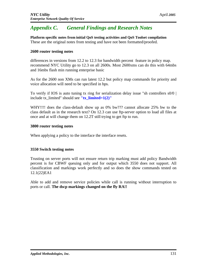# *Appendix C. General Findings and Research Notes*

**Platform specific notes from initial QoS testing activities and QoS Toolset compilation** These are the original notes from testing and have not been formatted/proofed.

### **2600 router testing notes**

differences in versions from 12.2 to 12.3 for bandwidth percent feature in policy map. recommend NYC Utility go to 12.3 on all 2600s. Most 2600xms can do this with 64mbs and 16mbs flash min running enterprise basic

As for the 2600 non XMs can run latest 12.2 but policy map commands for priority and voice allocation will need to be specified in bps.

To verify if IOS is auto tuning tx ring for serialization delay issue "sh controllers  $s0/0$  | include tx\_limited" should see **"tx\_limited=1(2)"**

WHY!!!! does the class-default show up as 0% bw??? cannot allocate 25% bw to the class default as in the research text? On 12.3 can use ftp-server option to load all files at once and at will change them on 12.2T still trying to get ftp to run.

#### **3800 router testing notes**

When applying a policy to the interface the interface resets.

#### **3550 Switch testing notes**

Trusting on server ports will not ensure return trip marking must add policy Bandwidth percent is for CBWF queuing only and for output which 3550 does not support. All classification and markings work perfectly and so does the show commands tested on 12.1(22)EA1

Able to add and remove service policies while call is running without interruption to ports or call. **The dscp markings changed on the fly RA!!**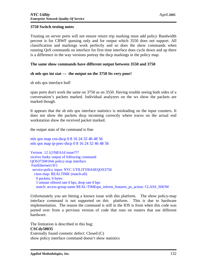### **3750 Switch testing notes**

Trusting on server ports will not ensure return trip marking must add policy Bandwidth percent is for CBWF queuing only and for output which 3550 does not support. All classification and markings work perfectly and so does the show commands when running QoS commands on interface for first time interface does cycle down and up there is a difference in the way versions portray the dscp markings in the policy map.

### **The same show commands have different output between 3550 and 3750**

#### **sh mls qos int stat --- the output on the 3750 Its very poor!**

sh mls qos interface buff

span ports don't work the same on 3750 as on 3550. Having trouble seeing both sides of a conversation's packets marked. Individual analyzers on the ws show the packets are marked though.

It appears that the sh mls qos interface statistics is misleading on the input counters. It does not show the packets dscp incoming correctly where traces on the actual end workstation show the received packet marked.

the output stats of the command is fine

mls qos map cos-dscp 0 8 16 24 32 46 48 56 mls qos map ip-prec-dscp 0 8 16 24 32 46 48 56

Verison 12.1(19)EA1d issue??? receive funky output of following command QOS3750#1#sh policy-map interface FastEthernet1/0/1 service-policy input: NYC UTILITYBASEQOS3750 class-map: REALTIME (match-all) 0 packets, 0 bytes 5 minute offered rate 0 bps, drop rate 0 bps match: access-group name REAL-TIMEqm\_inform\_features\_ps\_action: CLASS\_SHOW

Unfortunately you are hitting a known issue with this platform. The show policy-map interface command is not supported on this platform. This is due to hardware implementation. The reason the command is still in the IOS is from when this code was ported over from a pervious version of code that runs on routers that use different hardware.

The limitation is described in this bug: **CSCdy50035** Externally found cosmetic defect: Closed (C) show policy interface command doesn't show statistics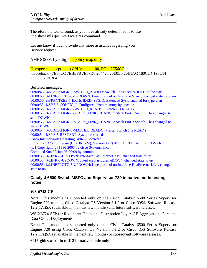Therefore the workaround, as you have already determined is to use the show mls qos interface stats command.

Let me know if I can provide any more assistance regarding you service request.

AMIQOSSW1(config)#no policy-map dirty

Unexpected exception to CPUvector 1100, PC = 7E56CC

-Traceback= 7E56CC 7EBEF8 7E87D8 264428 26E0E0 26E1AC 180CC4 193C14 260658 25AB04

Buffered messages:

00:00:43: %STACKMGR-6-SWITCH\_ADDED: Switch 1 has been ADDED to the stack 00:00:50: %LINEPROTO-5-UPDOWN: Line protocol on Interface Vlan1, changed state to down 00:00:50: %SPANTREE-5-EXTENDED\_SYSID: Extended SysId enabled for type vlan 00:00:53: %SYS-5-CONFIG\_I: Configured from memory by console 00:00:53: %STACKMGR-6-SWITCH\_READY: Switch 1 is READY 00:00:53: %STACKMGR-6-STACK\_LINK\_CHANGE: Stack Port 1 Switch 1 has changed to state DOWN 00:00:53: %STACKMGR-6-STACK\_LINK\_CHANGE: Stack Port 2 Switch 1 has changed to state DOWN 00:00:54: %STACKMGR-6-MASTER\_READY: Master Switch 1 is READY 00:00:54: %SYS-5-RESTART: System restarted -- Cisco Internetwork Operating System Software IOS (tm) C3750 Software (C3750-I5-M), Version 12.2(20)SE4, RELEASE SOFTWARE (fc1)Copyright (c) 1986-2005 by cisco Systems, Inc. Compiled Sun 09-Jan-05 00:09 by antonino 00:00:55: %LINK-3-UPDOWN: Interface FastEthernet1/0/1, changed state to up 00:00:55: %LINK-3-UPDOWN: Interface FastEthernet1/0/24, changed state to up 00:00:56: %LINEPROTO-5-UPDOWN: Line protocol on Interface FastEthernet1/0/1, changed state to up

### **Catalyst 6500 Switch MSFC and Supervisor 720 in native mode testing notes**

#### **WS-6748-GE**

**Note:** This module is supported only on the Cisco Catalyst 6500 Series Supervisor Engine 720 running Cisco Catalyst OS Version 8.1.2 or Cisco IOS® Software Release 12.2(17a)SX (available in the next few months) and future software releases.

WS-X6724-SFP for Redundant Uplinks to Distribution Layer, GE Aggregation, Core and Data Center Deployments

**Note:** This module is supported only on the Cisco Catalyst 6500 Series Supervisor Engine 720 using Cisco Catalyst OS Version 8.1.2 or Cisco IOS Software Release 12.2(17a)SX (available in the next few months) or subsequent software releases.

**6416-gbics work in msfc2 in native mode only**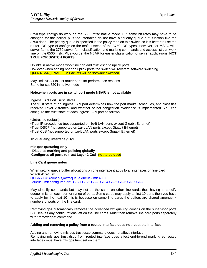3750 type configs do work on the 6500 mfsc native mode. But some bit rates may have to be changed for the policer plus the interfaces do not have a "priority-queue out" function like the 3750 does. The priority queue is specified in the policy map on this switch so it is better to use the router IOS type of configs on the msfc instead of the 3750 IOS types. However, for MSFC with server farms the 3750 server farm classification and marking commands and access-list can work fine on the 6500 msfc. Plus you get the NBAR for easier classification of server applications. **NOT TRUE FOR SWITCH PORTS**

Uplinks in native mode work fine can add trust dscp to uplink ports However when adding nbar on uplink ports the switch will revert to software switching QM-6-NBAR\_ENABLED: Packets will be software switched.

May limit NBAR to just router ports for performance reasons. Same for sup720 in native mode

#### **Note:when ports are in switchport mode NBAR is not available**

#### Ingress LAN Port Trust States

The trust state of an ingress LAN port determines how the port marks, schedules, and classifies received Layer 2 frames, and whether or not congestion avoidance is implemented. You can configure the trust state of each ingress LAN port as follows:

#### •Untrusted (default)

•Trust IP precedence (not supported on 1q4t LAN ports except Gigabit Ethernet)

•Trust DSCP (not supported on 1q4t LAN ports except Gigabit Ethernet)

•Trust CoS (not supported on 1q4t LAN ports except Gigabit Ethernet)

#### **sh queueing interface gi1/1**

**mls qos queueing-only Disables marking and policing globally Configures all ports to trust Layer 2 CoS not to be used**

#### **Line Card queue notes**

When setting queue buffer allocations on one interface it adds to all interfaces on line card WS-X6416-GBIC QOS6505#2(config-if)#wrr-queue queue-limit 40 30 queue-limit configured on: Gi2/1 Gi2/2 Gi2/3 Gi2/4 Gi2/5 Gi2/6 Gi2/7 Gi2/8

May simplify commands but may not do the same on other line cards thus having to specify queue limits on each port or range of ports. Some cards may apply to first 10 ports then you have to apply for the next 10 this is because on some line cards the buffers are shared amongst x numbers of ports on the line card.

Removing qos automatically removes the advanced wrr queuing configs on the supervisor ports BUT leaves any configurations left on the line cards. Must then remove line card ports separately with "removegos" command.

#### **Adding and removing a policy from a routed interface does not reset the interface.**

Adding and removing mls qos trust dscp command does not affect interface. Removing mls qos trust dscp from routed interface does affect end-to-end marking so routed interfaces must have mls qos trust set on them.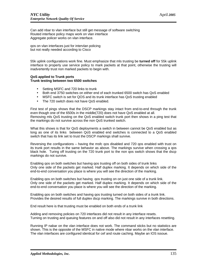Can add nbar to vlan interface but still get message of software switching Routed interface policy maps work on vlan interface Aggregate policer works on vlan interface.

qos on vlan interfaces just for intervlan policing but not really needed according to Cisco

55k uplink configurations work fine. Must emphasize that mls trusting be **turned off** for 55k uplink interface to properly use service policy to mark packets at that point, otherwise the trusting will inadvertently trust non marked packets to begin with.

#### **QoS applied to Trunk ports Trunk testing between two 6500 switches**

- Setting MSFC and 720 links to trunk
- Both end 3750 switches on either end of each trunked 6500 switch has QoS enabled
- MSFC switch is set for QOS and its trunk interface has QoS trusting enabled
- The 720 switch does not have QoS enabled.

First test of pings shows that the DSCP markings stay intact from end-to-end through the trunk even though one of the 6500s in the middle(720) does not have QoS enabled at all. Removing mls QoS trusting on the QoS enabled switch trunk port then shows in a ping test that the markings do not survive across the non QoS trunked switch.

What this shows is that for QoS deployments a switch in between cannot be QoS enabled but as long as one of its links between QoS enabled end switches is connected to a QoS enabled switch that has its link set to trust the DSCP markings shall survive.

Reversing the configurations – having the msfc qos disabled and 720 qos enabled with trust on its trunk port results in the same behavior as above. The markings survive when crossing a qos black hole. Turing off trusting on the 720 trunk port to the non qos switch shows that the dscp markings do not survive.

Enabling qos on both switches but having qos trusting off on both sides of trunk links Only one side of the packets get marked. Half duplex marking. It depends on which side of the end-to-end conversation you place is where you will see the direction of the marking.

Enabling qos on both switches but having qos trusting on on just one side of a trunk link. Only one side of the packets get marked. Half duplex marking. It depends on which side of the end-to-end conversation you place is where you will see the direction of the marking.

Enabling qos on both switches and having qos trusting turned on both sides of a trunk link. Provides the desired results of full duplex dscp marking. The markings survive in both directions.

End result here is that trusting must be enabled on both ends of a trunk link

Adding and removing policies on 720 interfaces did not result in any interface resets. Turning on trusting and queuing features on and off also did not result in any interfaces resetting.

Running IP nabar on the vlan interface does not work. The command sticks but no statistics are shown. This is the opposite of the MSFC in native mode where nbar works on the vlan interface. The vlan interfaces are configured identical for cef and route caching. Maybe an IOS issoue.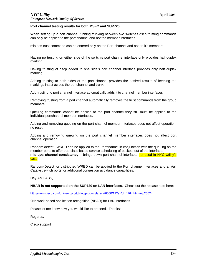#### **Port channel testing results for both MSFC and SUP720**

When setting up a port channel running trunking between two switches dscp trusting commands can only be applied to the port channel and not the member interfaces.

mls qos trust command can be entered only on the Port-channel and not on it's members

Having no trusting on either side of the switch's port channel interface only provides half duplex marking.

Having trusting of dscp added to one side's port channel interface provides only half duplex marking.

Adding trusting to both sides of the port channel provides the desired results of keeping the markings intact across the portchannel and trunk.

Add trusting to port channel interface automatically adds it to channel member interfaces

Removing trusting from a port channel automatically removes the trust commands from the group members.

Queuing commands cannot be applied to the port channel they still must be applied to the individual portchannel member interfaces.

Adding and removing queuing on the port channel member interfaces does not affect operation, no reset

Adding and removing queuing on the port channel member interfaces does not affect port channel operation.

Random detect - WRED can be applied to the Portchannel in conjunction with the queuing on the member ports to offer true class based service scheduling of packets out of the interface. **mls gos channel-consistency** – brings down port channel interface, not used in NYC Utility's case

Random-Detect for distributed WRED can be applied to the Port channel interfaces and any/all Catalyst switch ports for additional congestion avoidance capabilities.

Hey AMILABS,

**NBAR is not supported on the SUP720 on LAN interfaces**. Check out the release note here:

[http://www.cisco.com/univercd/cc/td/doc/product/lan/cat6000/122sx/ol\\_4164.htm#wp2562](http://www.cisco.com/univercd/cc/td/doc/product/lan/cat6000/122sx/ol_4164.htm#wp25624)4

?Network-based application recognition (NBAR) for LAN interfaces

Please let me know how you would like to proceed. Thanks!

Regards,

Cisco support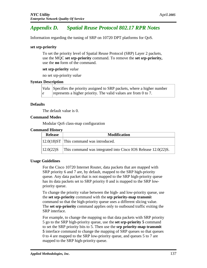# *Appendix D. Spatial Reuse Protocol 802.17 RPR Notes*

Information regarding the tuning of SRP on 10720 DPT platforms for QoS.

#### **set srp-priority**

To set the priority level of Spatial Reuse Protocol (SRP) Layer 2 packets, use the MQC **set srp-priority** command. To remove the **set srp-priority,**  use the **no** form of the command.

#### **set srp-priority** *value*

no set srp-priority *value* 

### **Syntax Description**

*Valu* Specifies the priority assigned to SRP packets, where a higher number *e* represents a higher priority. The valid values are from 0 to 7.

### **Defaults**

The default value is 0.

### **Command Modes**

Modular QoS class-map configuration

#### **Command History**

| <b>Release</b> | <b>Modification</b>                                           |
|----------------|---------------------------------------------------------------|
|                | $ 12.0(18)ST $ This command was introduced.                   |
| $12.0(22)$ S   | This command was integrated into Cisco IOS Release 12.0(22)S. |

#### **Usage Guidelines**

For the Cisco 10720 Internet Router, data packets that are mapped with SRP priority 6 and 7 are, by default, mapped to the SRP high-priority queue. Any data packet that is not mapped to the SRP high-priority queue has its data packets set to SRP priority 0 and is mapped to the SRP lowpriority queue.

To change the priority value between the high- and low-priority queue, use the **set srp-priority** command with the **srp priority-map transmi**t command so that the high-priority queue uses a different slicing value. The **set srp-priority** command applies only to outbound traffic exiting the SRP interface.

For example, to change the mapping so that data packets with SRP priority 5 go to the SRP high-priority queue, use the **set srp-priority 5** command to set the SRP priority bits to 5. Then use the **srp priority-map transmit 5** interface command to change the mapping of SRP queues so that queues 0 to 4 are mapped to the SRP low-priority queue, and queues 5 to 7 are mapped to the SRP high-priority queue.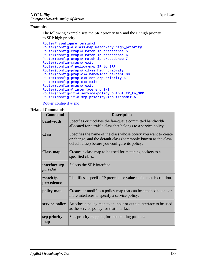#### **Examples**

The following example sets the SRP priority to 5 and the IP high priority to SRP high priority:

```
Router# configure terminal
Router(config)# class-map match-any high_priority
Router(config-cmap)# match ip precedence 5
Router(config-cmap)# match ip precedence 6
Router(config-cmap)# match ip precedence 7
Router(config-cmap)# exit
Router(config)# policy-map IP_to_SRP
Router(config-pmap)# class high_priority
Router(config-pmap-c)# bandwidth percent 80
Router(config-pmap-c)# set srp-priority 5
Router(config-pmap-c)# exit
Router(config-pmap)# exit
Router(config)# interface srp 1/1
Router(config-if)# service-policy output IP_to_SRP
Router(config-if)# srp priority-map transmit 5
```
#### Router(config-if)# end

#### **Related Commands**

| <b>Command</b>             | <b>Description</b>                                                                                                                                                                   |
|----------------------------|--------------------------------------------------------------------------------------------------------------------------------------------------------------------------------------|
| bandwidth                  | Specifies or modifies the fair-queue committed bandwidth<br>allocated for a traffic class that belongs to a service policy.                                                          |
| <b>Class</b>               | Specifies the name of the class whose policy you want to create<br>or change, and the default class (commonly known as the class-<br>default class) before you configure its policy. |
| <b>Class-map</b>           | Creates a class map to be used for matching packets to a<br>specified class.                                                                                                         |
| interface srp<br>port/slot | Selects the SRP interface.                                                                                                                                                           |
| match ip<br>precedence     | Identifies a specific IP precedence value as the match criterion.                                                                                                                    |
| policy-map                 | Creates or modifies a policy map that can be attached to one or<br>more interfaces to specify a service policy.                                                                      |
| service-policy             | Attaches a policy map to an input or output interface to be used<br>as the service policy for that interface.                                                                        |
| srp priority-<br>map       | Sets priority mapping for transmitting packets.                                                                                                                                      |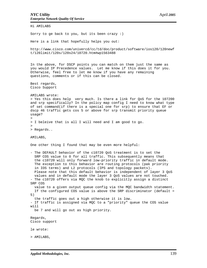Hi AMILABS Sorry to ge back to you, but its been crazy :) Here is a link that hopefully helps you out: [http://www.cisco.com/univercd/cc/td/doc/product/software/ios120/120new](http://www.cisco.com/univercd/cc/td/doc/product/software/ios120/120newf)f t/120limit/120s/120s24/10720.htm#wp1563488 In the above, for DSCP points you can match on them just the same as you would IP Precedence values. Let me know if this does it for you. Otherwise, feel free to let me know if you have any remaining questions, comments or if this can be closed. Best regards, Cisco Support AMILABS wrote: > Yes this does help very much. Is there a link for QoS for the 107200 and srp specifically? In the policy map config I need to know what type of set command(if there is a special one for srp) to ensure that EF or dscp 46 traffic gets cos 5 or above for srp transmit priority queue usage? > > I beleive that is all I will need and I am good to go.  $>$ > Regards.. AMILABS, One other thing I found that may be even more helpful: - The DEFAULT behavior of the c10720 QoS treatment is to set the SRP COS value to 0 for all traffic. This subsequently means that the c10720 will only forward low-priority traffic in default mode. The exception to this behavior are routing protocols (pak priority in IOS terms) and L2 protocols (IPS and topology packets). Please note that this default behavior is independent of layer 3 QoS values and in default mode the layer 3 QoS values are not touched. - The c10720 offers via MQC the knob to explicitly assign a distinct SRP COS value to a given output queue config via the MQC bandwidth statement. If the configured COS value is above the SRP discriminator (default = 5) the traffic goes out a high otherwise it is low. - If traffic is assigned via MQC to a "priority" queue the COS value will be 7 and will go out as high priority. Regards, Cisco support le wrote: > AMILABS,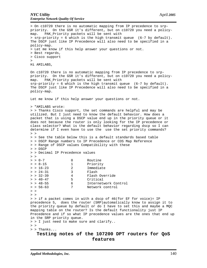> On c10720 there is no automatic mapping from IP precedence to srppriority. On the GSR it's different, but on c10720 you need a policymap. PAK\_Priority packets will be sent with > srp-priority = 6 which is the high transmit queue (6-7 by default). The DSCP just like IP Precedence will also need to be specified in a policy-map. > Let me know if this help answer your questions or not. > Best regards, > Cisco support > Hi AMILABS, On c10720 there is no automatic mapping from IP precedence to srppriority. On the GSR it's different, but on c10720 you need a policymap. PAK\_Priority packets will be sent with  $srp-priority = 6$  which is the high transmit queue (6-7 by default). The DSCP just like IP Precedence will also need to be specified in a policy-map. Let me know if this help answer your questions or not. > "AMILABS wrote: > > Thanks Cisco support, the set commands are helpful and may be utilized. But I just need to know the default behavior. How does a packet that is using a DSCP value end up in the priority queue or it does not because the router is only looking for the IP precedence or class selector? What is the default behavior regarding dscp so I can determine if I even have to use the use the set priority commands?  $>$  > > > See the table below this is a default standards based table > > DSCP Range numbers to IP Precedence or COS Map Reference > > Range of DSCP values Compatibility with these > > DSCP > > Decimal IP Precedence values  $>$  >  $> 0$  -7 0 Routine > > 8-15 1 Priority > > 16-23 2 Immediate > > 24-31 3 Flash > > 32-39 4 Flash Override > > 40-47 5 Critical > > 48-55 6 Internetwork Control > > 56-63 7 Network control  $\geq$   $\geq$  $>$  > > > if a packet comes in with a dscp of 46(for EF for voice)= IP precedence 5, does the router (SRP)automatically know to assign it to the priority queue by default or do I have to set this and maybe a MQC mapping table on the router? Is the default functionality just IP Precedence and if so what IP precedence values are the ones that end up in the SRP priority queue. > > I just need to make sure and clarify..  $>$  > > > Thanks...

**Testing notes of the 107200 DPT routers for QoS features**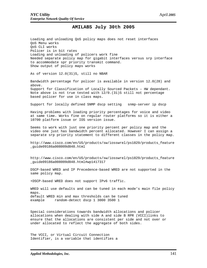#### **AMILABS July 30th 2005**

Loading and unloading QoS policy maps does not reset interfaces QoS Menu works QoS CLI works Policer is in bit rates Loading and unloading of policers work fine Needed separate policy map for gigabit interfaces versus srp interface to accommodate spr priority transmit command. Show output of policy maps works

As of version 12.0(31)S, still no NBAR

Bandwidth percentage for policer is available in version 12.0(28) and above. Support for Classification of Locally Sourced Packets – HW dependant. Note above is not true tested with 12/0.(31)S still not percentage based policer for use in class maps.

Support for locally defined SNMP dscp setting snmp-server ip dscp

Having problems with loading priority percentages for voice and video at same time. Works fine on regular router platforms so it is either a 10700 platform issue or IOS version issue.

Seems to work with just one priority percent per policy map and the video one just has bandwidth percent allocated. However I can assign a separate srp priority statement to different classes in the policy map.

[http://www.cisco.com/en/US/products/sw/iosswrel/ps1829/products\\_featur](http://www.cisco.com/en/US/products/sw/iosswrel/ps1829/products_feature)e \_guide09186a008009d848.html

[http://www.cisco.com/en/US/products/sw/iosswrel/ps1829/products\\_featur](http://www.cisco.com/en/US/products/sw/iosswrel/ps1829/products_feature)e \_guide09186a008009d848.html#wp1417317

DSCP-based WRED and IP Precedence-based WRED are not supported in the same policy map.

•DSCP-based WRED does not support IPv6 traffic.

WRED will use defaults and can be tuned in each mode's main file policy maps. default WRED min and max thresholds can be tuned example random-detect dscp 1 3000 3500 1

Special considerations towards bandwidth allocations and policer allocations when dealing with side A and side B RPR (VCCI)links to ensure that the allocations are consistent per side and not over or under allocated to reflect the aggregate of both sides.

The VCCI, or Virtual Circuit Connection Identifier, is a variable that identifies a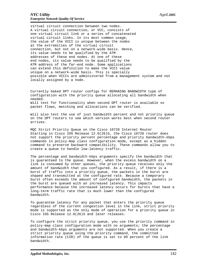virtual circuit connection between two nodes. A virtual circuit connection, or VCC, consists of one virtual circuit link or a series of concatenated virtual circuit links. In its most common usage, the value of the VCCI is unique between the nodes at the extremities of the virtual circuit connection, but not on a network-wide basis. Hence, its value needs to be qualified by the ATM addresses of these end nodes. At one of these end nodes, its value needs to be qualified by the ATM address of the far-end node. Some applications can extend this definition to make the VCCI value unique on a network-wide basis. This is specially possible when VCCIs are administered from a management system and not locally assigned by a node.

Currently baked DPT router configs for REMANING BANDWIDTH type of configuration with the priority queue allocating all bandwidth when needed. Will test for functionality when second DPT router is available so packet flows, matching and allocations can be verified.

Will also test the use of just bandwidth percent and not priority queue on the DPT routers to see which version works best when second router arrives.

MQC Strict Priority Queue on the Cisco 10720 Internet Router Starting in Cisco IOS Release 12.0(26)S, the Cisco 10720 router does not support the priority percent percentage and priority bandwidth-kbps commands in policy-map class configuration mode, except as a hidden command to preserve backward compatibility. These commands allow you to create a queue to handle low-latency traffic.

The percentage and bandwidth-kbps arguments specify the bandwidth that is guaranteed to the queue. However, when the excess bandwidth on a link is consumed by other queues, the priority queue receives only the amount of bandwidth that you configured. As a result, if there is a burst of traffic into a priority queue, the packets in the burst are shaped and transmitted at the configured rate. Because a temporary burst often exceeds the amount of configured bandwidth, the packets in the burst are queued with an increased latency. This impacts performance because the increased latency occurs for bursts that have a long-term traffic rate that is much lower than the configured bandwidth.

To guarantee latency for any packet that enters the priority queue regardless of the current congestion level in the link, strict priority mode is supported as the only mode of operation for a priority queue in Cisco IOS Release 12.0(26)S and later releases.

To configure the strict priority queue, you use the priority command in policy-map class configuration mode with no arguments; the percentage and bandwidth-kbps arguments are not supported. When you create a strict priority queue using the priority command, the committed information rate (CIR) of the queue is set to 99 percent of the link bandwidth.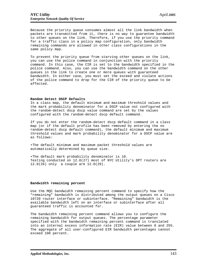Because the priority queue consumes almost all the link bandwidth when packets are transmitted from it, there is no way to guarantee bandwidth to other queues on the link. Therefore, if you use the priority command for a traffic class in a policy map configuration, only bandwidth remaining commands are allowed in other class configurations in the same policy map.

To prevent the priority queue from starving other queues on the link, you can use the police command in conjunction with the priority command. In this case, the CIR is set to the bandwidth specified in the police command. Also, you can use the bandwidth command on the other queues in the link to create one or more queues with guaranteed bandwidth. In either case, you must set the exceed and violate actions of the police command to drop for the CIR of the priority queue to be affected.

#### **Random Detect DSCP Defaults**

In a class map, the default minimum and maximum threshold values and the mark probability denominator for a DSCP value not configured with the random-detect dscp dscp value command are set by the values configured with the random-detect dscp default command.

If you do not enter the random-detect dscp default command in a class map (or if the default profile has been removed by entering the no random-detect dscp default command), the default minimum and maximum threshold values and mark probability denominator for a DSCP value are as follows:

•The default minimum and maximum packet threshold values are automatically determined by queue size.

•The default mark probability denominator is 10. Testing conducted on 12.0(27) most of NYC Utility's DPT routers are 12.0(26) only a couple are 12.0(29).

#### **Bandwidth remaining percent**

Use the MQC bandwidth remaining percent command to specify how the "remaining" bandwidth is distributed among the output queues on a Cisco 10720 router interface or subinterface. "Remaining" bandwidth is the available bandwidth left on an interface or subinterface after all guaranteed traffic is accounted for.

The bandwidth remaining percent command allows you to configure the remaining bandwidth for output queues. The percentage parameter specified with the bandwidth remaining percent command is translated into an internal excess information rate (EIR) value between 0 and 255. The aggregate of all user-configured EIR bandwidth percentages cannot exceed 100 percent.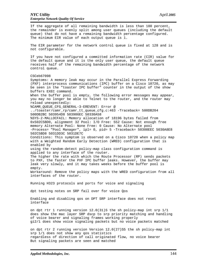If the aggregate of all remaining bandwidth is less than 100 percent, the remainder is evenly split among user queues (including the default queue) that do not have a remaining bandwidth percentage configured. The minimum EIR value of each output queue is 1. The EIR parameter for the network control queue is fixed at 128 and is not configurable. If you have not configured a committed information rate (CIR) value for the default queue and it is the only user queue, the default queue receives half of the remaining bandwidth percentage of the network control queue. CSCeb67098 Symptoms: A memory leak may occur in the Parallel Express Forwarding (PXF) interprocess communications (IPC) buffer on a Cisco 10720, as may be seen in the "toaster IPC buffer" counter in the output of the show buffers EXEC command. When the buffer pool is empty, the following error messages may appear, you may no longer be able to Telnet to the router, and the router may reload unexpectedly: %CAMR\_QUEUE\_CFG\_GENERAL-3-EREVENT: Error @ ../toaster/camr\_rp/camr\_tt\_queue\_cfg.c:463 -Traceback= 500DB204 500DB2BC 503954D8 503986EC 50330A58 %SYS-2-MALLOCFAIL: Memory allocation of 18196 bytes failed from 0x502C5BD0, alignment 32 Pool: I/O Free: 552 Cause: Not enough free memory Alternate Pool: None Free: 0 Cause: No Alternate pool -Process= "Pool Manager", ipl= 0, pid= 5 -Traceback= 50308EEC 5030A8E8 502C5BD8 5031DD3C 5031DE7C Conditions: This symptom is observed on a Cisco 10720 when a policy map with a Weighted Random Early Detection (WRED) configuration that is enabled by using the random-detect policy-map class configuration command is applied to any interface of the router. The higher the rate with which the Route Processor (RP) sends packets to PXF, the faster the PXF IPC buffer leaks. However, the buffer may leak very slowly, and it may takes weeks before the buffer pool is empty. Workaround: Remove the policy maps with the WRED configuration from all interfaces of the router. Running H323 protocols and ports for voice and signaling dpt testing notes on SRP fail over for voice Qos Enabling and disabling qos on DPT SRP interface does not reset interface on dpt rtr 1 running version 12.0(31)S the sh policy-map int srp 1/1 does show the mac layer SRP dscp to srp priority matching and handling of voice bearer and signaling frames working properly gi2/1 does show voice signaling packets but no voice packets matched on dpt rtr 2 running version Version 12.0(27)S5 the sh policy-map int srp 1/1 does not show any qos statistics regardless of direction of call originated flow, no voice bearer But signaling packets are seen and matched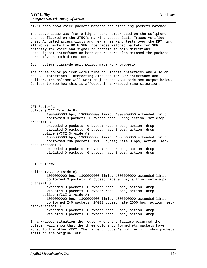gi2/1 does show voice packets matched and signaling packets matched

The above issue was from a higher port number used on the softphone than configured on the 3750's marking access-list. Traces verified this. Adjusted access-lists and re-ran marking tests over the DPT ring all works perfectly BOTH SRP interfaces matched packets for SRP priority for Voice and signaling traffic in both directions. Both Gigabit interfaces on both dpt routers also matched the packets correctly in both directions.

Both routers class-default policy maps work properly

The three color policer works fine on Gigabit interfaces and also on the SRP interfaces. Interesting side not for SRP interfaces and policer. The policer will work on just one VCCI side see output below. Curious to see how this is affected in a wrapped ring situation.

DPT Router#1 police (VCCI 2->side B): 1000000000 bps, 1300000000 limit, 1300000000 extended limit conformed 0 packets, 0 bytes; rate 0 bps; action: set-dscptransmit 8 exceeded 0 packets, 0 bytes; rate 0 bps; action: drop violated 0 packets, 0 bytes; rate 0 bps; action: drop police (VCCI 3->side A): 1000000000 bps, 1300000000 limit, 1300000000 extended limit conformed 206 packets, 19158 bytes; rate 0 bps; action: setdscp-transmit 8 exceeded 0 packets, 0 bytes; rate 0 bps; action: drop violated 0 packets, 0 bytes; rate 0 bps; action: drop DPT Router#2 police (VCCI 2->side B): 1000000000 bps, 1300000000 limit, 1300000000 extended limit conformed 0 packets, 0 bytes; rate 0 bps; action: set-dscptransmit 8 exceeded 0 packets, 0 bytes; rate 0 bps; action: drop violated 0 packets, 0 bytes; rate 0 bps; action: drop police (VCCI 3->side A): 1000000000 bps, 1300000000 limit, 1300000000 extended limit conformed 240 packets, 24003 bytes; rate 2000 bps; action: setdscp-transmit 8 exceeded 0 packets, 0 bytes; rate 0 bps; action: drop violated 0 packets, 0 bytes; rate 0 bps; action: drop In a wrapped situation the router where the failure occurred the

policer will show that the three colors conformed etc packets have moved to the other VCCI. The far end router's policer will show packets still on the original VCCI.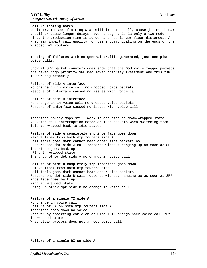### *NYC Utility* April *2005 Enterprise Network Quality Of Service*

#### **Failure testing notes**

**Goal:** try to see if a ring wrap will impact a call, cause jitter, break a call or cause longer delays. Even though this is only a two node ring, the production ring is longer and has longer fiber distances. A wrap may impact call quality for users communicating on the ends of the wrapped DPT routers.

#### **Testing of failures with no general traffic generated, just one plus voice calls.**

Show if SRP packet counters does show that the QoS voice tagged packets are given high priority SRP mac layer priority treatment and this fsm is working properly.

Failure of side A interface No change in in voice call no dropped voice packets Restore of interface caused no issues with voice call

Failure of side B interface No change in in voice call no dropped voice packets Restore of interface caused no issues with voice call

Interface policy maps still work if one side is down/wrapped state No voice call interruption noted or lost packets when switching from idle to wrapped back to idle states

#### **Failure of side A completely srp interface goes down**

Remove fiber from both dtp routers side A Call fails goes dark cannot hear other side packets no Restore one dpt side A call restores without hanging up as soon as SRP interface goes back up. Ring in wrapped state Bring up other dpt side A no change in voice call

#### **Failure of side B completely srp interface goes down**

Remove fiber from both dtp routers side B Call fails goes dark cannot hear other side packets Restore one dpt side B call restores without hanging up as soon as SRP interface goes back up. Ring in wrapped state Bring up other dpt side B no change in voice call

#### **Failure of a single TX side A**

No change in voice call Failure of TX on both dtp routers side A interface goes down no voice Recover by inserting cable on on Side A TX brings back voice call but in wrapped state Wrap clear process does not affect voice call

**Failure of a single RX on side A**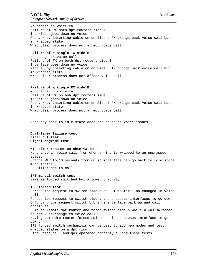### *NYC Utility* April *2005 Enterprise Network Quality Of Service*

No change in voice call Failure of RX both dpt routers side A interface goes down no voice Recover by inserting cable on on Side a RX brings back voice call but in wrapped state Wrap clear process does not affect voice call

#### **Failure of a single TX side B**

NO change in voice call Failure of TX on both dpt routers side B Interface goes down no voice Recover by inserting cable on on Side B TX brings back voice call but in wrapped state Wrap clear process does not affect voice call

#### **Failure of a single RX side B**

NO change in voice call Failure of RX on boh dpt routers side B Interface goes down no voice Recover by inserting cable on on Side B RX brings back voice call but in wrapped state Wrap clear process does not affect voice call

Recovery back to idle state does not cause an voice issues

**Dual fiber failure test Fiber cut test Signal degrade test**

WTR timer resumption observations No change in voice call from when a ring is wrapped to an unwrapped state. Change WTR to 10 seconds from 60 so interface can go back to idle state much faster no difference to call

#### **IPS manual switch test**

Same as forced switched but a lower priority

#### **IPS forced test**

Forced ips request to switch side a on DPT router 1 no changed in voice call Forced ips request to switch side a and b causes interfaces to go down Unforcing ips request switch b brings interface back up and call continues. Jump to remote dpt router and force switch side b while a was switched on dpt 1 no change to voice call. Having both dtp router forced switched side a causes interface to go down. IPS forced switch mechanisim can be used to add new nodes and test wrapped states on a dpt ring. The voice call and qos operated properly during these tests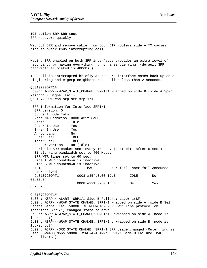**IOS option SRP SRR test** SRR recovers quickly Without SRR and remove cable from both DTP routers side A TX causes ring to break thus interrupting call Having SRR enabled on both SRP interfaces provides an extra level of redundancy by having everything run on a single ring. (default SRR bandwidth allocated is 400mbs.) The call is interrupted briefly as the srp interface comes back up on a single ring and eigerp neighbors re-esablish less than 2 seconds. QoS10720DPT1# 5d00h: %SRP-4-WRAP\_STATE\_CHANGE: SRP1/1 wrapped on side B (side A Span Neighbour Signal Fail) QoS10720DPT1#sh srp srr srp 1/1 SRR Information for Interface SRP1/1 SRR version: 0 Current node Info: Node MAC address: 0008.a35f.8a00 State : Idle Outer In Use : Yes Inner In Use : Yes Announcing : No Outer Fail : IDLE Inner Fail : IDLE SRR Prevention : No (Idle) Periodic SRR packet sent every 10 sec. (next pkt. after 6 sec.) Single ring bandwidth set to 400 Mbps. SRR WTR timer set to 60 sec. Side A WTR countdown is inactive. Side B WTR countdown is inactive. Name MAC Outer fail Inner fail Announce Last received QoS10720DPT1 0008.a35f.8a00 IDLE IDLE No 00:00:04 0008.e321.3280 IDLE SF Yes 00:00:00 QoS10720DPT1# 5d00h: %SRP-4-ALARM: SRP1/1 Side B Failure: Layer 1(SF) 5d00h: %SRP-4-WRAP\_STATE\_CHANGE: SRP1/1 wrapped on side A (side B Self Detect Signal Fail)5d00h: %LINEPROTO-5-UPDOWN: Line protocol on Interface SRP1/1, changed state to down 5d00h: %SRP-4-WRAP\_STATE\_CHANGE: SRP1/1 unwrapped on side A (node is locked out) 5d00h: %SRP-4-WRAP\_STATE\_CHANGE: SRP1/1 unwrapped on side B (node is locked out) 5d00h: %SRP-4-SRR\_STATE\_CHANGE: SRP1/1 SRR usage changed (Outer ring is used, BW=400 Mbps)5d00h: %SRP-4-ALARM: SRP1/1 Side B Failure: MAC Keepalive(SF)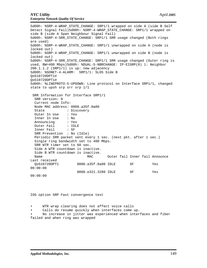5d00h: %SRP-4-WRAP\_STATE\_CHANGE: SRP1/1 wrapped on side A (side B Self Detect Signal Fail)5d00h: %SRP-4-WRAP\_STATE\_CHANGE: SRP1/1 wrapped on side B (side A Span Neighbour Signal Fail) 5d00h: %SRP-4-SRR\_STATE\_CHANGE: SRP1/1 SRR usage changed (Both rings are used) 5d00h: %SRP-4-WRAP\_STATE\_CHANGE: SRP1/1 unwrapped on side A (node is locked out) 5d00h: %SRP-4-WRAP\_STATE\_CHANGE: SRP1/1 unwrapped on side B (node is locked out) 5d00h: %SRP-4-SRR\_STATE\_CHANGE: SRP1/1 SRR usage changed (Outer ring is used, BW=400 Mbps)5d00h: %DUAL-5-NBRCHANGE: IP-EIGRP(0) 1: Neighbor 200.1.1.2 (SRP1/1) is up: new adjacency 5d00h: %SONET-4-ALARM: SRP1/1: SLOS Side B QoS10720DPT1# QoS10720DPT1# 5d00h: %LINEPROTO-5-UPDOWN: Line protocol on Interface SRP1/1, changed state to upsh srp srr srp 1/1 SRR Information for Interface SRP1/1 SRR version: 0 Current node Info: Node MAC address: 0008.a35f.8a00 State : Discovery Outer In Use : Yes Inner In Use : No Announcing : Yes Outer Fail : IDLE Inner Fail : SF SRR Prevention : No (Idle) Periodic SRR packet sent every 1 sec. (next pkt. after 1 sec.) Single ring bandwidth set to 400 Mbps. SRR WTR timer set to 60 sec. Side A WTR countdown is inactive. Side B WTR countdown is inactive. Name MAC Outer fail Inner fail Announce Last received 0008.a35f.8a00 IDLE SF Yes 00:00:00 0008.e321.3280 IDLE SF Yes 00:00:00

IOS option SRP Fast convergence test

WTR wrap clearing does not affect voice calls

Calls do resume quickly when interfaces come up.

• No increase in jitter was experienced when interfaces and fiber failed and when ring was wrapped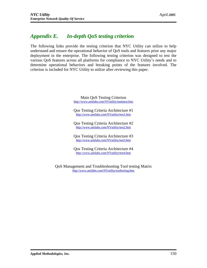# *Appendix E. In-depth QoS testing criterion*

The following links provide the testing criterion that NYC Utility can utilize to help understand and ensure the operational behavior of QoS tools and features prior any major deployment in the enterprise. The following testing criterion was designed to test the various QoS features across all platforms for compliance to NYC Utility's needs and to determine operational behaviors and breaking points of the features involved. The criterion is included for NYC Utility to utilize after reviewing this paper.

> Main QoS Testing Criterion <http://www.amilabs.com/NYutility/maintest.htm>

> Qos Testing Criteria Architecture #1 <http://www.amilabs.com/NYutility/test1.htm>

> Qos Testing Criteria Architecture #2 <http://www.amilabs.com/NYutility/test2.htm>

> Qos Testing Criteria Architecture #3 <http://www.amilabs.com>/NYutility/test3.htm

> Qos Testing Criteria Architecture #4 <http://www.amilabs.com/NYutility/test4.htm>

QoS Management and Troubleshooting Tool testing Matrix [http://www.amilabs.com/NYutility/tooltesting.ht](http://www.amilabs.com/NYutility/tooltesting.htm)m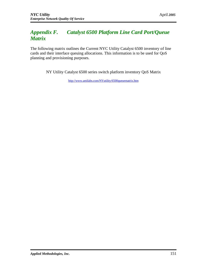# *Appendix F. Catalyst 6500 Platform Line Card Port/Queue Matrix*

The following matrix outlines the Current NYC Utility Catalyst 6500 inventory of line cards and their interface queuing allocations. This information is to be used for QoS planning and provisioning purposes.

NY Utility Catalyst 6500 series switch platform inventory QoS Matrix

<http://w>ww.amilabs.com/NYutility/6500queuematrix.htm